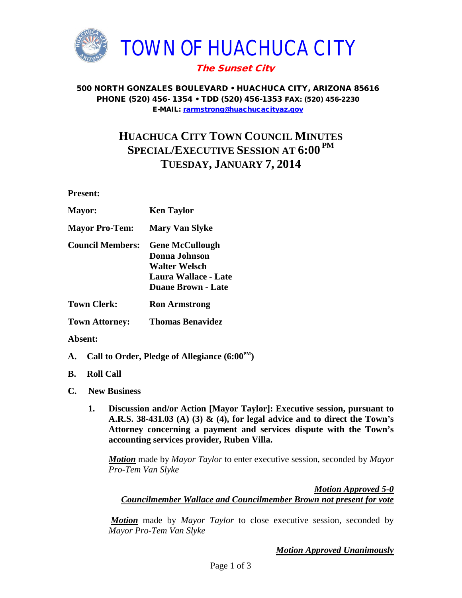

#### 500 NORTH GONZALES BOULEVARD • HUACHUCA CITY, ARIZONA 85616 PHONE (520) 456- 1354 • TDD (520) 456-1353 FAX: (520) 456-2230 E-MAIL: [rarmstrong@huachucacityaz.gov](mailto:rarmstrong@huachucacityaz.gov)

# **HUACHUCA CITY TOWN COUNCIL MINUTES SPECIAL/EXECUTIVE SESSION AT 6:00 PM TUESDAY, JANUARY 7, 2014**

**Present:**

| <b>Mayor:</b>           | <b>Ken Taylor</b>                                                                                                           |
|-------------------------|-----------------------------------------------------------------------------------------------------------------------------|
| <b>Mayor Pro-Tem:</b>   | <b>Mary Van Slyke</b>                                                                                                       |
| <b>Council Members:</b> | <b>Gene McCullough</b><br>Donna Johnson<br><b>Walter Welsch</b><br><b>Laura Wallace - Late</b><br><b>Duane Brown - Late</b> |
| <b>Town Clerk:</b>      | <b>Ron Armstrong</b>                                                                                                        |

**Town Attorney: Thomas Benavidez**

### **Absent:**

- **A. Call to Order, Pledge of Allegiance (6:00PM)**
- **B. Roll Call**
- **C. New Business**
	- **1. Discussion and/or Action [Mayor Taylor]: Executive session, pursuant to A.R.S. 38-431.03 (A) (3) & (4), for legal advice and to direct the Town's Attorney concerning a payment and services dispute with the Town's accounting services provider, Ruben Villa.**

*Motion* made by *Mayor Taylor* to enter executive session, seconded by *Mayor Pro-Tem Van Slyke*

*Motion Approved 5-0*

### *Councilmember Wallace and Councilmember Brown not present for vote*

*Motion* made by *Mayor Taylor* to close executive session, seconded by *Mayor Pro-Tem Van Slyke*

*Motion Approved Unanimously*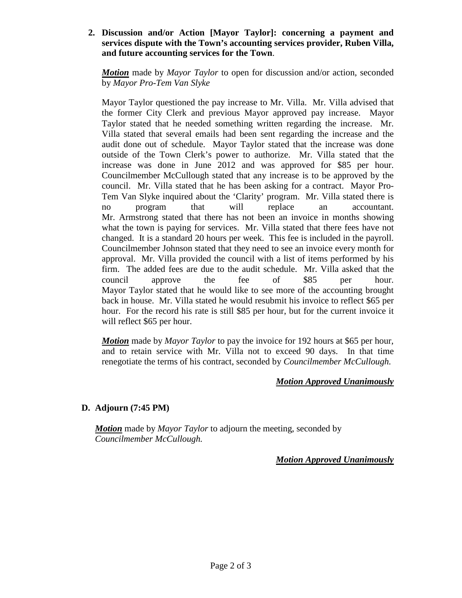### **2. Discussion and/or Action [Mayor Taylor]: concerning a payment and services dispute with the Town's accounting services provider, Ruben Villa, and future accounting services for the Town**.

*Motion* made by *Mayor Taylor* to open for discussion and/or action, seconded by *Mayor Pro-Tem Van Slyke*

Mayor Taylor questioned the pay increase to Mr. Villa. Mr. Villa advised that the former City Clerk and previous Mayor approved pay increase. Mayor Taylor stated that he needed something written regarding the increase. Mr. Villa stated that several emails had been sent regarding the increase and the audit done out of schedule. Mayor Taylor stated that the increase was done outside of the Town Clerk's power to authorize. Mr. Villa stated that the increase was done in June 2012 and was approved for \$85 per hour. Councilmember McCullough stated that any increase is to be approved by the council. Mr. Villa stated that he has been asking for a contract. Mayor Pro-Tem Van Slyke inquired about the 'Clarity' program. Mr. Villa stated there is no program that will replace an accountant. Mr. Armstrong stated that there has not been an invoice in months showing what the town is paying for services. Mr. Villa stated that there fees have not changed. It is a standard 20 hours per week. This fee is included in the payroll. Councilmember Johnson stated that they need to see an invoice every month for approval. Mr. Villa provided the council with a list of items performed by his firm. The added fees are due to the audit schedule. Mr. Villa asked that the council approve the fee of \$85 per hour. Mayor Taylor stated that he would like to see more of the accounting brought back in house. Mr. Villa stated he would resubmit his invoice to reflect \$65 per hour. For the record his rate is still \$85 per hour, but for the current invoice it will reflect \$65 per hour.

*Motion* made by *Mayor Taylor* to pay the invoice for 192 hours at \$65 per hour, and to retain service with Mr. Villa not to exceed 90 days. In that time renegotiate the terms of his contract, seconded by *Councilmember McCullough.*

# *Motion Approved Unanimously*

# **D. Adjourn (7:45 PM)**

*Motion* made by *Mayor Taylor* to adjourn the meeting, seconded by *Councilmember McCullough.*

# *Motion Approved Unanimously*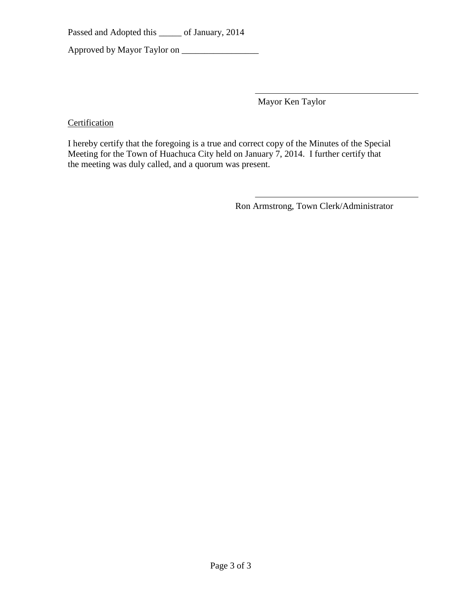Passed and Adopted this \_\_\_\_\_ of January, 2014

Approved by Mayor Taylor on \_\_\_\_\_\_\_\_\_\_\_\_\_\_\_\_\_

Mayor Ken Taylor

**Certification** 

I hereby certify that the foregoing is a true and correct copy of the Minutes of the Special Meeting for the Town of Huachuca City held on January 7, 2014. I further certify that the meeting was duly called, and a quorum was present.

Ron Armstrong, Town Clerk/Administrator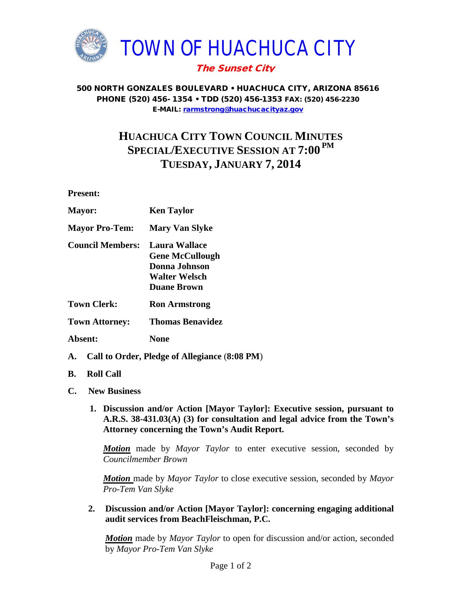

#### 500 NORTH GONZALES BOULEVARD • HUACHUCA CITY, ARIZONA 85616 PHONE (520) 456- 1354 • TDD (520) 456-1353 FAX: (520) 456-2230 E-MAIL: [rarmstrong@huachucacityaz.gov](mailto:rarmstrong@huachucacityaz.gov)

# **HUACHUCA CITY TOWN COUNCIL MINUTES SPECIAL/EXECUTIVE SESSION AT 7:00 PM TUESDAY, JANUARY 7, 2014**

**Present:**

| <b>Mayor:</b>           | <b>Ken Taylor</b>                                                                                      |
|-------------------------|--------------------------------------------------------------------------------------------------------|
| <b>Mayor Pro-Tem:</b>   | <b>Mary Van Slyke</b>                                                                                  |
| <b>Council Members:</b> | <b>Laura Wallace</b><br><b>Gene McCullough</b><br>Donna Johnson<br>Walter Welsch<br><b>Duane Brown</b> |
| <b>Town Clerk:</b>      | <b>Ron Armstrong</b>                                                                                   |
| <b>Town Attorney:</b>   | <b>Thomas Benavidez</b>                                                                                |

- **Absent: None**
- **A. Call to Order, Pledge of Allegiance** (**8:08 PM**)
- **B. Roll Call**
- **C. New Business**
	- **1. Discussion and/or Action [Mayor Taylor]: Executive session, pursuant to A.R.S. 38-431.03(A) (3) for consultation and legal advice from the Town's Attorney concerning the Town's Audit Report.**

*Motion* made by *Mayor Taylor* to enter executive session, seconded by *Councilmember Brown*

*Motion* made by *Mayor Taylor* to close executive session, seconded by *Mayor Pro-Tem Van Slyke*

**2. Discussion and/or Action [Mayor Taylor]: concerning engaging additional audit services from BeachFleischman, P.C.**

*Motion* made by *Mayor Taylor* to open for discussion and/or action, seconded by *Mayor Pro-Tem Van Slyke*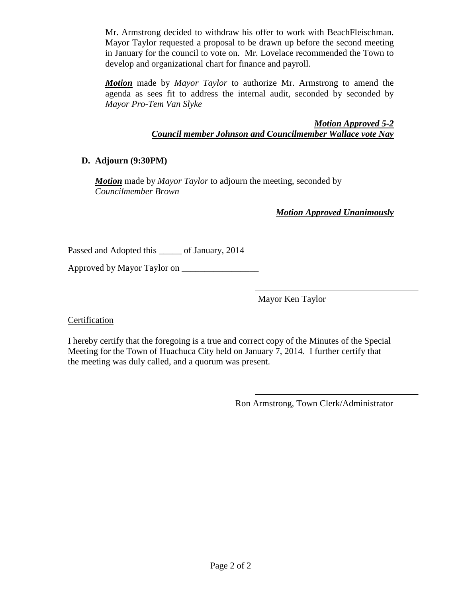Mr. Armstrong decided to withdraw his offer to work with BeachFleischman. Mayor Taylor requested a proposal to be drawn up before the second meeting in January for the council to vote on. Mr. Lovelace recommended the Town to develop and organizational chart for finance and payroll.

*Motion* made by *Mayor Taylor* to authorize Mr. Armstrong to amend the agenda as sees fit to address the internal audit, seconded by seconded by *Mayor Pro-Tem Van Slyke*

> *Motion Approved 5-2 Council member Johnson and Councilmember Wallace vote Nay*

# **D. Adjourn (9:30PM)**

*Motion* made by *Mayor Taylor* to adjourn the meeting, seconded by *Councilmember Brown*

*Motion Approved Unanimously*

Passed and Adopted this \_\_\_\_\_ of January, 2014

Approved by Mayor Taylor on \_\_\_\_\_\_\_\_\_\_\_\_\_\_\_\_\_

Mayor Ken Taylor

Certification

I hereby certify that the foregoing is a true and correct copy of the Minutes of the Special Meeting for the Town of Huachuca City held on January 7, 2014. I further certify that the meeting was duly called, and a quorum was present.

Ron Armstrong, Town Clerk/Administrator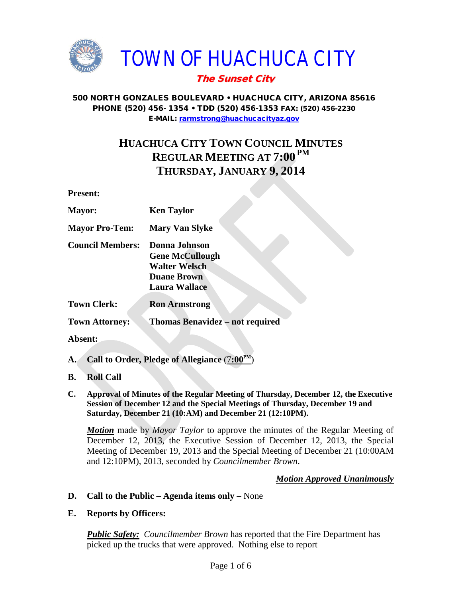

TOWN OF HUACHUCA CITY

# The Sunset City

# 500 NORTH GONZALES BOULEVARD • HUACHUCA CITY, ARIZONA 85616 PHONE (520) 456- 1354 • TDD (520) 456-1353 FAX: (520) 456-2230 E-MAIL: [rarmstrong@huachucacityaz.gov](mailto:rarmstrong@huachucacityaz.gov)

# **HUACHUCA CITY TOWN COUNCIL MINUTES REGULAR MEETING AT 7:00 PM THURSDAY, JANUARY 9, 2014**

**Present:**

| <b>Mayor:</b>           | <b>Ken Taylor</b>                                                                                             |
|-------------------------|---------------------------------------------------------------------------------------------------------------|
| <b>Mayor Pro-Tem:</b>   | <b>Mary Van Slyke</b>                                                                                         |
| <b>Council Members:</b> | Donna Johnson<br><b>Gene McCullough</b><br><b>Walter Welsch</b><br><b>Duane Brown</b><br><b>Laura Wallace</b> |
| <b>Town Clerk:</b>      | <b>Ron Armstrong</b>                                                                                          |
|                         |                                                                                                               |

**Town Attorney: Thomas Benavidez – not required** 

**Absent:**

- **A. Call to Order, Pledge of Allegiance** (7**:00PM**)
- **B. Roll Call**
- **C. Approval of Minutes of the Regular Meeting of Thursday, December 12, the Executive Session of December 12 and the Special Meetings of Thursday, December 19 and Saturday, December 21 (10:AM) and December 21 (12:10PM).**

*Motion* made by *Mayor Taylor* to approve the minutes of the Regular Meeting of December 12, 2013, the Executive Session of December 12, 2013, the Special Meeting of December 19, 2013 and the Special Meeting of December 21 (10:00AM and 12:10PM), 2013, seconded by *Councilmember Brown*.

# *Motion Approved Unanimously*

- **D. Call to the Public – Agenda items only –** None
- **E. Reports by Officers:**

*Public Safety: Councilmember Brown* has reported that the Fire Department has picked up the trucks that were approved. Nothing else to report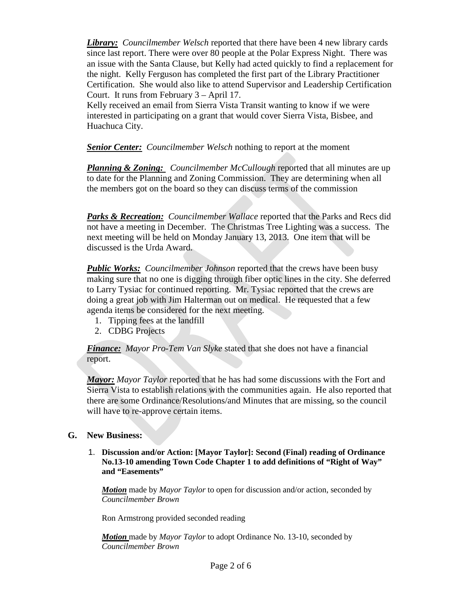*Library: Councilmember Welsch* reported that there have been 4 new library cards since last report. There were over 80 people at the Polar Express Night. There was an issue with the Santa Clause, but Kelly had acted quickly to find a replacement for the night. Kelly Ferguson has completed the first part of the Library Practitioner Certification. She would also like to attend Supervisor and Leadership Certification Court. It runs from February 3 – April 17.

Kelly received an email from Sierra Vista Transit wanting to know if we were interested in participating on a grant that would cover Sierra Vista, Bisbee, and Huachuca City.

*Senior Center: Councilmember Welsch* nothing to report at the moment

*Planning & Zoning: Councilmember McCullough* reported that all minutes are up to date for the Planning and Zoning Commission. They are determining when all the members got on the board so they can discuss terms of the commission

*Parks & Recreation: Councilmember Wallace* reported that the Parks and Recs did not have a meeting in December. The Christmas Tree Lighting was a success. The next meeting will be held on Monday January 13, 2013. One item that will be discussed is the Urda Award.

*Public Works: Councilmember Johnson* reported that the crews have been busy making sure that no one is digging through fiber optic lines in the city. She deferred to Larry Tysiac for continued reporting. Mr. Tysiac reported that the crews are doing a great job with Jim Halterman out on medical. He requested that a few agenda items be considered for the next meeting.

- 1. Tipping fees at the landfill
- 2. CDBG Projects

*Finance: Mayor Pro-Tem Van Slyke* stated that she does not have a financial report.

*Mayor: Mayor Taylor* reported that he has had some discussions with the Fort and Sierra Vista to establish relations with the communities again. He also reported that there are some Ordinance/Resolutions/and Minutes that are missing, so the council will have to re-approve certain items.

### **G. New Business:**

1. **Discussion and/or Action: [Mayor Taylor]: Second (Final) reading of Ordinance No.13-10 amending Town Code Chapter 1 to add definitions of "Right of Way" and "Easements"** 

*Motion* made by *Mayor Taylor* to open for discussion and/or action, seconded by *Councilmember Brown*

Ron Armstrong provided seconded reading

*Motion* made by *Mayor Taylor* to adopt Ordinance No. 13-10, seconded by *Councilmember Brown*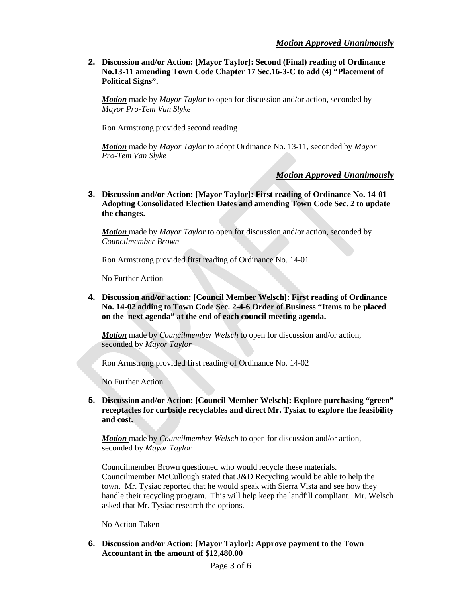**2. Discussion and/or Action: [Mayor Taylor]: Second (Final) reading of Ordinance No.13-11 amending Town Code Chapter 17 Sec.16-3-C to add (4) "Placement of Political Signs".**

*Motion* made by *Mayor Taylor* to open for discussion and/or action, seconded by *Mayor Pro-Tem Van Slyke*

Ron Armstrong provided second reading

*Motion* made by *Mayor Taylor* to adopt Ordinance No. 13-11, seconded by *Mayor Pro-Tem Van Slyke*

*Motion Approved Unanimously*

**3. Discussion and/or Action: [Mayor Taylor]: First reading of Ordinance No. 14-01 Adopting Consolidated Election Dates and amending Town Code Sec. 2 to update the changes.** 

*Motion* made by *Mayor Taylor* to open for discussion and/or action, seconded by *Councilmember Brown*

Ron Armstrong provided first reading of Ordinance No. 14-01

No Further Action

**4. Discussion and/or action: [Council Member Welsch]: First reading of Ordinance No. 14-02 adding to Town Code Sec. 2-4-6 Order of Business "Items to be placed on the next agenda" at the end of each council meeting agenda.** 

*Motion* made by *Councilmember Welsch* to open for discussion and/or action, seconded by *Mayor Taylor* 

Ron Armstrong provided first reading of Ordinance No. 14-02

No Further Action

**5. Discussion and/or Action: [Council Member Welsch]: Explore purchasing "green" receptacles for curbside recyclables and direct Mr. Tysiac to explore the feasibility and cost.**

*Motion* made by *Councilmember Welsch* to open for discussion and/or action, seconded by *Mayor Taylor*

Councilmember Brown questioned who would recycle these materials. Councilmember McCullough stated that J&D Recycling would be able to help the town. Mr. Tysiac reported that he would speak with Sierra Vista and see how they handle their recycling program. This will help keep the landfill compliant. Mr. Welsch asked that Mr. Tysiac research the options.

No Action Taken

**6. Discussion and/or Action: [Mayor Taylor]: Approve payment to the Town Accountant in the amount of \$12,480.00**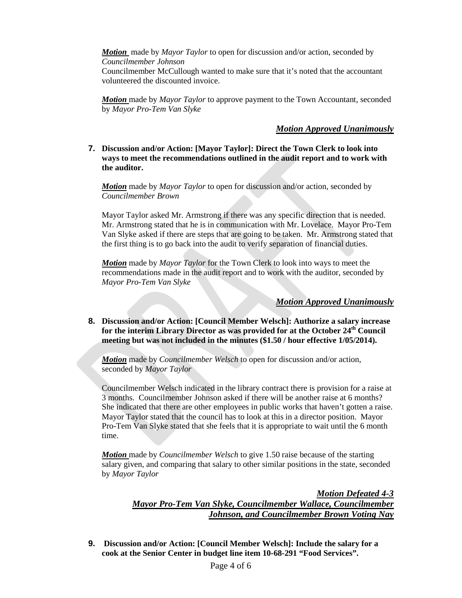*Motion* made by *Mayor Taylor* to open for discussion and/or action, seconded by *Councilmember Johnson*

Councilmember McCullough wanted to make sure that it's noted that the accountant volunteered the discounted invoice.

*Motion* made by *Mayor Taylor* to approve payment to the Town Accountant, seconded by *Mayor Pro-Tem Van Slyke*

#### *Motion Approved Unanimously*

#### **7. Discussion and/or Action: [Mayor Taylor]: Direct the Town Clerk to look into ways to meet the recommendations outlined in the audit report and to work with the auditor.**

*Motion* made by *Mayor Taylor* to open for discussion and/or action, seconded by *Councilmember Brown*

Mayor Taylor asked Mr. Armstrong if there was any specific direction that is needed. Mr. Armstrong stated that he is in communication with Mr. Lovelace. Mayor Pro-Tem Van Slyke asked if there are steps that are going to be taken. Mr. Armstrong stated that the first thing is to go back into the audit to verify separation of financial duties.

*Motion* made by *Mayor Taylor* for the Town Clerk to look into ways to meet the recommendations made in the audit report and to work with the auditor, seconded by *Mayor Pro-Tem Van Slyke*

#### *Motion Approved Unanimously*

**8. Discussion and/or Action: [Council Member Welsch]: Authorize a salary increase**  for the interim Library Director as was provided for at the October 24<sup>th</sup> Council **meeting but was not included in the minutes (\$1.50 / hour effective 1/05/2014).**

*Motion* made by *Councilmember Welsch* to open for discussion and/or action, seconded by *Mayor Taylor*

Councilmember Welsch indicated in the library contract there is provision for a raise at 3 months. Councilmember Johnson asked if there will be another raise at 6 months? She indicated that there are other employees in public works that haven't gotten a raise. Mayor Taylor stated that the council has to look at this in a director position. Mayor Pro-Tem Van Slyke stated that she feels that it is appropriate to wait until the 6 month time.

*Motion* made by *Councilmember Welsch* to give 1.50 raise because of the starting salary given, and comparing that salary to other similar positions in the state, seconded by *Mayor Taylor*

> *Motion Defeated 4-3 Mayor Pro-Tem Van Slyke, Councilmember Wallace, Councilmember Johnson, and Councilmember Brown Voting Nay*

**9. Discussion and/or Action: [Council Member Welsch]: Include the salary for a cook at the Senior Center in budget line item 10-68-291 "Food Services".**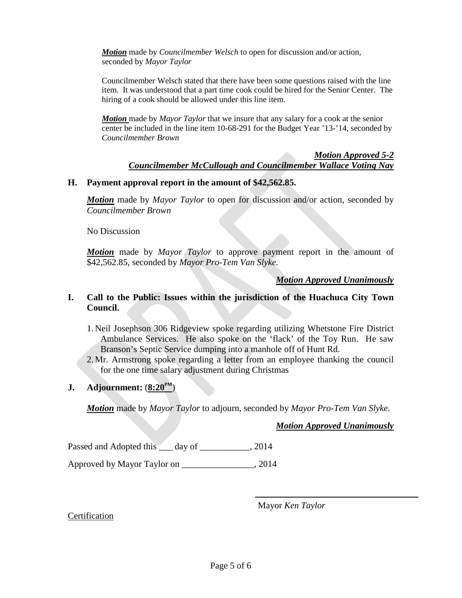*Motion* made by *Councilmember Welsch* to open for discussion and/or action, seconded by *Mayor Taylor*

Councilmember Welsch stated that there have been some questions raised with the line item. It was understood that a part time cook could be hired for the Senior Center. The hiring of a cook should be allowed under this line item.

*Motion* made by *Mayor Taylor* that we insure that any salary for a cook at the senior center be included in the line item 10-68-291 for the Budget Year '13-'14, seconded by *Councilmember Brown*

#### *Motion Approved 5-2 Councilmember McCullough and Councilmember Wallace Voting Nay*

### **H. Payment approval report in the amount of \$42,562.85.**

*Motion* made by *Mayor Taylor* to open for discussion and/or action, seconded by *Councilmember Brown*

No Discussion

*Motion* made by *Mayor Taylor* to approve payment report in the amount of \$42,562.85, seconded by *Mayor Pro-Tem Van Slyke.*

### *Motion Approved Unanimously*

### **I. Call to the Public: Issues within the jurisdiction of the Huachuca City Town Council.**

- 1. Neil Josephson 306 Ridgeview spoke regarding utilizing Whetstone Fire District Ambulance Services. He also spoke on the 'flack' of the Toy Run. He saw Branson's Septic Service dumping into a manhole off of Hunt Rd.
- 2. Mr. Armstrong spoke regarding a letter from an employee thanking the council for the one time salary adjustment during Christmas

### **J. Adjournment:**  $(8:20^{\text{PM}})$

*Motion* made by *Mayor Taylor* to adjourn, seconded by *Mayor Pro-Tem Van Slyke*.

# *Motion Approved Unanimously*

Passed and Adopted this \_\_\_ day of \_\_\_\_\_\_\_\_\_\_, 2014

Approved by Mayor Taylor on \_\_\_\_\_\_\_\_\_\_\_\_\_\_\_\_, 2014

Mayor *Ken Taylor*

# Certification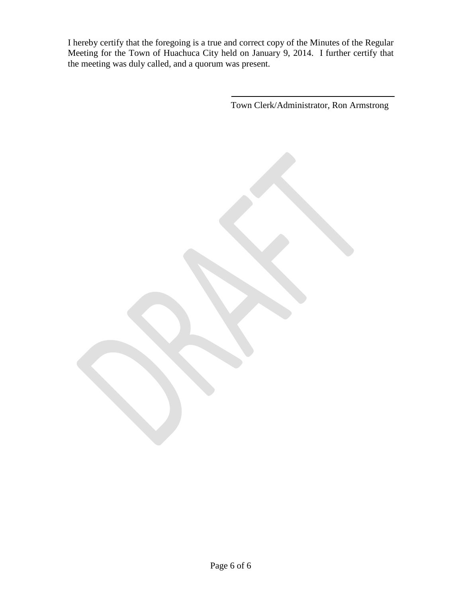I hereby certify that the foregoing is a true and correct copy of the Minutes of the Regular Meeting for the Town of Huachuca City held on January 9, 2014. I further certify that the meeting was duly called, and a quorum was present.

Town Clerk/Administrator, Ron Armstrong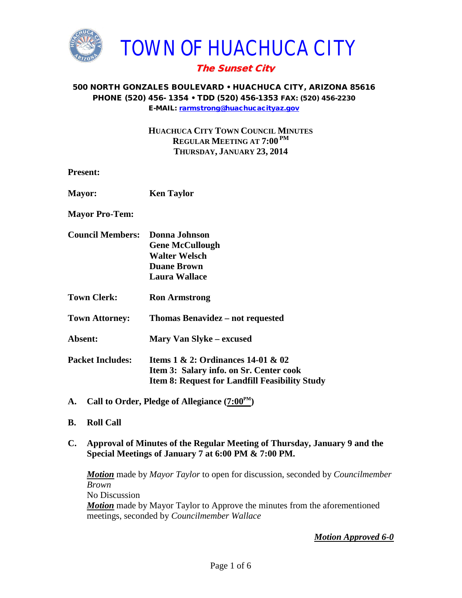

### 500 NORTH GONZALES BOULEVARD • HUACHUCA CITY, ARIZONA 85616 PHONE (520) 456- 1354 • TDD (520) 456-1353 FAX: (520) 456-2230 E-MAIL: [rarmstrong@huachucacityaz.gov](mailto:rarmstrong@huachucacityaz.gov)

**HUACHUCA CITY TOWN COUNCIL MINUTES REGULAR MEETING AT 7:00 PM THURSDAY, JANUARY 23, 2014**

| <b>Present:</b>         |                                                                                                                                               |
|-------------------------|-----------------------------------------------------------------------------------------------------------------------------------------------|
| <b>Mayor:</b>           | <b>Ken Taylor</b>                                                                                                                             |
| <b>Mayor Pro-Tem:</b>   |                                                                                                                                               |
| <b>Council Members:</b> | <b>Donna Johnson</b><br><b>Gene McCullough</b><br><b>Walter Welsch</b><br><b>Duane Brown</b><br><b>Laura Wallace</b>                          |
| <b>Town Clerk:</b>      | <b>Ron Armstrong</b>                                                                                                                          |
| <b>Town Attorney:</b>   | Thomas Benavidez – not requested                                                                                                              |
| Absent:                 | <b>Mary Van Slyke – excused</b>                                                                                                               |
| <b>Packet Includes:</b> | Items $1 \& 2$ : Ordinances $14-01 \& 02$<br>Item 3: Salary info. on Sr. Center cook<br><b>Item 8: Request for Landfill Feasibility Study</b> |

- A. Call to Order, Pledge of Allegiance  $(7:00^{\text{PM}})$
- **B. Roll Call**
- **C. Approval of Minutes of the Regular Meeting of Thursday, January 9 and the Special Meetings of January 7 at 6:00 PM & 7:00 PM.**

*Motion* made by *Mayor Taylor* to open for discussion, seconded by *Councilmember Brown* No Discussion *Motion* made by Mayor Taylor to Approve the minutes from the aforementioned meetings, seconded by *Councilmember Wallace*

*Motion Approved 6-0*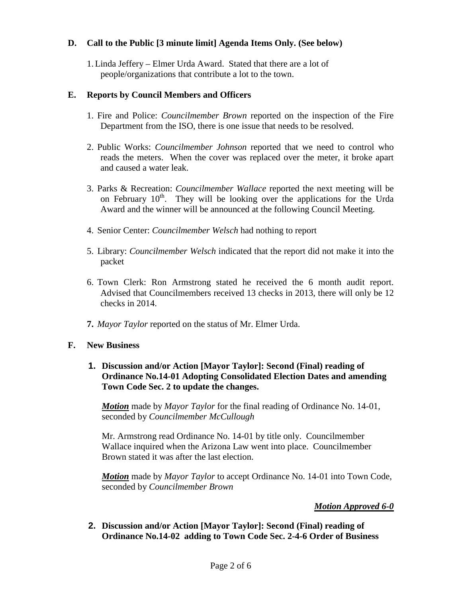## **D. Call to the Public [3 minute limit] Agenda Items Only. (See below)**

1.Linda Jeffery – Elmer Urda Award. Stated that there are a lot of people/organizations that contribute a lot to the town.

### **E. Reports by Council Members and Officers**

- 1. Fire and Police: *Councilmember Brown* reported on the inspection of the Fire Department from the ISO, there is one issue that needs to be resolved.
- 2. Public Works: *Councilmember Johnson* reported that we need to control who reads the meters. When the cover was replaced over the meter, it broke apart and caused a water leak.
- 3. Parks & Recreation: *Councilmember Wallace* reported the next meeting will be on February  $10^{th}$ . They will be looking over the applications for the Urda Award and the winner will be announced at the following Council Meeting.
- 4. Senior Center: *Councilmember Welsch* had nothing to report
- 5. Library: *Councilmember Welsch* indicated that the report did not make it into the packet
- 6. Town Clerk: Ron Armstrong stated he received the 6 month audit report. Advised that Councilmembers received 13 checks in 2013, there will only be 12 checks in 2014.
- **7.** *Mayor Taylor* reported on the status of Mr. Elmer Urda.

### **F. New Business**

**1. Discussion and/or Action [Mayor Taylor]: Second (Final) reading of Ordinance No.14-01 Adopting Consolidated Election Dates and amending Town Code Sec. 2 to update the changes.** 

*Motion* made by *Mayor Taylor* for the final reading of Ordinance No. 14-01, seconded by *Councilmember McCullough*

Mr. Armstrong read Ordinance No. 14-01 by title only. Councilmember Wallace inquired when the Arizona Law went into place. Councilmember Brown stated it was after the last election.

*Motion* made by *Mayor Taylor* to accept Ordinance No. 14-01 into Town Code, seconded by *Councilmember Brown*

### *Motion Approved 6-0*

**2. Discussion and/or Action [Mayor Taylor]: Second (Final) reading of Ordinance No.14-02 adding to Town Code Sec. 2-4-6 Order of Business**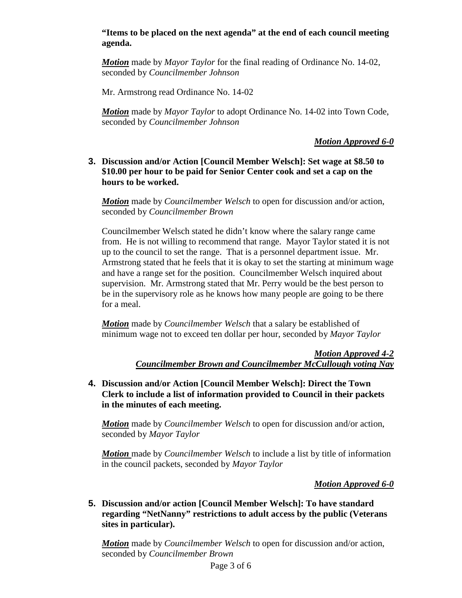## **"Items to be placed on the next agenda" at the end of each council meeting agenda.**

*Motion* made by *Mayor Taylor* for the final reading of Ordinance No. 14-02, seconded by *Councilmember Johnson*

Mr. Armstrong read Ordinance No. 14-02

*Motion* made by *Mayor Taylor* to adopt Ordinance No. 14-02 into Town Code, seconded by *Councilmember Johnson*

*Motion Approved 6-0* 

**3. Discussion and/or Action [Council Member Welsch]: Set wage at \$8.50 to \$10.00 per hour to be paid for Senior Center cook and set a cap on the hours to be worked.**

*Motion* made by *Councilmember Welsch* to open for discussion and/or action, seconded by *Councilmember Brown*

Councilmember Welsch stated he didn't know where the salary range came from. He is not willing to recommend that range. Mayor Taylor stated it is not up to the council to set the range. That is a personnel department issue. Mr. Armstrong stated that he feels that it is okay to set the starting at minimum wage and have a range set for the position. Councilmember Welsch inquired about supervision. Mr. Armstrong stated that Mr. Perry would be the best person to be in the supervisory role as he knows how many people are going to be there for a meal.

*Motion* made by *Councilmember Welsch* that a salary be established of minimum wage not to exceed ten dollar per hour, seconded by *Mayor Taylor*

> *Motion Approved 4-2 Councilmember Brown and Councilmember McCullough voting Nay*

**4. Discussion and/or Action [Council Member Welsch]: Direct the Town Clerk to include a list of information provided to Council in their packets in the minutes of each meeting.**

*Motion* made by *Councilmember Welsch* to open for discussion and/or action, seconded by *Mayor Taylor*

*Motion* made by *Councilmember Welsch* to include a list by title of information in the council packets, seconded by *Mayor Taylor*

### *Motion Approved 6-0*

**5. Discussion and/or action [Council Member Welsch]: To have standard regarding "NetNanny" restrictions to adult access by the public (Veterans sites in particular).** 

*Motion* made by *Councilmember Welsch* to open for discussion and/or action, seconded by *Councilmember Brown*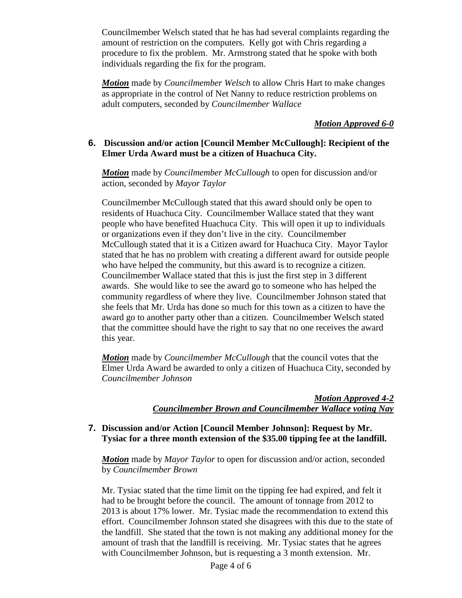Councilmember Welsch stated that he has had several complaints regarding the amount of restriction on the computers. Kelly got with Chris regarding a procedure to fix the problem. Mr. Armstrong stated that he spoke with both individuals regarding the fix for the program.

*Motion* made by *Councilmember Welsch* to allow Chris Hart to make changes as appropriate in the control of Net Nanny to reduce restriction problems on adult computers, seconded by *Councilmember Wallace*

### *Motion Approved 6-0*

## **6. Discussion and/or action [Council Member McCullough]: Recipient of the Elmer Urda Award must be a citizen of Huachuca City.**

*Motion* made by *Councilmember McCullough* to open for discussion and/or action, seconded by *Mayor Taylor*

Councilmember McCullough stated that this award should only be open to residents of Huachuca City. Councilmember Wallace stated that they want people who have benefited Huachuca City. This will open it up to individuals or organizations even if they don't live in the city. Councilmember McCullough stated that it is a Citizen award for Huachuca City. Mayor Taylor stated that he has no problem with creating a different award for outside people who have helped the community, but this award is to recognize a citizen. Councilmember Wallace stated that this is just the first step in 3 different awards. She would like to see the award go to someone who has helped the community regardless of where they live. Councilmember Johnson stated that she feels that Mr. Urda has done so much for this town as a citizen to have the award go to another party other than a citizen. Councilmember Welsch stated that the committee should have the right to say that no one receives the award this year.

*Motion* made by *Councilmember McCullough* that the council votes that the Elmer Urda Award be awarded to only a citizen of Huachuca City, seconded by *Councilmember Johnson*

# *Motion Approved 4-2 Councilmember Brown and Councilmember Wallace voting Nay*

### **7. Discussion and/or Action [Council Member Johnson]: Request by Mr. Tysiac for a three month extension of the \$35.00 tipping fee at the landfill.**

*Motion* made by *Mayor Taylor* to open for discussion and/or action, seconded by *Councilmember Brown*

Mr. Tysiac stated that the time limit on the tipping fee had expired, and felt it had to be brought before the council. The amount of tonnage from 2012 to 2013 is about 17% lower. Mr. Tysiac made the recommendation to extend this effort. Councilmember Johnson stated she disagrees with this due to the state of the landfill. She stated that the town is not making any additional money for the amount of trash that the landfill is receiving. Mr. Tysiac states that he agrees with Councilmember Johnson, but is requesting a 3 month extension. Mr.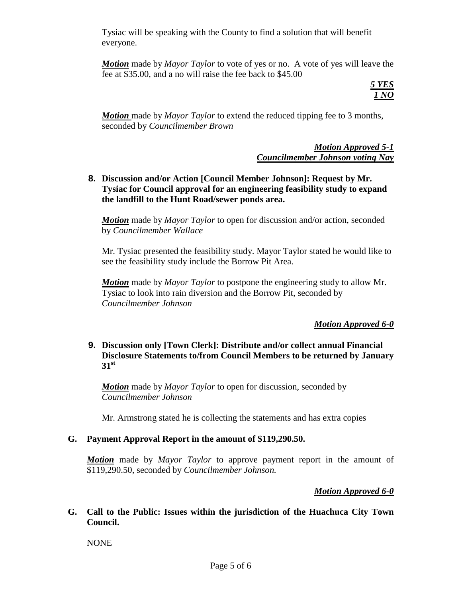Tysiac will be speaking with the County to find a solution that will benefit everyone.

*Motion* made by *Mayor Taylor* to vote of yes or no. A vote of yes will leave the fee at \$35.00, and a no will raise the fee back to \$45.00

> *5 YES 1 NO*

*Motion* made by *Mayor Taylor* to extend the reduced tipping fee to 3 months, seconded by *Councilmember Brown*

> *Motion Approved 5-1 Councilmember Johnson voting Nay*

**8. Discussion and/or Action [Council Member Johnson]: Request by Mr. Tysiac for Council approval for an engineering feasibility study to expand the landfill to the Hunt Road/sewer ponds area.**

*Motion* made by *Mayor Taylor* to open for discussion and/or action, seconded by *Councilmember Wallace*

Mr. Tysiac presented the feasibility study. Mayor Taylor stated he would like to see the feasibility study include the Borrow Pit Area.

*Motion* made by *Mayor Taylor* to postpone the engineering study to allow Mr. Tysiac to look into rain diversion and the Borrow Pit, seconded by *Councilmember Johnson*

# *Motion Approved 6-0*

### **9. Discussion only [Town Clerk]: Distribute and/or collect annual Financial Disclosure Statements to/from Council Members to be returned by January 31st**

*Motion* made by *Mayor Taylor* to open for discussion, seconded by *Councilmember Johnson*

Mr. Armstrong stated he is collecting the statements and has extra copies

# **G. Payment Approval Report in the amount of \$119,290.50.**

*Motion* made by *Mayor Taylor* to approve payment report in the amount of \$119,290.50, seconded by *Councilmember Johnson.*

# *Motion Approved 6-0*

**G. Call to the Public: Issues within the jurisdiction of the Huachuca City Town Council.**

NONE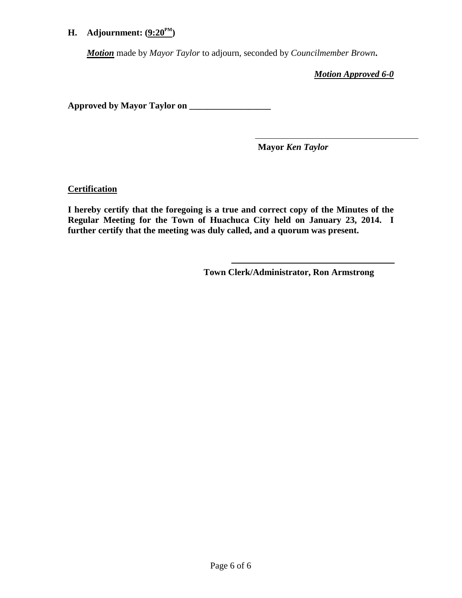# **H.** Adjournment:  $(9:20^{\text{PM}})$

*Motion* made by *Mayor Taylor* to adjourn, seconded by *Councilmember Brown***.**

*Motion Approved 6-0*

**Approved by Mayor Taylor on \_\_\_\_\_\_\_\_\_\_\_\_\_\_\_\_\_\_**

**Mayor** *Ken Taylor*

**Certification**

**I hereby certify that the foregoing is a true and correct copy of the Minutes of the Regular Meeting for the Town of Huachuca City held on January 23, 2014. I further certify that the meeting was duly called, and a quorum was present.**

**Town Clerk/Administrator, Ron Armstrong**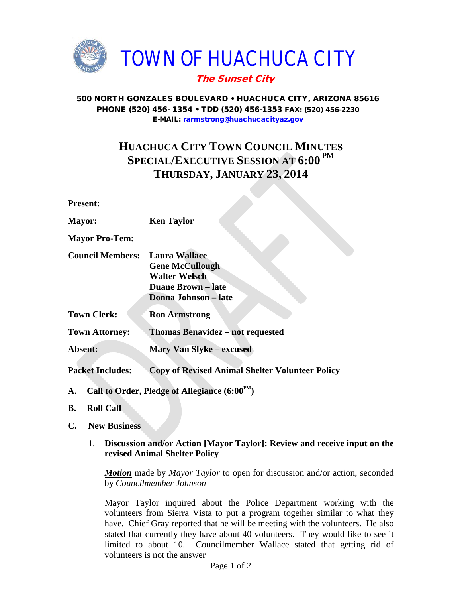

### 500 NORTH GONZALES BOULEVARD • HUACHUCA CITY, ARIZONA 85616 PHONE (520) 456- 1354 • TDD (520) 456-1353 FAX: (520) 456-2230 E-MAIL: [rarmstrong@huachucacityaz.gov](mailto:rarmstrong@huachucacityaz.gov)

# **HUACHUCA CITY TOWN COUNCIL MINUTES SPECIAL/EXECUTIVE SESSION AT 6:00 PM THURSDAY, JANUARY 23, 2014**

**Present:**

**Mayor: Ken Taylor**

**Mayor Pro-Tem:**

- **Council Members: Laura Wallace Gene McCullough Walter Welsch Duane Brown – late Donna Johnson – late**
- **Town Clerk: Ron Armstrong**

**Town Attorney: Thomas Benavidez – not requested**

**Absent: Mary Van Slyke – excused**

**Packet Includes: Copy of Revised Animal Shelter Volunteer Policy**

- **A. Call to Order, Pledge of Allegiance (6:00PM)**
- **B. Roll Call**
- **C. New Business**
	- 1. **Discussion and/or Action [Mayor Taylor]: Review and receive input on the revised Animal Shelter Policy**

*Motion* made by *Mayor Taylor* to open for discussion and/or action, seconded by *Councilmember Johnson*

Mayor Taylor inquired about the Police Department working with the volunteers from Sierra Vista to put a program together similar to what they have. Chief Gray reported that he will be meeting with the volunteers. He also stated that currently they have about 40 volunteers. They would like to see it limited to about 10. Councilmember Wallace stated that getting rid of volunteers is not the answer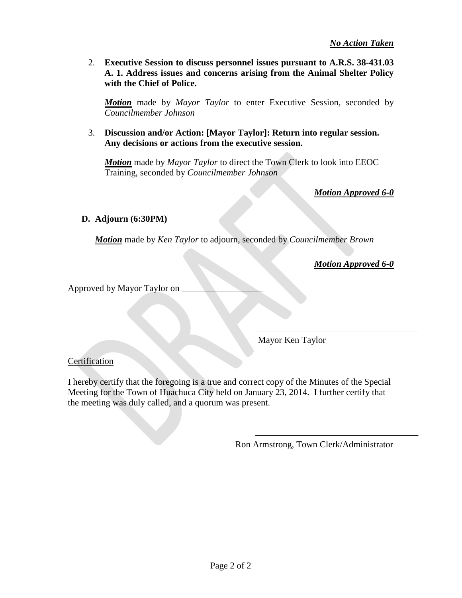2. **Executive Session to discuss personnel issues pursuant to A.R.S. 38-431.03 A. 1. Address issues and concerns arising from the Animal Shelter Policy with the Chief of Police.** 

*Motion* made by *Mayor Taylor* to enter Executive Session, seconded by *Councilmember Johnson*

3. **Discussion and/or Action: [Mayor Taylor]: Return into regular session. Any decisions or actions from the executive session.**

*Motion* made by *Mayor Taylor* to direct the Town Clerk to look into EEOC Training, seconded by *Councilmember Johnson*

*Motion Approved 6-0*

# **D. Adjourn (6:30PM)**

*Motion* made by *Ken Taylor* to adjourn, seconded by *Councilmember Brown*

*Motion Approved 6-0*

Approved by Mayor Taylor on \_\_\_\_\_\_\_\_\_\_\_\_\_\_\_\_\_\_

Mayor Ken Taylor

# **Certification**

I hereby certify that the foregoing is a true and correct copy of the Minutes of the Special Meeting for the Town of Huachuca City held on January 23, 2014. I further certify that the meeting was duly called, and a quorum was present.

Ron Armstrong, Town Clerk/Administrator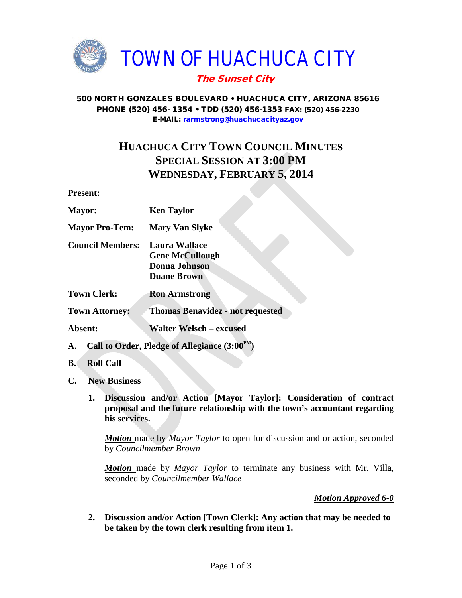

### 500 NORTH GONZALES BOULEVARD • HUACHUCA CITY, ARIZONA 85616 PHONE (520) 456- 1354 • TDD (520) 456-1353 FAX: (520) 456-2230 E-MAIL: [rarmstrong@huachucacityaz.gov](mailto:rarmstrong@huachucacityaz.gov)

# **HUACHUCA CITY TOWN COUNCIL MINUTES SPECIAL SESSION AT 3:00 PM WEDNESDAY, FEBRUARY 5, 2014**

**Present:**

| <b>Mayor:</b>           | <b>Ken Taylor</b>                                                                     |
|-------------------------|---------------------------------------------------------------------------------------|
| <b>Mayor Pro-Tem:</b>   | <b>Mary Van Slyke</b>                                                                 |
| <b>Council Members:</b> | <b>Laura Wallace</b><br><b>Gene McCullough</b><br>Donna Johnson<br><b>Duane Brown</b> |
| <b>Town Clerk:</b>      | <b>Ron Armstrong</b>                                                                  |
| <b>Town Attorney:</b>   | <b>Thomas Benavidez - not requested</b>                                               |
| Absent:                 | <b>Walter Welsch – excused</b>                                                        |

- A. Call to Order, Pledge of Allegiance  $(3:00^{PM})$
- **B. Roll Call**
- **C. New Business**
	- **1. Discussion and/or Action [Mayor Taylor]: Consideration of contract proposal and the future relationship with the town's accountant regarding his services.**

*Motion* made by *Mayor Taylor* to open for discussion and or action, seconded by *Councilmember Brown*

*Motion* made by *Mayor Taylor* to terminate any business with Mr. Villa, seconded by *Councilmember Wallace*

*Motion Approved 6-0*

**2. Discussion and/or Action [Town Clerk]: Any action that may be needed to be taken by the town clerk resulting from item 1.**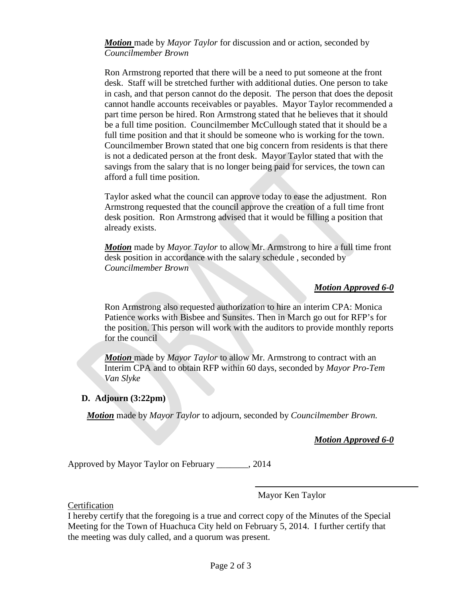*Motion* made by *Mayor Taylor* for discussion and or action, seconded by *Councilmember Brown*

Ron Armstrong reported that there will be a need to put someone at the front desk. Staff will be stretched further with additional duties. One person to take in cash, and that person cannot do the deposit. The person that does the deposit cannot handle accounts receivables or payables. Mayor Taylor recommended a part time person be hired. Ron Armstrong stated that he believes that it should be a full time position. Councilmember McCullough stated that it should be a full time position and that it should be someone who is working for the town. Councilmember Brown stated that one big concern from residents is that there is not a dedicated person at the front desk. Mayor Taylor stated that with the savings from the salary that is no longer being paid for services, the town can afford a full time position.

Taylor asked what the council can approve today to ease the adjustment. Ron Armstrong requested that the council approve the creation of a full time front desk position. Ron Armstrong advised that it would be filling a position that already exists.

*Motion* made by *Mayor Taylor* to allow Mr. Armstrong to hire a full time front desk position in accordance with the salary schedule , seconded by *Councilmember Brown*

### *Motion Approved 6-0*

Ron Armstrong also requested authorization to hire an interim CPA: Monica Patience works with Bisbee and Sunsites. Then in March go out for RFP's for the position. This person will work with the auditors to provide monthly reports for the council

*Motion* made by *Mayor Taylor* to allow Mr. Armstrong to contract with an Interim CPA and to obtain RFP within 60 days, seconded by *Mayor Pro-Tem Van Slyke*

### **D. Adjourn (3:22pm)**

*Motion* made by *Mayor Taylor* to adjourn, seconded by *Councilmember Brown.*

*Motion Approved 6-0*

Approved by Mayor Taylor on February \_\_\_\_\_\_\_, 2014

Mayor Ken Taylor

**Certification** 

I hereby certify that the foregoing is a true and correct copy of the Minutes of the Special Meeting for the Town of Huachuca City held on February 5, 2014. I further certify that the meeting was duly called, and a quorum was present.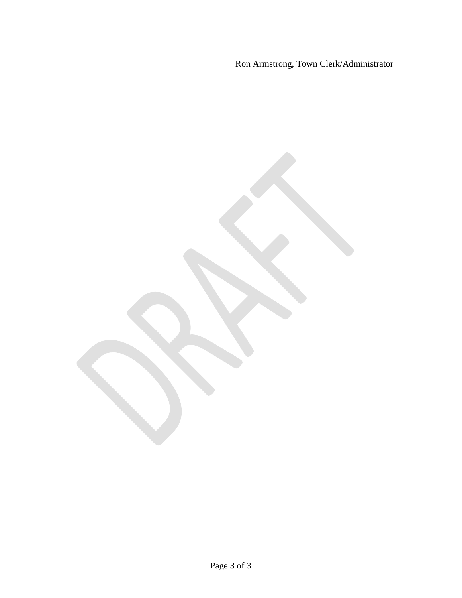Ron Armstrong, Town Clerk/Administrator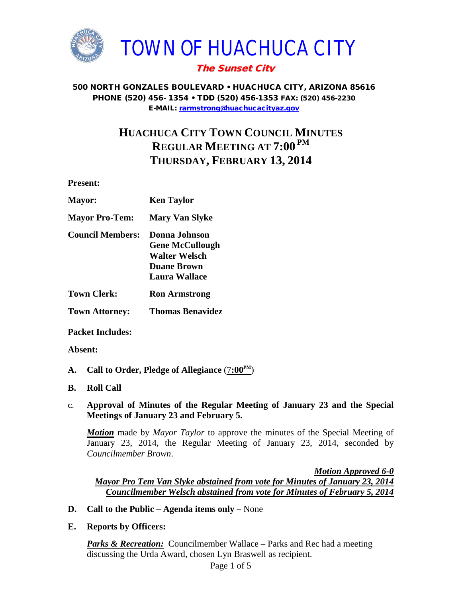

### 500 NORTH GONZALES BOULEVARD • HUACHUCA CITY, ARIZONA 85616 PHONE (520) 456- 1354 • TDD (520) 456-1353 FAX: (520) 456-2230 E-MAIL: [rarmstrong@huachucacityaz.gov](mailto:rarmstrong@huachucacityaz.gov)

# **HUACHUCA CITY TOWN COUNCIL MINUTES REGULAR MEETING AT 7:00 PM THURSDAY, FEBRUARY 13, 2014**

**Present:**

| <b>Ken Taylor</b>      |
|------------------------|
| <b>Mary Van Slyke</b>  |
| Donna Johnson          |
| <b>Gene McCullough</b> |
| <b>Walter Welsch</b>   |
| <b>Duane Brown</b>     |
| <b>Laura Wallace</b>   |
| <b>Ron Armstrong</b>   |
|                        |

**Town Attorney: Thomas Benavidez**

**Packet Includes:**

### **Absent:**

- **A. Call to Order, Pledge of Allegiance** (7**:00PM**)
- **B. Roll Call**

### **C. Approval of Minutes of the Regular Meeting of January 23 and the Special Meetings of January 23 and February 5.**

*Motion* made by *Mayor Taylor* to approve the minutes of the Special Meeting of January 23, 2014, the Regular Meeting of January 23, 2014, seconded by *Councilmember Brown*.

*Motion Approved 6-0 Mayor Pro Tem Van Slyke abstained from vote for Minutes of January 23, 2014 Councilmember Welsch abstained from vote for Minutes of February 5, 2014*

**D. Call to the Public – Agenda items only –** None

### **E. Reports by Officers:**

*Parks & Recreation:* Councilmember Wallace – Parks and Rec had a meeting discussing the Urda Award, chosen Lyn Braswell as recipient.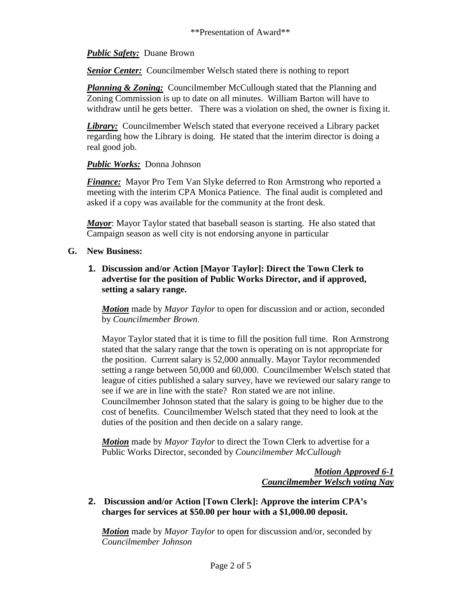## *Public Safety:* Duane Brown

**Senior Center:** Councilmember Welsch stated there is nothing to report

*Planning & Zoning:* Councilmember McCullough stated that the Planning and Zoning Commission is up to date on all minutes. William Barton will have to withdraw until he gets better. There was a violation on shed, the owner is fixing it.

*Library:* Councilmember Welsch stated that everyone received a Library packet regarding how the Library is doing. He stated that the interim director is doing a real good job.

### *Public Works:* Donna Johnson

**Finance:** Mayor Pro Tem Van Slyke deferred to Ron Armstrong who reported a meeting with the interim CPA Monica Patience. The final audit is completed and asked if a copy was available for the community at the front desk.

*Mayor*: Mayor Taylor stated that baseball season is starting. He also stated that Campaign season as well city is not endorsing anyone in particular

### **G. New Business:**

**1. Discussion and/or Action [Mayor Taylor]: Direct the Town Clerk to advertise for the position of Public Works Director, and if approved, setting a salary range.** 

*Motion* made by *Mayor Taylor* to open for discussion and or action, seconded by *Councilmember Brown.*

Mayor Taylor stated that it is time to fill the position full time. Ron Armstrong stated that the salary range that the town is operating on is not appropriate for the position. Current salary is 52,000 annually. Mayor Taylor recommended setting a range between 50,000 and 60,000. Councilmember Welsch stated that league of cities published a salary survey, have we reviewed our salary range to see if we are in line with the state? Ron stated we are not inline. Councilmember Johnson stated that the salary is going to be higher due to the cost of benefits. Councilmember Welsch stated that they need to look at the duties of the position and then decide on a salary range.

*Motion* made by *Mayor Taylor* to direct the Town Clerk to advertise for a Public Works Director, seconded by *Councilmember McCullough*

> *Motion Approved 6-1 Councilmember Welsch voting Nay*

### **2. Discussion and/or Action [Town Clerk]: Approve the interim CPA's charges for services at \$50.00 per hour with a \$1,000.00 deposit.**

*Motion* made by *Mayor Taylor* to open for discussion and/or, seconded by *Councilmember Johnson*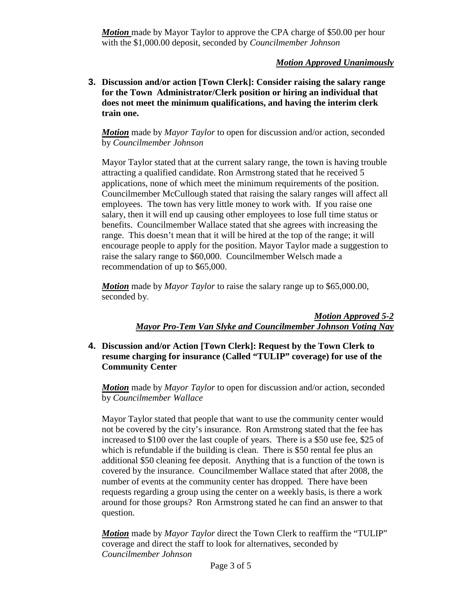*Motion* made by Mayor Taylor to approve the CPA charge of \$50.00 per hour with the \$1,000.00 deposit, seconded by *Councilmember Johnson*

# *Motion Approved Unanimously*

**3. Discussion and/or action [Town Clerk]: Consider raising the salary range for the Town Administrator/Clerk position or hiring an individual that does not meet the minimum qualifications, and having the interim clerk train one.**

*Motion* made by *Mayor Taylor* to open for discussion and/or action, seconded by *Councilmember Johnson*

Mayor Taylor stated that at the current salary range, the town is having trouble attracting a qualified candidate. Ron Armstrong stated that he received 5 applications, none of which meet the minimum requirements of the position. Councilmember McCullough stated that raising the salary ranges will affect all employees. The town has very little money to work with. If you raise one salary, then it will end up causing other employees to lose full time status or benefits. Councilmember Wallace stated that she agrees with increasing the range. This doesn't mean that it will be hired at the top of the range; it will encourage people to apply for the position. Mayor Taylor made a suggestion to raise the salary range to \$60,000. Councilmember Welsch made a recommendation of up to \$65,000.

*Motion* made by *Mayor Taylor* to raise the salary range up to \$65,000.00, seconded by.

> *Motion Approved 5-2 Mayor Pro-Tem Van Slyke and Councilmember Johnson Voting Nay*

# **4. Discussion and/or Action [Town Clerk]: Request by the Town Clerk to resume charging for insurance (Called "TULIP" coverage) for use of the Community Center**

*Motion* made by *Mayor Taylor* to open for discussion and/or action, seconded by *Councilmember Wallace*

Mayor Taylor stated that people that want to use the community center would not be covered by the city's insurance. Ron Armstrong stated that the fee has increased to \$100 over the last couple of years. There is a \$50 use fee, \$25 of which is refundable if the building is clean. There is \$50 rental fee plus an additional \$50 cleaning fee deposit. Anything that is a function of the town is covered by the insurance. Councilmember Wallace stated that after 2008, the number of events at the community center has dropped. There have been requests regarding a group using the center on a weekly basis, is there a work around for those groups? Ron Armstrong stated he can find an answer to that question.

*Motion* made by *Mayor Taylor* direct the Town Clerk to reaffirm the "TULIP" coverage and direct the staff to look for alternatives, seconded by *Councilmember Johnson*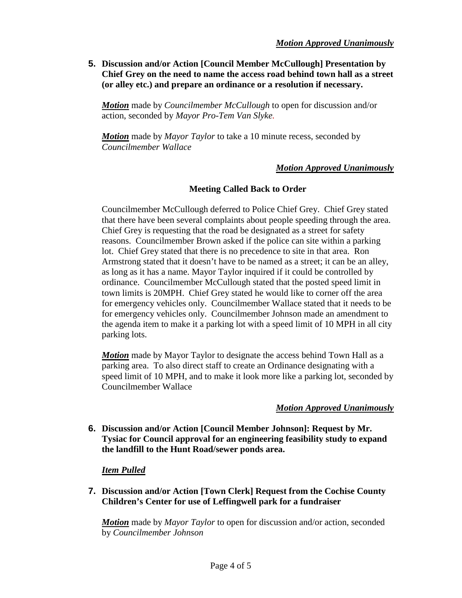**5. Discussion and/or Action [Council Member McCullough] Presentation by Chief Grey on the need to name the access road behind town hall as a street (or alley etc.) and prepare an ordinance or a resolution if necessary.** 

*Motion* made by *Councilmember McCullough* to open for discussion and/or action, seconded by *Mayor Pro-Tem Van Slyke.*

*Motion* made by *Mayor Taylor* to take a 10 minute recess, seconded by *Councilmember Wallace*

# *Motion Approved Unanimously*

### **Meeting Called Back to Order**

Councilmember McCullough deferred to Police Chief Grey. Chief Grey stated that there have been several complaints about people speeding through the area. Chief Grey is requesting that the road be designated as a street for safety reasons. Councilmember Brown asked if the police can site within a parking lot. Chief Grey stated that there is no precedence to site in that area. Ron Armstrong stated that it doesn't have to be named as a street; it can be an alley, as long as it has a name. Mayor Taylor inquired if it could be controlled by ordinance. Councilmember McCullough stated that the posted speed limit in town limits is 20MPH. Chief Grey stated he would like to corner off the area for emergency vehicles only. Councilmember Wallace stated that it needs to be for emergency vehicles only. Councilmember Johnson made an amendment to the agenda item to make it a parking lot with a speed limit of 10 MPH in all city parking lots.

*Motion* made by Mayor Taylor to designate the access behind Town Hall as a parking area. To also direct staff to create an Ordinance designating with a speed limit of 10 MPH, and to make it look more like a parking lot, seconded by Councilmember Wallace

### *Motion Approved Unanimously*

**6. Discussion and/or Action [Council Member Johnson]: Request by Mr. Tysiac for Council approval for an engineering feasibility study to expand the landfill to the Hunt Road/sewer ponds area.**

### *Item Pulled*

**7. Discussion and/or Action [Town Clerk] Request from the Cochise County Children's Center for use of Leffingwell park for a fundraiser**

*Motion* made by *Mayor Taylor* to open for discussion and/or action, seconded by *Councilmember Johnson*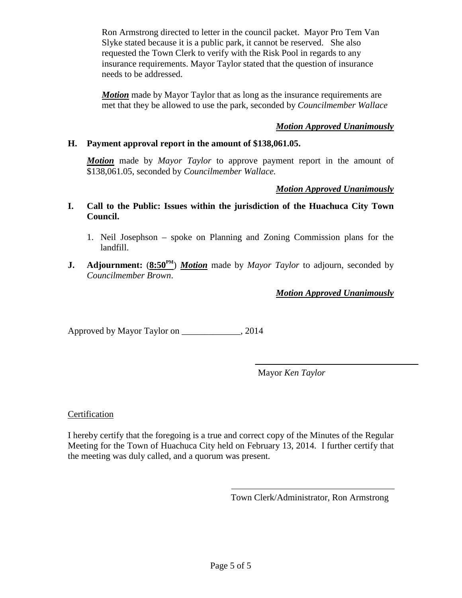Ron Armstrong directed to letter in the council packet. Mayor Pro Tem Van Slyke stated because it is a public park, it cannot be reserved. She also requested the Town Clerk to verify with the Risk Pool in regards to any insurance requirements. Mayor Taylor stated that the question of insurance needs to be addressed.

*Motion* made by Mayor Taylor that as long as the insurance requirements are met that they be allowed to use the park, seconded by *Councilmember Wallace*

# *Motion Approved Unanimously*

# **H. Payment approval report in the amount of \$138,061.05.**

*Motion* made by *Mayor Taylor* to approve payment report in the amount of \$138,061.05, seconded by *Councilmember Wallace.*

# *Motion Approved Unanimously*

- **I. Call to the Public: Issues within the jurisdiction of the Huachuca City Town Council.**
	- 1. Neil Josephson spoke on Planning and Zoning Commission plans for the landfill.
- **J. Adjournment:**  $(8:50^{PM})$  *Motion* made by *Mayor Taylor* to adjourn, seconded by *Councilmember Brown*.

*Motion Approved Unanimously*

Approved by Mayor Taylor on \_\_\_\_\_\_\_\_\_\_\_\_\_, 2014

Mayor *Ken Taylor*

### Certification

I hereby certify that the foregoing is a true and correct copy of the Minutes of the Regular Meeting for the Town of Huachuca City held on February 13, 2014. I further certify that the meeting was duly called, and a quorum was present.

Town Clerk/Administrator, Ron Armstrong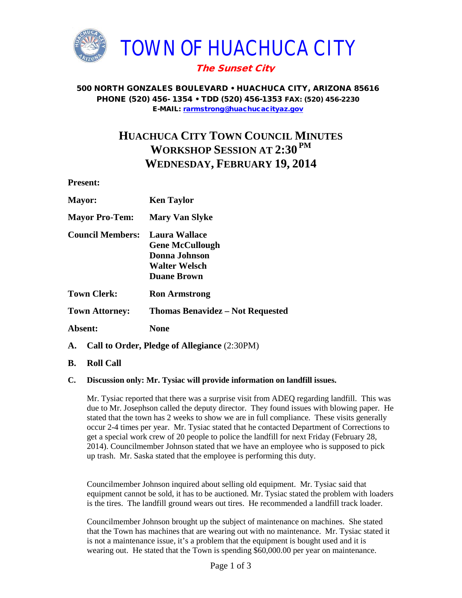

500 NORTH GONZALES BOULEVARD • HUACHUCA CITY, ARIZONA 85616 PHONE (520) 456- 1354 • TDD (520) 456-1353 FAX: (520) 456-2230 E-MAIL: [rarmstrong@huachucacityaz.gov](mailto:rarmstrong@huachucacityaz.gov)

# **HUACHUCA CITY TOWN COUNCIL MINUTES WORKSHOP SESSION AT 2:30 PM WEDNESDAY, FEBRUARY 19, 2014**

**Present:**

| <b>Mayor:</b>           | <b>Ken Taylor</b>                                                                                      |
|-------------------------|--------------------------------------------------------------------------------------------------------|
| <b>Mayor Pro-Tem:</b>   | <b>Mary Van Slyke</b>                                                                                  |
| <b>Council Members:</b> | Laura Wallace<br><b>Gene McCullough</b><br>Donna Johnson<br><b>Walter Welsch</b><br><b>Duane Brown</b> |
| <b>Town Clerk:</b>      | <b>Ron Armstrong</b>                                                                                   |
| <b>Town Attorney:</b>   | <b>Thomas Benavidez – Not Requested</b>                                                                |
| Absent:                 | None                                                                                                   |
| А.                      | Call to Order, Pledge of Allegiance (2:30PM)                                                           |

**B. Roll Call**

### **C. Discussion only: Mr. Tysiac will provide information on landfill issues.**

Mr. Tysiac reported that there was a surprise visit from ADEQ regarding landfill. This was due to Mr. Josephson called the deputy director. They found issues with blowing paper. He stated that the town has 2 weeks to show we are in full compliance. These visits generally occur 2-4 times per year. Mr. Tysiac stated that he contacted Department of Corrections to get a special work crew of 20 people to police the landfill for next Friday (February 28, 2014). Councilmember Johnson stated that we have an employee who is supposed to pick up trash. Mr. Saska stated that the employee is performing this duty.

Councilmember Johnson inquired about selling old equipment. Mr. Tysiac said that equipment cannot be sold, it has to be auctioned. Mr. Tysiac stated the problem with loaders is the tires. The landfill ground wears out tires. He recommended a landfill track loader.

Councilmember Johnson brought up the subject of maintenance on machines. She stated that the Town has machines that are wearing out with no maintenance. Mr. Tysiac stated it is not a maintenance issue, it's a problem that the equipment is bought used and it is wearing out. He stated that the Town is spending \$60,000.00 per year on maintenance.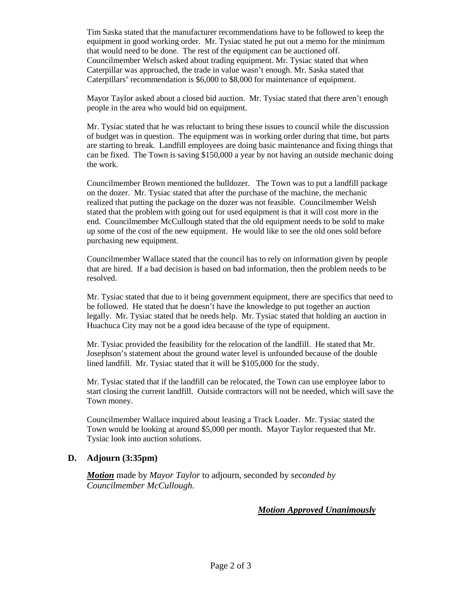Tim Saska stated that the manufacturer recommendations have to be followed to keep the equipment in good working order. Mr. Tysiac stated he put out a memo for the minimum that would need to be done. The rest of the equipment can be auctioned off. Councilmember Welsch asked about trading equipment. Mr. Tysiac stated that when Caterpillar was approached, the trade in value wasn't enough. Mr. Saska stated that Caterpillars' recommendation is \$6,000 to \$8,000 for maintenance of equipment.

Mayor Taylor asked about a closed bid auction. Mr. Tysiac stated that there aren't enough people in the area who would bid on equipment.

Mr. Tysiac stated that he was reluctant to bring these issues to council while the discussion of budget was in question. The equipment was in working order during that time, but parts are starting to break. Landfill employees are doing basic maintenance and fixing things that can be fixed. The Town is saving \$150,000 a year by not having an outside mechanic doing the work.

Councilmember Brown mentioned the bulldozer. The Town was to put a landfill package on the dozer. Mr. Tysiac stated that after the purchase of the machine, the mechanic realized that putting the package on the dozer was not feasible. Councilmember Welsh stated that the problem with going out for used equipment is that it will cost more in the end. Councilmember McCullough stated that the old equipment needs to be sold to make up some of the cost of the new equipment. He would like to see the old ones sold before purchasing new equipment.

Councilmember Wallace stated that the council has to rely on information given by people that are hired. If a bad decision is based on bad information, then the problem needs to be resolved.

Mr. Tysiac stated that due to it being government equipment, there are specifics that need to be followed. He stated that he doesn't have the knowledge to put together an auction legally. Mr. Tysiac stated that he needs help. Mr. Tysiac stated that holding an auction in Huachuca City may not be a good idea because of the type of equipment.

Mr. Tysiac provided the feasibility for the relocation of the landfill. He stated that Mr. Josephson's statement about the ground water level is unfounded because of the double lined landfill. Mr. Tysiac stated that it will be \$105,000 for the study.

Mr. Tysiac stated that if the landfill can be relocated, the Town can use employee labor to start closing the current landfill. Outside contractors will not be needed, which will save the Town money.

Councilmember Wallace inquired about leasing a Track Loader. Mr. Tysiac stated the Town would be looking at around \$5,000 per month. Mayor Taylor requested that Mr. Tysiac look into auction solutions.

### **D. Adjourn (3:35pm)**

*Motion* made by *Mayor Taylor* to adjourn, seconded by *seconded by Councilmember McCullough.*

### *Motion Approved Unanimously*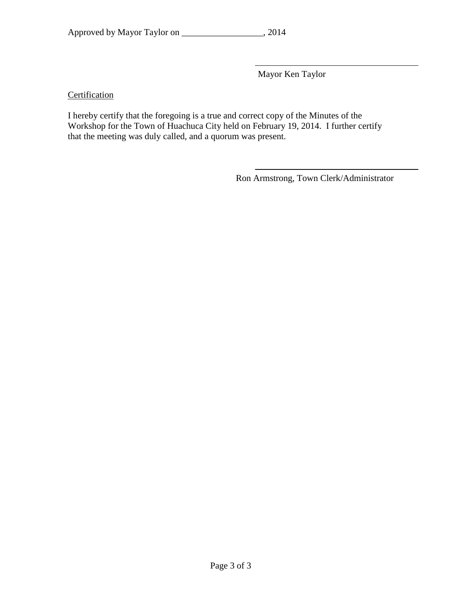|  | Approved by Mayor Taylor on |  | , 2014 |
|--|-----------------------------|--|--------|
|--|-----------------------------|--|--------|

Mayor Ken Taylor

# **Certification**

I hereby certify that the foregoing is a true and correct copy of the Minutes of the Workshop for the Town of Huachuca City held on February 19, 2014. I further certify that the meeting was duly called, and a quorum was present.

Ron Armstrong, Town Clerk/Administrator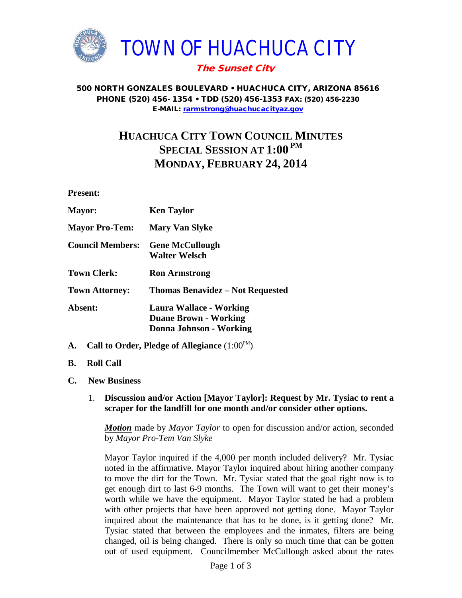

### 500 NORTH GONZALES BOULEVARD • HUACHUCA CITY, ARIZONA 85616 PHONE (520) 456- 1354 • TDD (520) 456-1353 FAX: (520) 456-2230 E-MAIL: [rarmstrong@huachucacityaz.gov](mailto:rarmstrong@huachucacityaz.gov)

# **HUACHUCA CITY TOWN COUNCIL MINUTES SPECIAL SESSION AT 1:00 PM MONDAY, FEBRUARY 24, 2014**

**Present:**

| <b>Ken Taylor</b>                                                                         |
|-------------------------------------------------------------------------------------------|
| <b>Mary Van Slyke</b>                                                                     |
| <b>Gene McCullough</b><br><b>Walter Welsch</b>                                            |
| <b>Ron Armstrong</b>                                                                      |
| <b>Thomas Benavidez – Not Requested</b>                                                   |
| <b>Laura Wallace - Working</b><br><b>Duane Brown - Working</b><br>Donna Johnson - Working |
|                                                                                           |

- A. Call to Order, Pledge of Allegiance  $(1:00^{\text{PM}})$
- **B. Roll Call**
- **C. New Business**
	- 1. **Discussion and/or Action [Mayor Taylor]: Request by Mr. Tysiac to rent a scraper for the landfill for one month and/or consider other options.**

*Motion* made by *Mayor Taylor* to open for discussion and/or action, seconded by *Mayor Pro-Tem Van Slyke*

Mayor Taylor inquired if the 4,000 per month included delivery? Mr. Tysiac noted in the affirmative. Mayor Taylor inquired about hiring another company to move the dirt for the Town. Mr. Tysiac stated that the goal right now is to get enough dirt to last 6-9 months. The Town will want to get their money's worth while we have the equipment. Mayor Taylor stated he had a problem with other projects that have been approved not getting done. Mayor Taylor inquired about the maintenance that has to be done, is it getting done? Mr. Tysiac stated that between the employees and the inmates, filters are being changed, oil is being changed. There is only so much time that can be gotten out of used equipment. Councilmember McCullough asked about the rates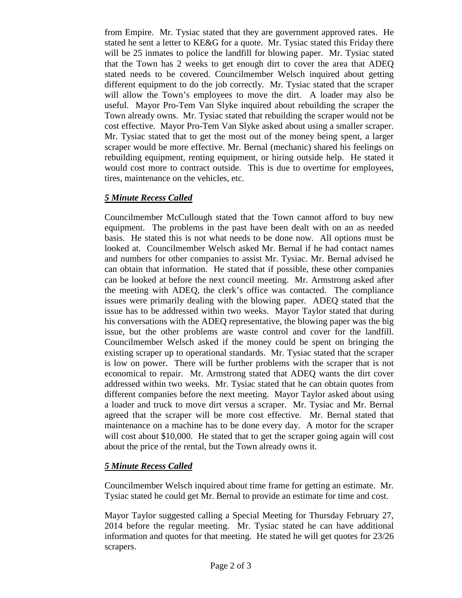from Empire. Mr. Tysiac stated that they are government approved rates. He stated he sent a letter to KE&G for a quote. Mr. Tysiac stated this Friday there will be 25 inmates to police the landfill for blowing paper. Mr. Tysiac stated that the Town has 2 weeks to get enough dirt to cover the area that ADEQ stated needs to be covered. Councilmember Welsch inquired about getting different equipment to do the job correctly. Mr. Tysiac stated that the scraper will allow the Town's employees to move the dirt. A loader may also be useful. Mayor Pro-Tem Van Slyke inquired about rebuilding the scraper the Town already owns. Mr. Tysiac stated that rebuilding the scraper would not be cost effective. Mayor Pro-Tem Van Slyke asked about using a smaller scraper. Mr. Tysiac stated that to get the most out of the money being spent, a larger scraper would be more effective. Mr. Bernal (mechanic) shared his feelings on rebuilding equipment, renting equipment, or hiring outside help. He stated it would cost more to contract outside. This is due to overtime for employees, tires, maintenance on the vehicles, etc.

# *5 Minute Recess Called*

Councilmember McCullough stated that the Town cannot afford to buy new equipment. The problems in the past have been dealt with on an as needed basis. He stated this is not what needs to be done now. All options must be looked at. Councilmember Welsch asked Mr. Bernal if he had contact names and numbers for other companies to assist Mr. Tysiac. Mr. Bernal advised he can obtain that information. He stated that if possible, these other companies can be looked at before the next council meeting. Mr. Armstrong asked after the meeting with ADEQ, the clerk's office was contacted. The compliance issues were primarily dealing with the blowing paper. ADEQ stated that the issue has to be addressed within two weeks. Mayor Taylor stated that during his conversations with the ADEQ representative, the blowing paper was the big issue, but the other problems are waste control and cover for the landfill. Councilmember Welsch asked if the money could be spent on bringing the existing scraper up to operational standards. Mr. Tysiac stated that the scraper is low on power. There will be further problems with the scraper that is not economical to repair. Mr. Armstrong stated that ADEQ wants the dirt cover addressed within two weeks. Mr. Tysiac stated that he can obtain quotes from different companies before the next meeting. Mayor Taylor asked about using a loader and truck to move dirt versus a scraper. Mr. Tysiac and Mr. Bernal agreed that the scraper will be more cost effective. Mr. Bernal stated that maintenance on a machine has to be done every day. A motor for the scraper will cost about \$10,000. He stated that to get the scraper going again will cost about the price of the rental, but the Town already owns it.

# *5 Minute Recess Called*

Councilmember Welsch inquired about time frame for getting an estimate. Mr. Tysiac stated he could get Mr. Bernal to provide an estimate for time and cost.

Mayor Taylor suggested calling a Special Meeting for Thursday February 27, 2014 before the regular meeting. Mr. Tysiac stated he can have additional information and quotes for that meeting. He stated he will get quotes for 23/26 scrapers.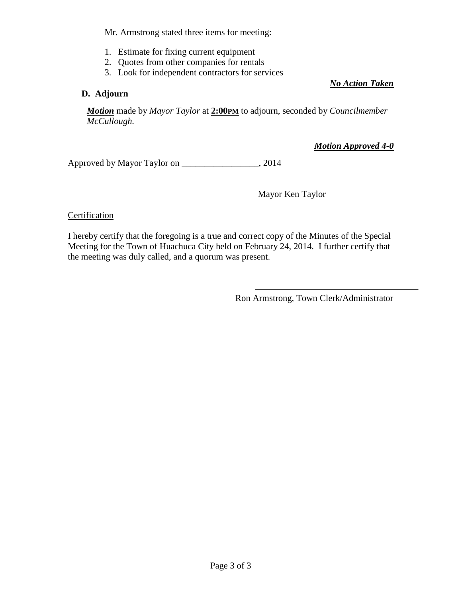Mr. Armstrong stated three items for meeting:

- 1. Estimate for fixing current equipment
- 2. Quotes from other companies for rentals
- 3. Look for independent contractors for services

# **D. Adjourn**

*No Action Taken*

*Motion* made by *Mayor Taylor* at **2:00PM** to adjourn, seconded by *Councilmember McCullough.*

*Motion Approved 4-0*

Approved by Mayor Taylor on \_\_\_\_\_\_\_\_\_\_\_\_\_\_\_\_\_, 2014

Mayor Ken Taylor

### Certification

I hereby certify that the foregoing is a true and correct copy of the Minutes of the Special Meeting for the Town of Huachuca City held on February 24, 2014. I further certify that the meeting was duly called, and a quorum was present.

Ron Armstrong, Town Clerk/Administrator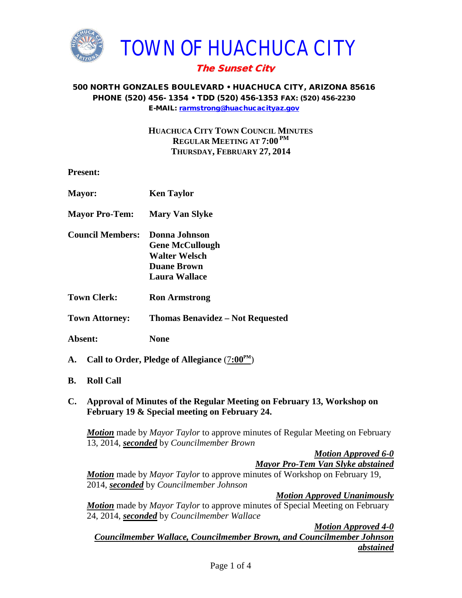

### 500 NORTH GONZALES BOULEVARD • HUACHUCA CITY, ARIZONA 85616 PHONE (520) 456- 1354 • TDD (520) 456-1353 FAX: (520) 456-2230 E-MAIL: [rarmstrong@huachucacityaz.gov](mailto:rarmstrong@huachucacityaz.gov)

**HUACHUCA CITY TOWN COUNCIL MINUTES REGULAR MEETING AT 7:00 PM THURSDAY, FEBRUARY 27, 2014**

**Present:**

| <b>Mayor:</b>                                                  | <b>Ken Taylor</b>                       |  |
|----------------------------------------------------------------|-----------------------------------------|--|
| <b>Mayor Pro-Tem:</b>                                          | <b>Mary Van Slyke</b>                   |  |
| <b>Council Members:</b>                                        | Donna Johnson                           |  |
|                                                                | <b>Gene McCullough</b>                  |  |
|                                                                | <b>Walter Welsch</b>                    |  |
|                                                                | <b>Duane Brown</b>                      |  |
|                                                                | Laura Wallace                           |  |
| <b>Town Clerk:</b>                                             | <b>Ron Armstrong</b>                    |  |
| <b>Town Attorney:</b>                                          | <b>Thomas Benavidez – Not Requested</b> |  |
| Absent:                                                        | None                                    |  |
| Call to Order, Pledge of Allegiance $(7:00^{\text{PM}})$<br>А. |                                         |  |

- **B. Roll Call**
- **C. Approval of Minutes of the Regular Meeting on February 13, Workshop on February 19 & Special meeting on February 24.**

*Motion* made by *Mayor Taylor* to approve minutes of Regular Meeting on February 13, 2014, *seconded* by *Councilmember Brown*

> *Motion Approved 6-0 Mayor Pro-Tem Van Slyke abstained*

*Motion* made by *Mayor Taylor* to approve minutes of Workshop on February 19, 2014, *seconded* by *Councilmember Johnson*

*Motion Approved Unanimously*

*Motion* made by *Mayor Taylor* to approve minutes of Special Meeting on February 24, 2014, *seconded* by *Councilmember Wallace*

*Motion Approved 4-0 Councilmember Wallace, Councilmember Brown, and Councilmember Johnson abstained*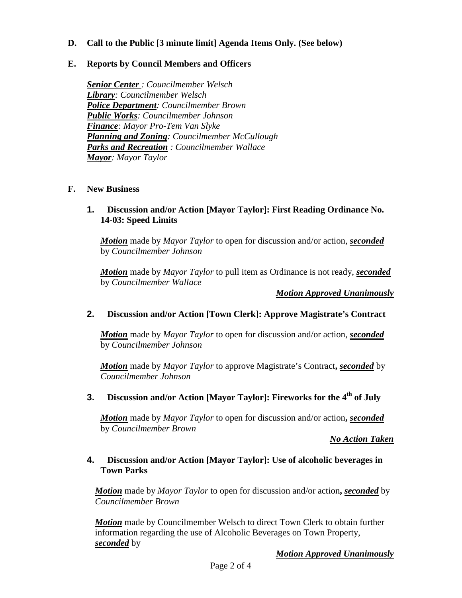## **D. Call to the Public [3 minute limit] Agenda Items Only. (See below)**

### **E. Reports by Council Members and Officers**

*Senior Center : Councilmember Welsch Library: Councilmember Welsch Police Department: Councilmember Brown Public Works: Councilmember Johnson Finance: Mayor Pro-Tem Van Slyke Planning and Zoning: Councilmember McCullough Parks and Recreation : Councilmember Wallace Mayor: Mayor Taylor*

### **F. New Business**

### **1. Discussion and/or Action [Mayor Taylor]: First Reading Ordinance No. 14-03: Speed Limits**

*Motion* made by *Mayor Taylor* to open for discussion and/or action, *seconded* by *Councilmember Johnson*

*Motion* made by *Mayor Taylor* to pull item as Ordinance is not ready, *seconded* by *Councilmember Wallace*

*Motion Approved Unanimously*

### **2. Discussion and/or Action [Town Clerk]: Approve Magistrate's Contract**

*Motion* made by *Mayor Taylor* to open for discussion and/or action, *seconded* by *Councilmember Johnson*

*Motion* made by *Mayor Taylor* to approve Magistrate's Contract**,** *seconded* by *Councilmember Johnson*

### **3.** Discussion and/or Action [Mayor Taylor]: Fireworks for the 4<sup>th</sup> of July

*Motion* made by *Mayor Taylor* to open for discussion and/or action**,** *seconded* by *Councilmember Brown*

*No Action Taken*

### **4. Discussion and/or Action [Mayor Taylor]: Use of alcoholic beverages in Town Parks**

*Motion* made by *Mayor Taylor* to open for discussion and/or action**,** *seconded* by *Councilmember Brown*

*Motion* made by Councilmember Welsch to direct Town Clerk to obtain further information regarding the use of Alcoholic Beverages on Town Property, *seconded* by

*Motion Approved Unanimously*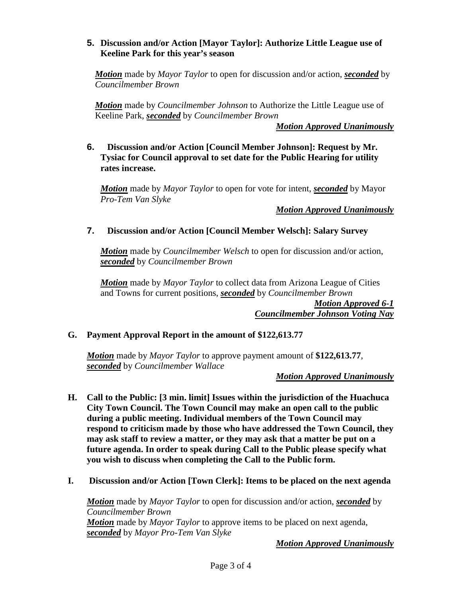# **5. Discussion and/or Action [Mayor Taylor]: Authorize Little League use of Keeline Park for this year's season**

*Motion* made by *Mayor Taylor* to open for discussion and/or action, *seconded* by *Councilmember Brown*

*Motion* made by *Councilmember Johnson* to Authorize the Little League use of Keeline Park, *seconded* by *Councilmember Brown*

*Motion Approved Unanimously*

**6. Discussion and/or Action [Council Member Johnson]: Request by Mr. Tysiac for Council approval to set date for the Public Hearing for utility rates increase.**

*Motion* made by *Mayor Taylor* to open for vote for intent, *seconded* by Mayor *Pro-Tem Van Slyke*

### *Motion Approved Unanimously*

# **7. Discussion and/or Action [Council Member Welsch]: Salary Survey**

*Motion* made by *Councilmember Welsch* to open for discussion and/or action, *seconded* by *Councilmember Brown*

*Motion* made by *Mayor Taylor* to collect data from Arizona League of Cities and Towns for current positions, *seconded* by *Councilmember Brown*

> *Motion Approved 6-1 Councilmember Johnson Voting Nay*

### **G. Payment Approval Report in the amount of \$122,613.77**

*Motion* made by *Mayor Taylor* to approve payment amount of **\$122,613.77**, *seconded* by *Councilmember Wallace*

### *Motion Approved Unanimously*

- **H. Call to the Public: [3 min. limit] Issues within the jurisdiction of the Huachuca City Town Council. The Town Council may make an open call to the public during a public meeting. Individual members of the Town Council may respond to criticism made by those who have addressed the Town Council, they may ask staff to review a matter, or they may ask that a matter be put on a future agenda. In order to speak during Call to the Public please specify what you wish to discuss when completing the Call to the Public form.**
- **I. Discussion and/or Action [Town Clerk]: Items to be placed on the next agenda**

*Motion* made by *Mayor Taylor* to open for discussion and/or action, *seconded* by *Councilmember Brown Motion* made by *Mayor Taylor* to approve items to be placed on next agenda, *seconded* by *Mayor Pro-Tem Van Slyke*

*Motion Approved Unanimously*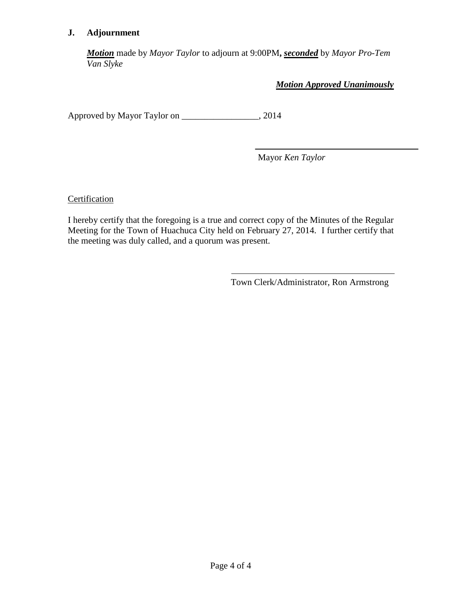# **J. Adjournment**

*Motion* made by *Mayor Taylor* to adjourn at 9:00PM**,** *seconded* by *Mayor Pro-Tem Van Slyke*

*Motion Approved Unanimously*

Approved by Mayor Taylor on \_\_\_\_\_\_\_\_\_\_\_\_\_\_\_\_\_, 2014

Mayor *Ken Taylor*

**Certification** 

I hereby certify that the foregoing is a true and correct copy of the Minutes of the Regular Meeting for the Town of Huachuca City held on February 27, 2014. I further certify that the meeting was duly called, and a quorum was present.

Town Clerk/Administrator, Ron Armstrong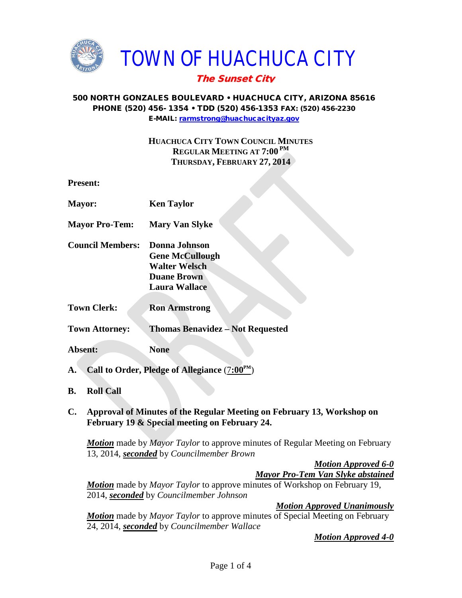

## 500 NORTH GONZALES BOULEVARD • HUACHUCA CITY, ARIZONA 85616 PHONE (520) 456- 1354 • TDD (520) 456-1353 FAX: (520) 456-2230 E-MAIL: [rarmstrong@huachucacityaz.gov](mailto:rarmstrong@huachucacityaz.gov)

# **HUACHUCA CITY TOWN COUNCIL MINUTES REGULAR MEETING AT 7:00 PM THURSDAY, FEBRUARY 27, 2014**

**Present:**

| <b>Mayor:</b>           | <b>Ken Taylor</b>                                                                                                       |
|-------------------------|-------------------------------------------------------------------------------------------------------------------------|
| <b>Mayor Pro-Tem:</b>   | <b>Mary Van Slyke</b>                                                                                                   |
| <b>Council Members:</b> | Donna Johnson<br><b>Gene McCullough</b><br><b>Walter Welsch</b><br><b>Duane Brown</b><br><b>Laura Wallace</b>           |
| <b>Town Clerk:</b>      | <b>Ron Armstrong</b>                                                                                                    |
| <b>Town Attorney:</b>   | <b>Thomas Benavidez - Not Requested</b>                                                                                 |
| Absent:                 | <b>None</b>                                                                                                             |
| ${\bf A.}$              | Call to Order, Pledge of Allegiance $(7:00^{\text{PM}})$                                                                |
| В.<br><b>Roll Call</b>  |                                                                                                                         |
| C.                      | Approval of Minutes of the Regular Meeting on February 13, Workshop on<br>February 19 & Special meeting on February 24. |

*Motion* made by *Mayor Taylor* to approve minutes of Regular Meeting on February 13, 2014, *seconded* by *Councilmember Brown*

> *Motion Approved 6-0 Mayor Pro-Tem Van Slyke abstained*

*Motion* made by *Mayor Taylor* to approve minutes of Workshop on February 19, 2014, *seconded* by *Councilmember Johnson*

*Motion Approved Unanimously*

*Motion* made by *Mayor Taylor* to approve minutes of Special Meeting on February 24, 2014, *seconded* by *Councilmember Wallace*

*Motion Approved 4-0*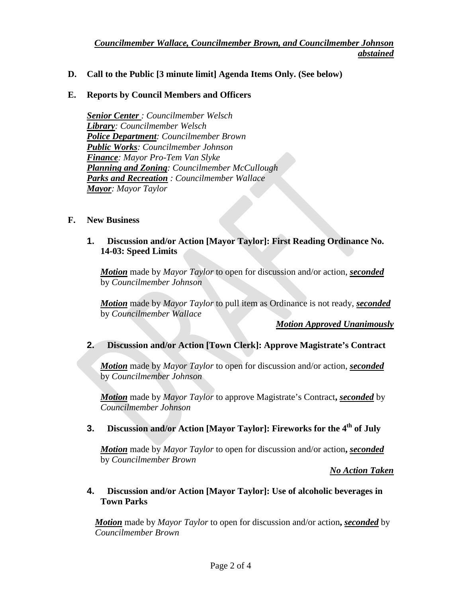## **D. Call to the Public [3 minute limit] Agenda Items Only. (See below)**

## **E. Reports by Council Members and Officers**

*Senior Center : Councilmember Welsch Library: Councilmember Welsch Police Department: Councilmember Brown Public Works: Councilmember Johnson Finance: Mayor Pro-Tem Van Slyke Planning and Zoning: Councilmember McCullough Parks and Recreation : Councilmember Wallace Mayor: Mayor Taylor*

## **F. New Business**

# **1. Discussion and/or Action [Mayor Taylor]: First Reading Ordinance No. 14-03: Speed Limits**

*Motion* made by *Mayor Taylor* to open for discussion and/or action, *seconded* by *Councilmember Johnson*

*Motion* made by *Mayor Taylor* to pull item as Ordinance is not ready, *seconded* by *Councilmember Wallace*

#### *Motion Approved Unanimously*

# **2. Discussion and/or Action [Town Clerk]: Approve Magistrate's Contract**

*Motion* made by *Mayor Taylor* to open for discussion and/or action, *seconded* by *Councilmember Johnson*

*Motion* made by *Mayor Taylor* to approve Magistrate's Contract**,** *seconded* by *Councilmember Johnson*

## **3.** Discussion and/or Action [Mayor Taylor]: Fireworks for the 4<sup>th</sup> of July

*Motion* made by *Mayor Taylor* to open for discussion and/or action**,** *seconded* by *Councilmember Brown*

## *No Action Taken*

## **4. Discussion and/or Action [Mayor Taylor]: Use of alcoholic beverages in Town Parks**

*Motion* made by *Mayor Taylor* to open for discussion and/or action**,** *seconded* by *Councilmember Brown*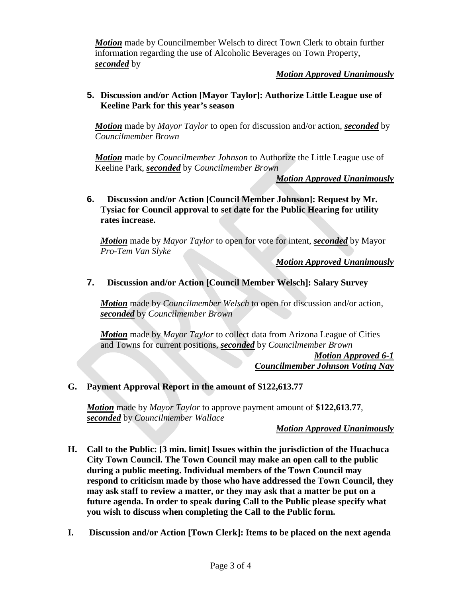*Motion* made by Councilmember Welsch to direct Town Clerk to obtain further information regarding the use of Alcoholic Beverages on Town Property, *seconded* by

# *Motion Approved Unanimously*

# **5. Discussion and/or Action [Mayor Taylor]: Authorize Little League use of Keeline Park for this year's season**

*Motion* made by *Mayor Taylor* to open for discussion and/or action, *seconded* by *Councilmember Brown*

*Motion* made by *Councilmember Johnson* to Authorize the Little League use of Keeline Park, *seconded* by *Councilmember Brown*

*Motion Approved Unanimously*

**6. Discussion and/or Action [Council Member Johnson]: Request by Mr. Tysiac for Council approval to set date for the Public Hearing for utility rates increase.**

*Motion* made by *Mayor Taylor* to open for vote for intent, *seconded* by Mayor *Pro-Tem Van Slyke*

# *Motion Approved Unanimously*

# **7. Discussion and/or Action [Council Member Welsch]: Salary Survey**

*Motion* made by *Councilmember Welsch* to open for discussion and/or action, *seconded* by *Councilmember Brown*

*Motion* made by *Mayor Taylor* to collect data from Arizona League of Cities and Towns for current positions, *seconded* by *Councilmember Brown*

*Motion Approved 6-1 Councilmember Johnson Voting Nay* 

# **G. Payment Approval Report in the amount of \$122,613.77**

*Motion* made by *Mayor Taylor* to approve payment amount of **\$122,613.77**, *seconded* by *Councilmember Wallace*

# *Motion Approved Unanimously*

- **H. Call to the Public: [3 min. limit] Issues within the jurisdiction of the Huachuca City Town Council. The Town Council may make an open call to the public during a public meeting. Individual members of the Town Council may respond to criticism made by those who have addressed the Town Council, they may ask staff to review a matter, or they may ask that a matter be put on a future agenda. In order to speak during Call to the Public please specify what you wish to discuss when completing the Call to the Public form.**
- **I. Discussion and/or Action [Town Clerk]: Items to be placed on the next agenda**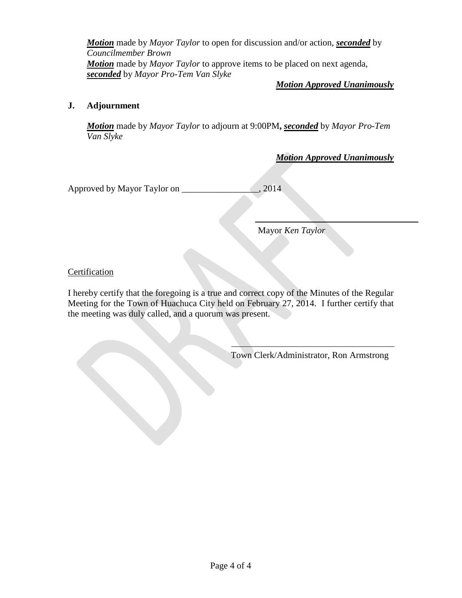*Motion* made by *Mayor Taylor* to open for discussion and/or action, *seconded* by *Councilmember Brown Motion* made by *Mayor Taylor* to approve items to be placed on next agenda, *seconded* by *Mayor Pro-Tem Van Slyke*

# *Motion Approved Unanimously*

# **J. Adjournment**

*Motion* made by *Mayor Taylor* to adjourn at 9:00PM**,** *seconded* by *Mayor Pro-Tem Van Slyke*

*Motion Approved Unanimously*

Approved by Mayor Taylor on \_\_\_\_\_\_\_\_\_\_\_\_\_\_\_\_\_, 2014

Mayor *Ken Taylor*

# Certification

I hereby certify that the foregoing is a true and correct copy of the Minutes of the Regular Meeting for the Town of Huachuca City held on February 27, 2014. I further certify that the meeting was duly called, and a quorum was present.

Town Clerk/Administrator, Ron Armstrong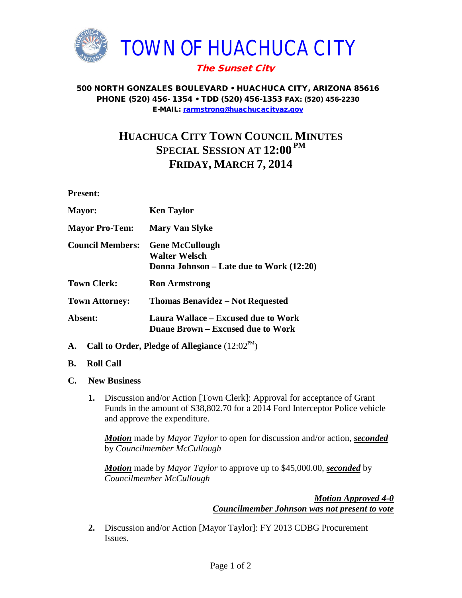

## 500 NORTH GONZALES BOULEVARD • HUACHUCA CITY, ARIZONA 85616 PHONE (520) 456- 1354 • TDD (520) 456-1353 FAX: (520) 456-2230 E-MAIL: [rarmstrong@huachucacityaz.gov](mailto:rarmstrong@huachucacityaz.gov)

# **HUACHUCA CITY TOWN COUNCIL MINUTES SPECIAL SESSION AT 12:00 PM FRIDAY, MARCH 7, 2014**

**Present:**

| <b>Mayor:</b>           | <b>Ken Taylor</b>                                                                          |
|-------------------------|--------------------------------------------------------------------------------------------|
| <b>Mayor Pro-Tem:</b>   | <b>Mary Van Slyke</b>                                                                      |
| <b>Council Members:</b> | <b>Gene McCullough</b><br><b>Walter Welsch</b><br>Donna Johnson – Late due to Work (12:20) |
| <b>Town Clerk:</b>      | <b>Ron Armstrong</b>                                                                       |
| <b>Town Attorney:</b>   | <b>Thomas Benavidez – Not Requested</b>                                                    |
| Absent:                 | Laura Wallace – Excused due to Work<br><b>Duane Brown – Excused due to Work</b>            |

- **A.** Call to Order, Pledge of Allegiance  $(12:02^{\text{PM}})$
- **B. Roll Call**
- **C. New Business**
	- **1.** Discussion and/or Action [Town Clerk]: Approval for acceptance of Grant Funds in the amount of \$38,802.70 for a 2014 Ford Interceptor Police vehicle and approve the expenditure.

*Motion* made by *Mayor Taylor* to open for discussion and/or action, *seconded* by *Councilmember McCullough*

*Motion* made by *Mayor Taylor* to approve up to \$45,000.00, *seconded* by *Councilmember McCullough*

> *Motion Approved 4-0 Councilmember Johnson was not present to vote*

**2.** Discussion and/or Action [Mayor Taylor]: FY 2013 CDBG Procurement Issues.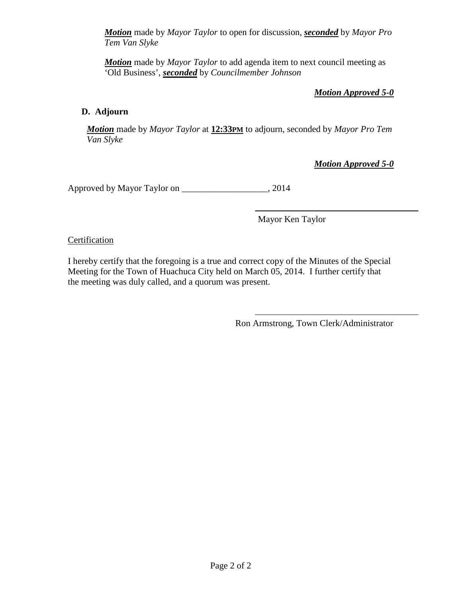*Motion* made by *Mayor Taylor* to open for discussion, *seconded* by *Mayor Pro Tem Van Slyke*

*Motion* made by *Mayor Taylor* to add agenda item to next council meeting as 'Old Business', *seconded* by *Councilmember Johnson*

*Motion Approved 5-0*

# **D. Adjourn**

*Motion* made by *Mayor Taylor* at **12:33PM** to adjourn, seconded by *Mayor Pro Tem Van Slyke*

*Motion Approved 5-0*

Approved by Mayor Taylor on \_\_\_\_\_\_\_\_\_\_\_\_\_\_\_\_\_\_\_, 2014

Mayor Ken Taylor

# Certification

I hereby certify that the foregoing is a true and correct copy of the Minutes of the Special Meeting for the Town of Huachuca City held on March 05, 2014. I further certify that the meeting was duly called, and a quorum was present.

Ron Armstrong, Town Clerk/Administrator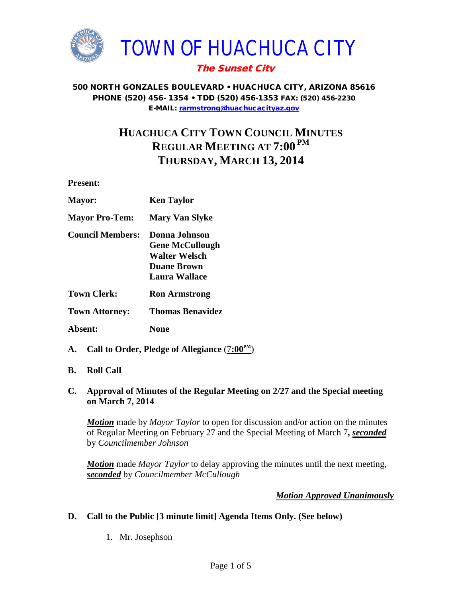

## 500 NORTH GONZALES BOULEVARD • HUACHUCA CITY, ARIZONA 85616 PHONE (520) 456- 1354 • TDD (520) 456-1353 FAX: (520) 456-2230 E-MAIL: [rarmstrong@huachucacityaz.gov](mailto:rarmstrong@huachucacityaz.gov)

# **HUACHUCA CITY TOWN COUNCIL MINUTES REGULAR MEETING AT 7:00 PM THURSDAY, MARCH 13, 2014**

**Present:**

| <b>Mayor:</b>           | <b>Ken Taylor</b>                                                                               |
|-------------------------|-------------------------------------------------------------------------------------------------|
| <b>Mayor Pro-Tem:</b>   | <b>Mary Van Slyke</b>                                                                           |
| <b>Council Members:</b> | Donna Johnson<br><b>Gene McCullough</b><br>Walter Welsch<br><b>Duane Brown</b><br>Laura Wallace |
| Town Clerk:             | <b>Ron Armstrong</b>                                                                            |
| <b>Town Attorney:</b>   | Thomas Benavidez                                                                                |
| Absent:                 | None                                                                                            |

- **A. Call to Order, Pledge of Allegiance** (7**:00PM**)
- **B. Roll Call**

## **C. Approval of Minutes of the Regular Meeting on 2/27 and the Special meeting on March 7, 2014**

*Motion* made by *Mayor Taylor* to open for discussion and/or action on the minutes of Regular Meeting on February 27 and the Special Meeting of March 7**,** *seconded* by *Councilmember Johnson*

*Motion* made *Mayor Taylor* to delay approving the minutes until the next meeting, *seconded* by *Councilmember McCullough*

# *Motion Approved Unanimously*

# **D. Call to the Public [3 minute limit] Agenda Items Only. (See below)**

1. Mr. Josephson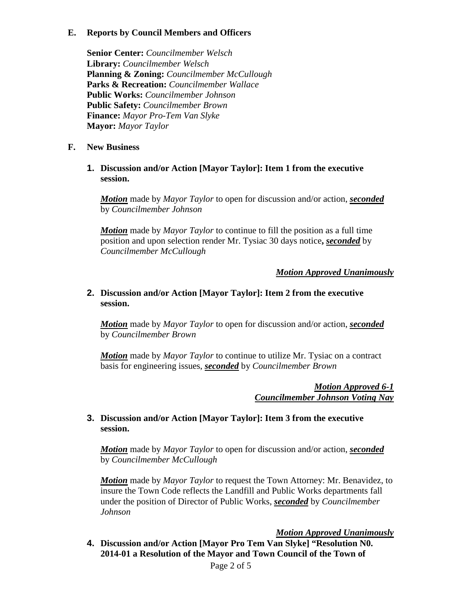# **E. Reports by Council Members and Officers**

**Senior Center:** *Councilmember Welsch* **Library:** *Councilmember Welsch* **Planning & Zoning:** *Councilmember McCullough* **Parks & Recreation:** *Councilmember Wallace* **Public Works:** *Councilmember Johnson* **Public Safety:** *Councilmember Brown* **Finance:** *Mayor Pro-Tem Van Slyke* **Mayor:** *Mayor Taylor*

# **F. New Business**

**1. Discussion and/or Action [Mayor Taylor]: Item 1 from the executive session.**

*Motion* made by *Mayor Taylor* to open for discussion and/or action, *seconded* by *Councilmember Johnson*

*Motion* made by *Mayor Taylor* to continue to fill the position as a full time position and upon selection render Mr. Tysiac 30 days notice**,** *seconded* by *Councilmember McCullough*

# *Motion Approved Unanimously*

## **2. Discussion and/or Action [Mayor Taylor]: Item 2 from the executive session.**

*Motion* made by *Mayor Taylor* to open for discussion and/or action, *seconded* by *Councilmember Brown*

*Motion* made by *Mayor Taylor* to continue to utilize Mr. Tysiac on a contract basis for engineering issues, *seconded* by *Councilmember Brown*

> *Motion Approved 6-1 Councilmember Johnson Voting Nay*

# **3. Discussion and/or Action [Mayor Taylor]: Item 3 from the executive session.**

*Motion* made by *Mayor Taylor* to open for discussion and/or action, *seconded* by *Councilmember McCullough*

*Motion* made by *Mayor Taylor* to request the Town Attorney: Mr. Benavidez, to insure the Town Code reflects the Landfill and Public Works departments fall under the position of Director of Public Works, *seconded* by *Councilmember Johnson* 

# *Motion Approved Unanimously*

**4. Discussion and/or Action [Mayor Pro Tem Van Slyke] "Resolution N0. 2014-01 a Resolution of the Mayor and Town Council of the Town of**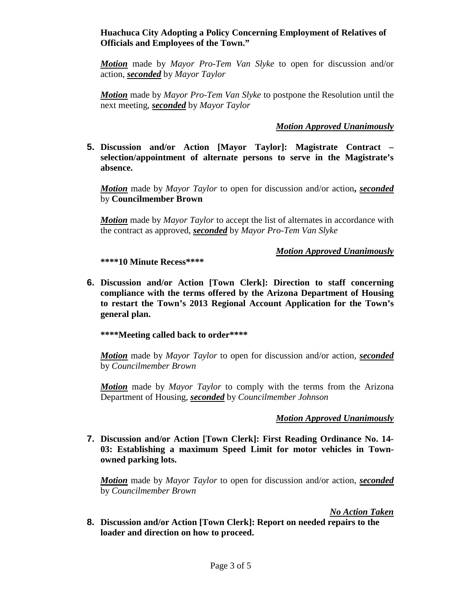## **Huachuca City Adopting a Policy Concerning Employment of Relatives of Officials and Employees of the Town."**

*Motion* made by *Mayor Pro-Tem Van Slyke* to open for discussion and/or action, *seconded* by *Mayor Taylor*

*Motion* made by *Mayor Pro-Tem Van Slyke* to postpone the Resolution until the next meeting, *seconded* by *Mayor Taylor*

# *Motion Approved Unanimously*

**5. Discussion and/or Action [Mayor Taylor]: Magistrate Contract – selection/appointment of alternate persons to serve in the Magistrate's absence.** 

*Motion* made by *Mayor Taylor* to open for discussion and/or action**,** *seconded* by **Councilmember Brown**

*Motion* made by *Mayor Taylor* to accept the list of alternates in accordance with the contract as approved, *seconded* by *Mayor Pro-Tem Van Slyke*

**\*\*\*\*10 Minute Recess\*\*\*\***

## *Motion Approved Unanimously*

**6. Discussion and/or Action [Town Clerk]: Direction to staff concerning compliance with the terms offered by the Arizona Department of Housing to restart the Town's 2013 Regional Account Application for the Town's general plan.**

**\*\*\*\*Meeting called back to order\*\*\*\***

*Motion* made by *Mayor Taylor* to open for discussion and/or action, *seconded* by *Councilmember Brown*

*Motion* made by *Mayor Taylor* to comply with the terms from the Arizona Department of Housing, *seconded* by *Councilmember Johnson*

# *Motion Approved Unanimously*

**7. Discussion and/or Action [Town Clerk]: First Reading Ordinance No. 14- 03: Establishing a maximum Speed Limit for motor vehicles in Townowned parking lots.**

*Motion* made by *Mayor Taylor* to open for discussion and/or action, *seconded* by *Councilmember Brown*

*No Action Taken*

**8. Discussion and/or Action [Town Clerk]: Report on needed repairs to the loader and direction on how to proceed.**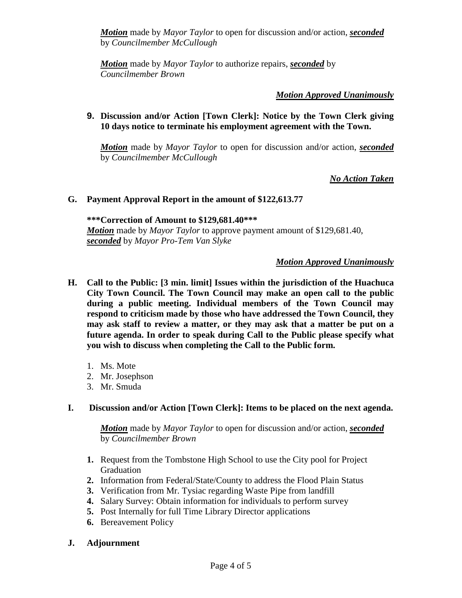*Motion* made by *Mayor Taylor* to open for discussion and/or action, *seconded* by *Councilmember McCullough*

*Motion* made by *Mayor Taylor* to authorize repairs, *seconded* by *Councilmember Brown*

## *Motion Approved Unanimously*

## **9. Discussion and/or Action [Town Clerk]: Notice by the Town Clerk giving 10 days notice to terminate his employment agreement with the Town.**

*Motion* made by *Mayor Taylor* to open for discussion and/or action, *seconded* by *Councilmember McCullough*

*No Action Taken*

## **G. Payment Approval Report in the amount of \$122,613.77**

**\*\*\*Correction of Amount to \$129,681.40\*\*\*** *Motion* made by *Mayor Taylor* to approve payment amount of \$129,681.40, *seconded* by *Mayor Pro-Tem Van Slyke*

## *Motion Approved Unanimously*

- **H. Call to the Public: [3 min. limit] Issues within the jurisdiction of the Huachuca City Town Council. The Town Council may make an open call to the public during a public meeting. Individual members of the Town Council may respond to criticism made by those who have addressed the Town Council, they may ask staff to review a matter, or they may ask that a matter be put on a future agenda. In order to speak during Call to the Public please specify what you wish to discuss when completing the Call to the Public form.**
	- 1. Ms. Mote
	- 2. Mr. Josephson
	- 3. Mr. Smuda

# **I. Discussion and/or Action [Town Clerk]: Items to be placed on the next agenda.**

*Motion* made by *Mayor Taylor* to open for discussion and/or action, *seconded* by *Councilmember Brown*

- **1.** Request from the Tombstone High School to use the City pool for Project Graduation
- **2.** Information from Federal/State/County to address the Flood Plain Status
- **3.** Verification from Mr. Tysiac regarding Waste Pipe from landfill
- **4.** Salary Survey: Obtain information for individuals to perform survey
- **5.** Post Internally for full Time Library Director applications
- **6.** Bereavement Policy
- **J. Adjournment**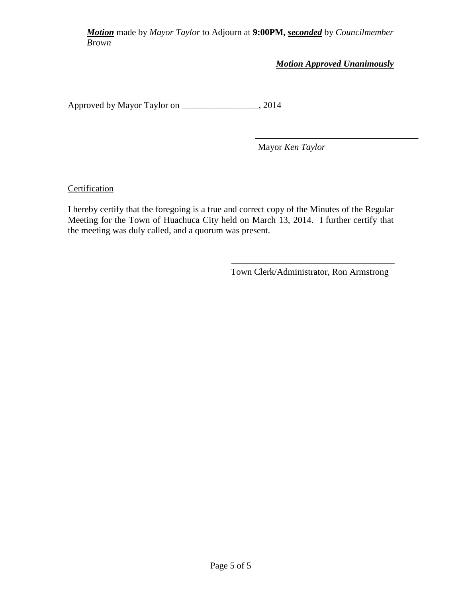*Motion* made by *Mayor Taylor* to Adjourn at **9:00PM,** *seconded* by *Councilmember Brown*

*Motion Approved Unanimously*

Approved by Mayor Taylor on \_\_\_\_\_\_\_\_\_\_\_\_\_\_\_\_\_, 2014

Mayor *Ken Taylor*

**Certification** 

I hereby certify that the foregoing is a true and correct copy of the Minutes of the Regular Meeting for the Town of Huachuca City held on March 13, 2014. I further certify that the meeting was duly called, and a quorum was present.

Town Clerk/Administrator, Ron Armstrong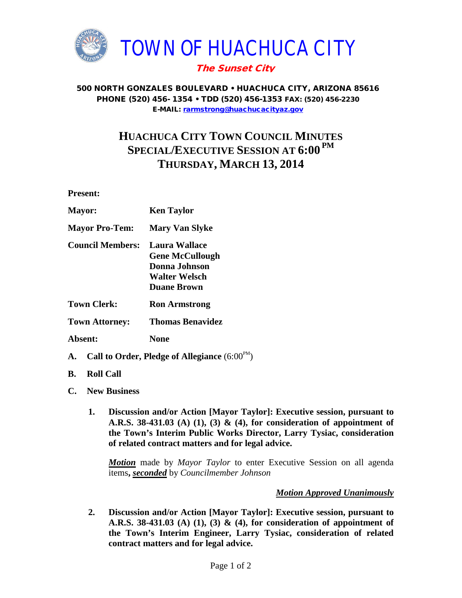

500 NORTH GONZALES BOULEVARD • HUACHUCA CITY, ARIZONA 85616 PHONE (520) 456- 1354 • TDD (520) 456-1353 FAX: (520) 456-2230 E-MAIL: [rarmstrong@huachucacityaz.gov](mailto:rarmstrong@huachucacityaz.gov)

# **HUACHUCA CITY TOWN COUNCIL MINUTES SPECIAL/EXECUTIVE SESSION AT 6:00 PM THURSDAY, MARCH 13, 2014**

**Present:**

| <b>Mayor:</b>           | <b>Ken Taylor</b>                                                                                      |
|-------------------------|--------------------------------------------------------------------------------------------------------|
| <b>Mayor Pro-Tem:</b>   | <b>Mary Van Slyke</b>                                                                                  |
| <b>Council Members:</b> | <b>Laura Wallace</b><br><b>Gene McCullough</b><br>Donna Johnson<br>Walter Welsch<br><b>Duane Brown</b> |
| <b>Town Clerk:</b>      | <b>Ron Armstrong</b>                                                                                   |
| <b>Town Attorney:</b>   | Thomas Benavidez                                                                                       |
| Absent:                 | None                                                                                                   |

- **A.** Call to Order, Pledge of Allegiance  $(6:00^{PM})$
- **B. Roll Call**
- **C. New Business**
	- **1. Discussion and/or Action [Mayor Taylor]: Executive session, pursuant to A.R.S. 38-431.03 (A) (1), (3) & (4), for consideration of appointment of the Town's Interim Public Works Director, Larry Tysiac, consideration of related contract matters and for legal advice.**

*Motion* made by *Mayor Taylor* to enter Executive Session on all agenda items**,** *seconded* by *Councilmember Johnson*

## *Motion Approved Unanimously*

**2. Discussion and/or Action [Mayor Taylor]: Executive session, pursuant to A.R.S. 38-431.03 (A) (1), (3) & (4), for consideration of appointment of the Town's Interim Engineer, Larry Tysiac, consideration of related contract matters and for legal advice.**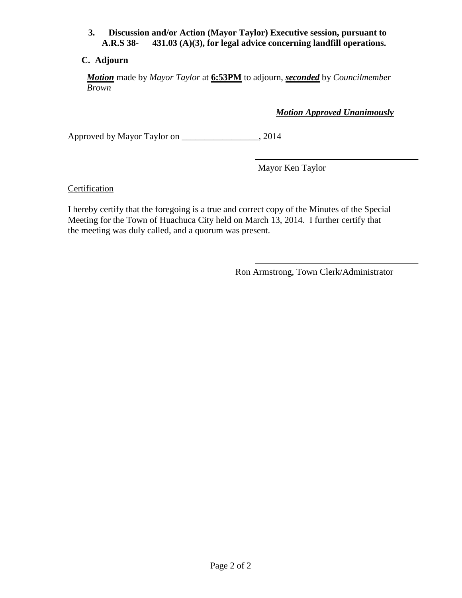## **3. Discussion and/or Action (Mayor Taylor) Executive session, pursuant to A.R.S 38- 431.03 (A)(3), for legal advice concerning landfill operations.**

# **C. Adjourn**

*Motion* made by *Mayor Taylor* at **6:53PM** to adjourn, *seconded* by *Councilmember Brown*

*Motion Approved Unanimously*

Approved by Mayor Taylor on \_\_\_\_\_\_\_\_\_\_\_\_\_\_\_\_\_, 2014

Mayor Ken Taylor

**Certification** 

I hereby certify that the foregoing is a true and correct copy of the Minutes of the Special Meeting for the Town of Huachuca City held on March 13, 2014. I further certify that the meeting was duly called, and a quorum was present.

Ron Armstrong, Town Clerk/Administrator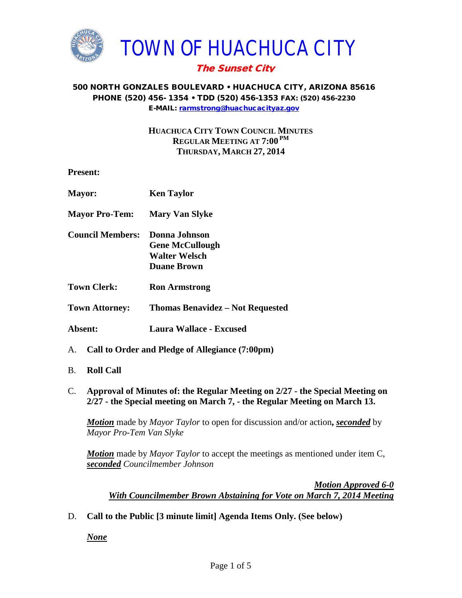

## 500 NORTH GONZALES BOULEVARD • HUACHUCA CITY, ARIZONA 85616 PHONE (520) 456- 1354 • TDD (520) 456-1353 FAX: (520) 456-2230 E-MAIL: [rarmstrong@huachucacityaz.gov](mailto:rarmstrong@huachucacityaz.gov)

**HUACHUCA CITY TOWN COUNCIL MINUTES REGULAR MEETING AT 7:00 PM THURSDAY, MARCH 27, 2014**

**Present:**

| Mayor:                  | <b>Ken Taylor</b>                                                                     |
|-------------------------|---------------------------------------------------------------------------------------|
| <b>Mayor Pro-Tem:</b>   | <b>Mary Van Slyke</b>                                                                 |
| <b>Council Members:</b> | Donna Johnson<br><b>Gene McCullough</b><br><b>Walter Welsch</b><br><b>Duane Brown</b> |
| <b>Town Clerk:</b>      | <b>Ron Armstrong</b>                                                                  |
| <b>Town Attorney:</b>   | <b>Thomas Benavidez – Not Requested</b>                                               |
| Absent:                 | Laura Wallace - Excused                                                               |
|                         | A. Call to Order and Pledge of Allegiance (7:00pm)                                    |

- B. **Roll Call**
- C. **Approval of Minutes of: the Regular Meeting on 2/27 - the Special Meeting on 2/27 - the Special meeting on March 7, - the Regular Meeting on March 13.**

*Motion* made by *Mayor Taylor* to open for discussion and/or action**,** *seconded* by *Mayor Pro-Tem Van Slyke*

*Motion* made by *Mayor Taylor* to accept the meetings as mentioned under item C, *seconded Councilmember Johnson*

*Motion Approved 6-0 With Councilmember Brown Abstaining for Vote on March 7, 2014 Meeting*

D. **Call to the Public [3 minute limit] Agenda Items Only. (See below)**

*None*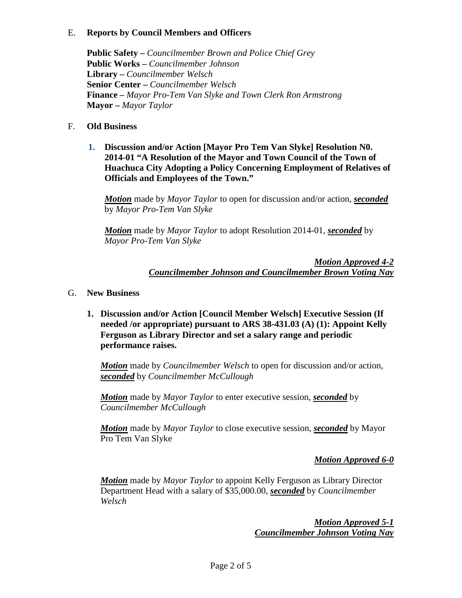# E. **Reports by Council Members and Officers**

**Public Safety –** *Councilmember Brown and Police Chief Grey* **Public Works –** *Councilmember Johnson* **Library –** *Councilmember Welsch* **Senior Center –** *Councilmember Welsch* **Finance –** *Mayor Pro-Tem Van Slyke and Town Clerk Ron Armstrong* **Mayor –** *Mayor Taylor*

# F. **Old Business**

**1. Discussion and/or Action [Mayor Pro Tem Van Slyke] Resolution N0. 2014-01 "A Resolution of the Mayor and Town Council of the Town of Huachuca City Adopting a Policy Concerning Employment of Relatives of Officials and Employees of the Town."**

*Motion* made by *Mayor Taylor* to open for discussion and/or action, *seconded* by *Mayor Pro-Tem Van Slyke*

*Motion* made by *Mayor Taylor* to adopt Resolution 2014-01, *seconded* by *Mayor Pro-Tem Van Slyke*

> *Motion Approved 4-2 Councilmember Johnson and Councilmember Brown Voting Nay*

- G. **New Business**
	- **1. Discussion and/or Action [Council Member Welsch] Executive Session (If needed /or appropriate) pursuant to ARS 38-431.03 (A) (1): Appoint Kelly Ferguson as Library Director and set a salary range and periodic performance raises.**

*Motion* made by *Councilmember Welsch* to open for discussion and/or action, *seconded* by *Councilmember McCullough*

*Motion* made by *Mayor Taylor* to enter executive session, *seconded* by *Councilmember McCullough*

*Motion* made by *Mayor Taylor* to close executive session, *seconded* by Mayor Pro Tem Van Slyke

*Motion Approved 6-0*

*Motion* made by *Mayor Taylor* to appoint Kelly Ferguson as Library Director Department Head with a salary of \$35,000.00, *seconded* by *Councilmember Welsch*

> *Motion Approved 5-1 Councilmember Johnson Voting Nay*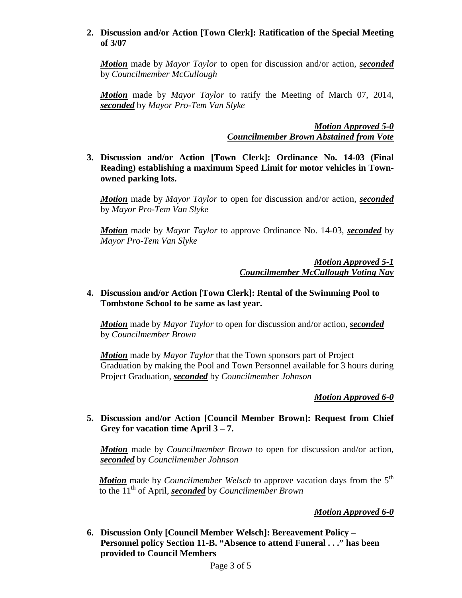## **2. Discussion and/or Action [Town Clerk]: Ratification of the Special Meeting of 3/07**

*Motion* made by *Mayor Taylor* to open for discussion and/or action, *seconded* by *Councilmember McCullough*

*Motion* made by *Mayor Taylor* to ratify the Meeting of March 07, 2014, *seconded* by *Mayor Pro-Tem Van Slyke*

> *Motion Approved 5-0 Councilmember Brown Abstained from Vote*

**3. Discussion and/or Action [Town Clerk]: Ordinance No. 14-03 (Final Reading) establishing a maximum Speed Limit for motor vehicles in Townowned parking lots.**

*Motion* made by *Mayor Taylor* to open for discussion and/or action, *seconded* by *Mayor Pro-Tem Van Slyke*

*Motion* made by *Mayor Taylor* to approve Ordinance No. 14-03, *seconded* by *Mayor Pro-Tem Van Slyke*

> *Motion Approved 5-1 Councilmember McCullough Voting Nay*

## **4. Discussion and/or Action [Town Clerk]: Rental of the Swimming Pool to Tombstone School to be same as last year.**

*Motion* made by *Mayor Taylor* to open for discussion and/or action, *seconded* by *Councilmember Brown*

*Motion* made by *Mayor Taylor* that the Town sponsors part of Project Graduation by making the Pool and Town Personnel available for 3 hours during Project Graduation, *seconded* by *Councilmember Johnson*

*Motion Approved 6-0*

## **5. Discussion and/or Action [Council Member Brown]: Request from Chief Grey for vacation time April 3 – 7.**

*Motion* made by *Councilmember Brown* to open for discussion and/or action, *seconded* by *Councilmember Johnson*

**Motion** made by *Councilmember Welsch* to approve vacation days from the 5<sup>th</sup> to the 11th of April, *seconded* by *Councilmember Brown*

# *Motion Approved 6-0*

**6. Discussion Only [Council Member Welsch]: Bereavement Policy – Personnel policy Section 11-B. "Absence to attend Funeral . . ." has been provided to Council Members**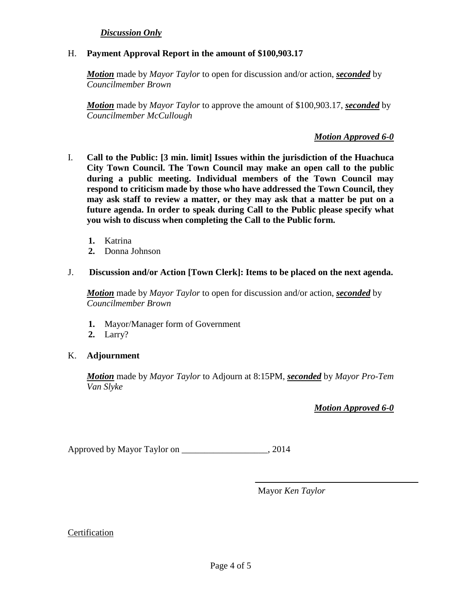## *Discussion Only*

#### H. **Payment Approval Report in the amount of \$100,903.17**

*Motion* made by *Mayor Taylor* to open for discussion and/or action, *seconded* by *Councilmember Brown*

*Motion* made by *Mayor Taylor* to approve the amount of \$100,903.17, *seconded* by *Councilmember McCullough*

#### *Motion Approved 6-0*

- I. **Call to the Public: [3 min. limit] Issues within the jurisdiction of the Huachuca City Town Council. The Town Council may make an open call to the public during a public meeting. Individual members of the Town Council may respond to criticism made by those who have addressed the Town Council, they may ask staff to review a matter, or they may ask that a matter be put on a future agenda. In order to speak during Call to the Public please specify what you wish to discuss when completing the Call to the Public form.**
	- **1.** Katrina
	- **2.** Donna Johnson
- J. **Discussion and/or Action [Town Clerk]: Items to be placed on the next agenda.**

*Motion* made by *Mayor Taylor* to open for discussion and/or action, *seconded* by *Councilmember Brown*

- **1.** Mayor/Manager form of Government
- **2.** Larry?

#### K. **Adjournment**

*Motion* made by *Mayor Taylor* to Adjourn at 8:15PM, *seconded* by *Mayor Pro-Tem Van Slyke*

*Motion Approved 6-0*

Approved by Mayor Taylor on 2014

Mayor *Ken Taylor*

#### Certification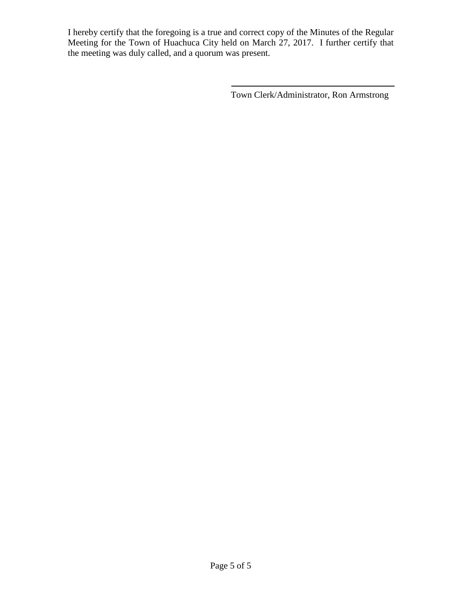I hereby certify that the foregoing is a true and correct copy of the Minutes of the Regular Meeting for the Town of Huachuca City held on March 27, 2017. I further certify that the meeting was duly called, and a quorum was present.

Town Clerk/Administrator, Ron Armstrong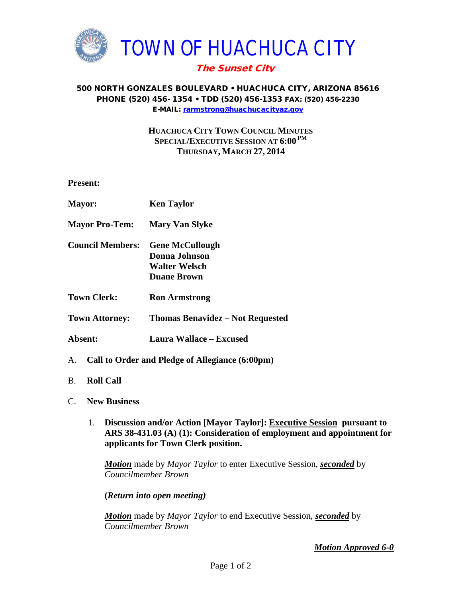

## 500 NORTH GONZALES BOULEVARD • HUACHUCA CITY, ARIZONA 85616 PHONE (520) 456- 1354 • TDD (520) 456-1353 FAX: (520) 456-2230 E-MAIL: [rarmstrong@huachucacityaz.gov](mailto:rarmstrong@huachucacityaz.gov)

# **HUACHUCA CITY TOWN COUNCIL MINUTES SPECIAL/EXECUTIVE SESSION AT 6:00 PM THURSDAY, MARCH 27, 2014**

**Present:**

| <b>Mayor:</b>           | <b>Ken Taylor</b>                                  |
|-------------------------|----------------------------------------------------|
| <b>Mayor Pro-Tem:</b>   | <b>Mary Van Slyke</b>                              |
| <b>Council Members:</b> | <b>Gene McCullough</b><br>Donna Johnson            |
|                         | Walter Welsch                                      |
|                         | <b>Duane Brown</b>                                 |
| <b>Town Clerk:</b>      | <b>Ron Armstrong</b>                               |
| <b>Town Attorney:</b>   | <b>Thomas Benavidez – Not Requested</b>            |
| Absent:                 | Laura Wallace – Excused                            |
|                         | A. Call to Order and Pledge of Allegiance (6:00pm) |

- B. **Roll Call**
- C. **New Business**
	- 1. **Discussion and/or Action [Mayor Taylor]: Executive Session pursuant to ARS 38-431.03 (A) (1): Consideration of employment and appointment for applicants for Town Clerk position.**

*Motion* made by *Mayor Taylor* to enter Executive Session, *seconded* by *Councilmember Brown*

**(***Return into open meeting)*

*Motion* made by *Mayor Taylor* to end Executive Session, *seconded* by *Councilmember Brown*

*Motion Approved 6-0*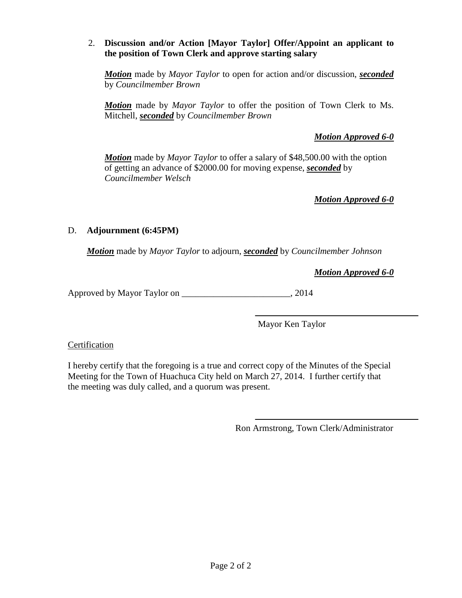# 2. **Discussion and/or Action [Mayor Taylor] Offer/Appoint an applicant to the position of Town Clerk and approve starting salary**

*Motion* made by *Mayor Taylor* to open for action and/or discussion, *seconded* by *Councilmember Brown*

*Motion* made by *Mayor Taylor* to offer the position of Town Clerk to Ms. Mitchell, *seconded* by *Councilmember Brown*

# *Motion Approved 6-0*

*Motion* made by *Mayor Taylor* to offer a salary of \$48,500.00 with the option of getting an advance of \$2000.00 for moving expense, *seconded* by *Councilmember Welsch*

*Motion Approved 6-0*

# D. **Adjournment (6:45PM)**

*Motion* made by *Mayor Taylor* to adjourn, *seconded* by *Councilmember Johnson*

*Motion Approved 6-0*

Approved by Mayor Taylor on \_\_\_\_\_\_\_\_\_\_\_\_\_\_\_\_\_\_\_\_\_\_\_\_, 2014

Mayor Ken Taylor

# Certification

I hereby certify that the foregoing is a true and correct copy of the Minutes of the Special Meeting for the Town of Huachuca City held on March 27, 2014. I further certify that the meeting was duly called, and a quorum was present.

Ron Armstrong, Town Clerk/Administrator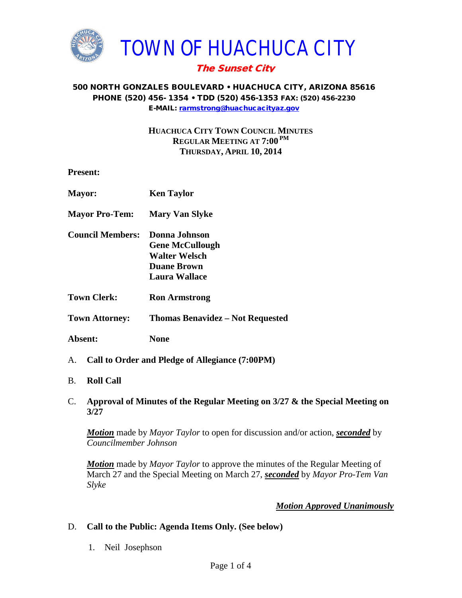

## 500 NORTH GONZALES BOULEVARD • HUACHUCA CITY, ARIZONA 85616 PHONE (520) 456- 1354 • TDD (520) 456-1353 FAX: (520) 456-2230 E-MAIL: [rarmstrong@huachucacityaz.gov](mailto:rarmstrong@huachucacityaz.gov)

**HUACHUCA CITY TOWN COUNCIL MINUTES REGULAR MEETING AT 7:00 PM THURSDAY, APRIL 10, 2014**

**Present:**

| <b>Mayor:</b>           | <b>Ken Taylor</b>                                                                                             |
|-------------------------|---------------------------------------------------------------------------------------------------------------|
| <b>Mayor Pro-Tem:</b>   | <b>Mary Van Slyke</b>                                                                                         |
| <b>Council Members:</b> | <b>Donna Johnson</b><br><b>Gene McCullough</b><br><b>Walter Welsch</b><br><b>Duane Brown</b><br>Laura Wallace |
| <b>Town Clerk:</b>      | <b>Ron Armstrong</b>                                                                                          |
| <b>Town Attorney:</b>   | <b>Thomas Benavidez – Not Requested</b>                                                                       |
| Absent:                 | None                                                                                                          |
|                         | A. Call to Order and Pledge of Allegiance (7:00PM)                                                            |

- B. **Roll Call**
- C. **Approval of Minutes of the Regular Meeting on 3/27 & the Special Meeting on 3/27**

*Motion* made by *Mayor Taylor* to open for discussion and/or action, *seconded* by *Councilmember Johnson*

*Motion* made by *Mayor Taylor* to approve the minutes of the Regular Meeting of March 27 and the Special Meeting on March 27, *seconded* by *Mayor Pro-Tem Van Slyke*

# *Motion Approved Unanimously*

# D. **Call to the Public: Agenda Items Only. (See below)**

1. Neil Josephson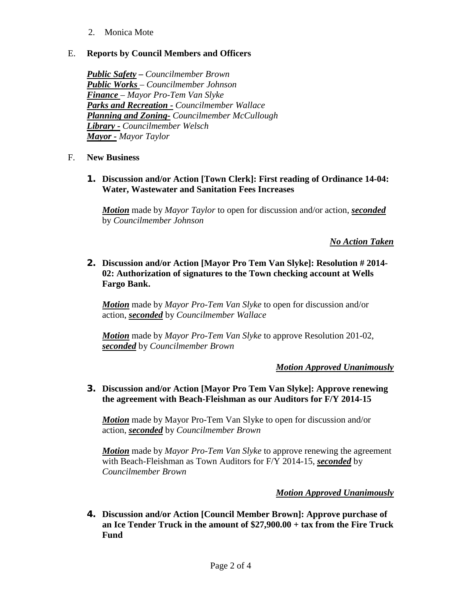2. Monica Mote

# E. **Reports by Council Members and Officers**

*Public Safety* **–** *Councilmember Brown Public Works – Councilmember Johnson Finance – Mayor Pro-Tem Van Slyke Parks and Recreation - Councilmember Wallace Planning and Zoning- Councilmember McCullough Library - Councilmember Welsch Mayor - Mayor Taylor*

- F. **New Business**
	- **1. Discussion and/or Action [Town Clerk]: First reading of Ordinance 14-04: Water, Wastewater and Sanitation Fees Increases**

*Motion* made by *Mayor Taylor* to open for discussion and/or action, *seconded* by *Councilmember Johnson*

*No Action Taken*

**2. Discussion and/or Action [Mayor Pro Tem Van Slyke]: Resolution # 2014- 02: Authorization of signatures to the Town checking account at Wells Fargo Bank.**

*Motion* made by *Mayor Pro-Tem Van Slyke* to open for discussion and/or action, *seconded* by *Councilmember Wallace*

*Motion* made by *Mayor Pro-Tem Van Slyke* to approve Resolution 201-02, *seconded* by *Councilmember Brown*

# *Motion Approved Unanimously*

**3. Discussion and/or Action [Mayor Pro Tem Van Slyke]: Approve renewing the agreement with Beach-Fleishman as our Auditors for F/Y 2014-15**

*Motion* made by Mayor Pro-Tem Van Slyke to open for discussion and/or action, *seconded* by *Councilmember Brown*

*Motion* made by *Mayor Pro-Tem Van Slyke* to approve renewing the agreement with Beach-Fleishman as Town Auditors for F/Y 2014-15, *seconded* by *Councilmember Brown*

# *Motion Approved Unanimously*

**4. Discussion and/or Action [Council Member Brown]: Approve purchase of an Ice Tender Truck in the amount of \$27,900.00 + tax from the Fire Truck Fund**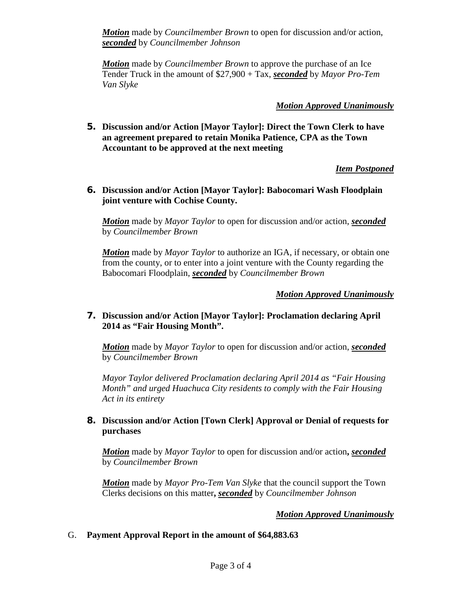*Motion* made by *Councilmember Brown* to open for discussion and/or action, *seconded* by *Councilmember Johnson*

*Motion* made by *Councilmember Brown* to approve the purchase of an Ice Tender Truck in the amount of \$27,900 + Tax, *seconded* by *Mayor Pro-Tem Van Slyke*

# *Motion Approved Unanimously*

**5. Discussion and/or Action [Mayor Taylor]: Direct the Town Clerk to have an agreement prepared to retain Monika Patience, CPA as the Town Accountant to be approved at the next meeting**

# *Item Postponed*

**6. Discussion and/or Action [Mayor Taylor]: Babocomari Wash Floodplain joint venture with Cochise County.** 

*Motion* made by *Mayor Taylor* to open for discussion and/or action, *seconded* by *Councilmember Brown*

*Motion* made by *Mayor Taylor* to authorize an IGA, if necessary, or obtain one from the county, or to enter into a joint venture with the County regarding the Babocomari Floodplain, *seconded* by *Councilmember Brown*

# *Motion Approved Unanimously*

## **7. Discussion and/or Action [Mayor Taylor]: Proclamation declaring April 2014 as "Fair Housing Month".**

*Motion* made by *Mayor Taylor* to open for discussion and/or action, *seconded* by *Councilmember Brown*

*Mayor Taylor delivered Proclamation declaring April 2014 as "Fair Housing Month" and urged Huachuca City residents to comply with the Fair Housing Act in its entirety*

## **8. Discussion and/or Action [Town Clerk] Approval or Denial of requests for purchases**

*Motion* made by *Mayor Taylor* to open for discussion and/or action**,** *seconded* by *Councilmember Brown*

*Motion* made by *Mayor Pro-Tem Van Slyke* that the council support the Town Clerks decisions on this matter**,** *seconded* by *Councilmember Johnson*

# *Motion Approved Unanimously*

# G. **Payment Approval Report in the amount of \$64,883.63**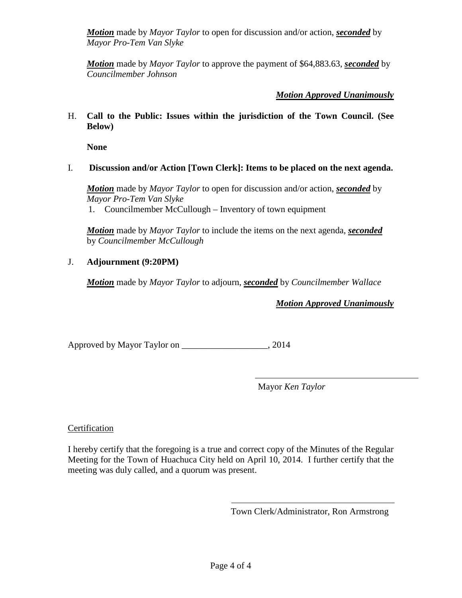*Motion* made by *Mayor Taylor* to open for discussion and/or action, *seconded* by *Mayor Pro-Tem Van Slyke*

*Motion* made by *Mayor Taylor* to approve the payment of \$64,883.63, *seconded* by *Councilmember Johnson*

*Motion Approved Unanimously*

H. **Call to the Public: Issues within the jurisdiction of the Town Council. (See Below)**

**None**

I. **Discussion and/or Action [Town Clerk]: Items to be placed on the next agenda.**

*Motion* made by *Mayor Taylor* to open for discussion and/or action, *seconded* by *Mayor Pro-Tem Van Slyke* 1. Councilmember McCullough – Inventory of town equipment

*Motion* made by *Mayor Taylor* to include the items on the next agenda, *seconded* by *Councilmember McCullough* 

# J. **Adjournment (9:20PM)**

*Motion* made by *Mayor Taylor* to adjourn, *seconded* by *Councilmember Wallace*

*Motion Approved Unanimously*

Approved by Mayor Taylor on \_\_\_\_\_\_\_\_\_\_\_\_\_\_\_\_\_\_\_, 2014

Mayor *Ken Taylor*

# Certification

I hereby certify that the foregoing is a true and correct copy of the Minutes of the Regular Meeting for the Town of Huachuca City held on April 10, 2014. I further certify that the meeting was duly called, and a quorum was present.

Town Clerk/Administrator, Ron Armstrong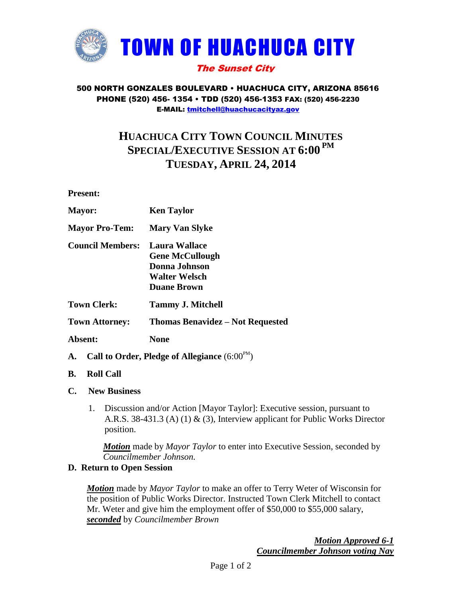

## 500 NORTH GONZALES BOULEVARD • HUACHUCA CITY, ARIZONA 85616 PHONE (520) 456- 1354 • TDD (520) 456-1353 FAX: (520) 456-2230 E-MAIL: [tmitchell@huachucacityaz.gov](mailto:tmitchell@huachucacityaz.gov)

# **HUACHUCA CITY TOWN COUNCIL MINUTES SPECIAL/EXECUTIVE SESSION AT 6:00 PM TUESDAY, APRIL 24, 2014**

**Present:**

| <b>Mayor:</b>           | <b>Ken Taylor</b>                                                                                             |
|-------------------------|---------------------------------------------------------------------------------------------------------------|
| <b>Mayor Pro-Tem:</b>   | <b>Mary Van Slyke</b>                                                                                         |
| <b>Council Members:</b> | Laura Wallace<br><b>Gene McCullough</b><br><b>Donna Johnson</b><br><b>Walter Welsch</b><br><b>Duane Brown</b> |
| <b>Town Clerk:</b>      | <b>Tammy J. Mitchell</b>                                                                                      |
| <b>Town Attorney:</b>   | <b>Thomas Benavidez – Not Requested</b>                                                                       |
| Absent:                 | None                                                                                                          |

- **A.** Call to Order, Pledge of Allegiance  $(6:00^{PM})$
- **B. Roll Call**
- **C. New Business**
	- 1. Discussion and/or Action [Mayor Taylor]: Executive session, pursuant to A.R.S. 38-431.3 (A) (1) & (3), Interview applicant for Public Works Director position.

*Motion* made by *Mayor Taylor* to enter into Executive Session, seconded by *Councilmember Johnson.*

# **D. Return to Open Session**

*Motion* made by *Mayor Taylor* to make an offer to Terry Weter of Wisconsin for the position of Public Works Director. Instructed Town Clerk Mitchell to contact Mr. Weter and give him the employment offer of \$50,000 to \$55,000 salary, *seconded* by *Councilmember Brown*

> *Motion Approved 6-1 Councilmember Johnson voting Nay*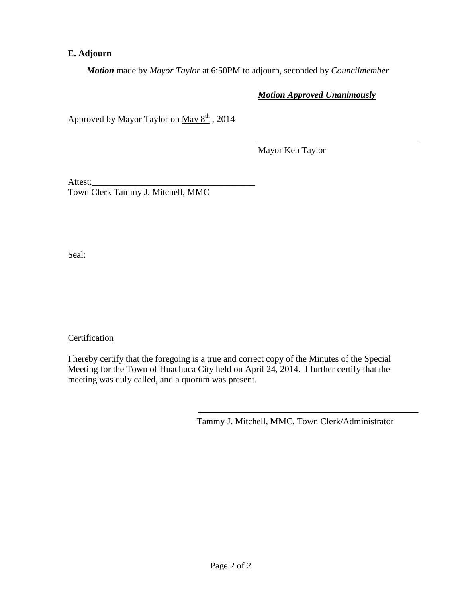# **E. Adjourn**

*Motion* made by *Mayor Taylor* at 6:50PM to adjourn, seconded by *Councilmember*

# *Motion Approved Unanimously*

Approved by Mayor Taylor on  $\text{May } 8^{\text{th}}$ , 2014

Mayor Ken Taylor

Attest:\_\_\_\_\_\_\_\_\_\_\_\_\_\_\_\_\_\_\_\_\_\_\_\_\_\_\_\_\_\_\_\_\_\_\_\_

Town Clerk Tammy J. Mitchell, MMC

Seal:

**Certification** 

I hereby certify that the foregoing is a true and correct copy of the Minutes of the Special Meeting for the Town of Huachuca City held on April 24, 2014. I further certify that the meeting was duly called, and a quorum was present.

Tammy J. Mitchell, MMC, Town Clerk/Administrator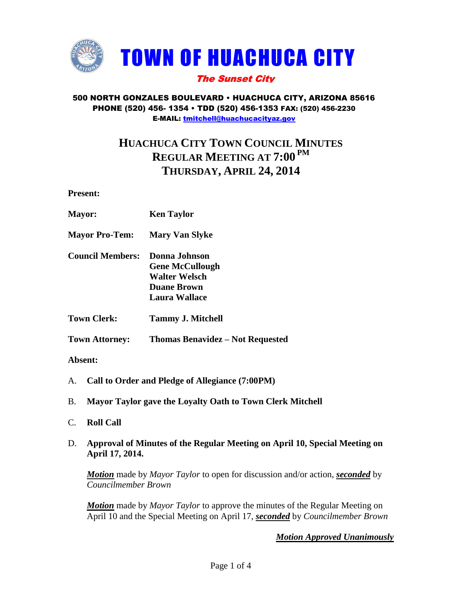

## 500 NORTH GONZALES BOULEVARD • HUACHUCA CITY, ARIZONA 85616 PHONE (520) 456- 1354 • TDD (520) 456-1353 FAX: (520) 456-2230 E-MAIL: [tmitchell@huachucacityaz.gov](mailto:tmitchell@huachucacityaz.gov)

# **HUACHUCA CITY TOWN COUNCIL MINUTES REGULAR MEETING AT 7:00 PM THURSDAY, APRIL 24, 2014**

**Present:**

- **Mayor: Ken Taylor**
- **Mayor Pro-Tem: Mary Van Slyke**
- **Council Members: Donna Johnson Gene McCullough Walter Welsch Duane Brown Laura Wallace**
- **Town Clerk: Tammy J. Mitchell**

**Town Attorney: Thomas Benavidez – Not Requested**

**Absent:**

- A. **Call to Order and Pledge of Allegiance (7:00PM)**
- B. **Mayor Taylor gave the Loyalty Oath to Town Clerk Mitchell**
- C. **Roll Call**
- D. **Approval of Minutes of the Regular Meeting on April 10, Special Meeting on April 17, 2014.**

*Motion* made by *Mayor Taylor* to open for discussion and/or action, *seconded* by *Councilmember Brown*

*Motion* made by *Mayor Taylor* to approve the minutes of the Regular Meeting on April 10 and the Special Meeting on April 17, *seconded* by *Councilmember Brown*

*Motion Approved Unanimously*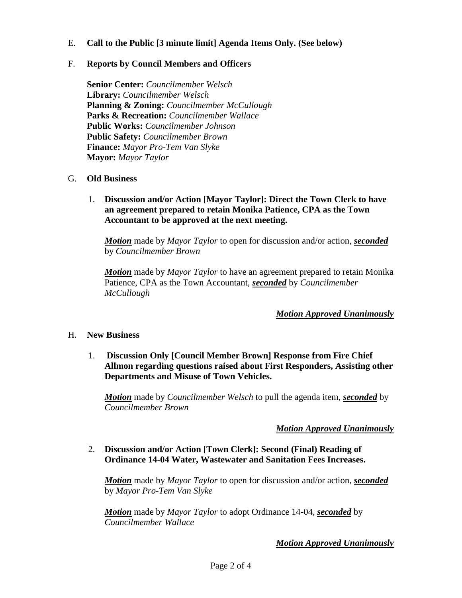## E. **Call to the Public [3 minute limit] Agenda Items Only. (See below)**

## F. **Reports by Council Members and Officers**

**Senior Center:** *Councilmember Welsch* **Library:** *Councilmember Welsch* **Planning & Zoning:** *Councilmember McCullough* **Parks & Recreation:** *Councilmember Wallace* **Public Works:** *Councilmember Johnson* **Public Safety:** *Councilmember Brown* **Finance:** *Mayor Pro-Tem Van Slyke* **Mayor:** *Mayor Taylor*

## G. **Old Business**

1. **Discussion and/or Action [Mayor Taylor]: Direct the Town Clerk to have an agreement prepared to retain Monika Patience, CPA as the Town Accountant to be approved at the next meeting.**

*Motion* made by *Mayor Taylor* to open for discussion and/or action, *seconded* by *Councilmember Brown*

*Motion* made by *Mayor Taylor* to have an agreement prepared to retain Monika Patience, CPA as the Town Accountant, *seconded* by *Councilmember McCullough*

## *Motion Approved Unanimously*

## H. **New Business**

1. **Discussion Only [Council Member Brown] Response from Fire Chief Allmon regarding questions raised about First Responders, Assisting other Departments and Misuse of Town Vehicles.**

*Motion* made by *Councilmember Welsch* to pull the agenda item, *seconded* by *Councilmember Brown*

## *Motion Approved Unanimously*

## 2. **Discussion and/or Action [Town Clerk]: Second (Final) Reading of Ordinance 14-04 Water, Wastewater and Sanitation Fees Increases.**

*Motion* made by *Mayor Taylor* to open for discussion and/or action, *seconded* by *Mayor Pro-Tem Van Slyke*

*Motion* made by *Mayor Taylor* to adopt Ordinance 14-04, *seconded* by *Councilmember Wallace*

## *Motion Approved Unanimously*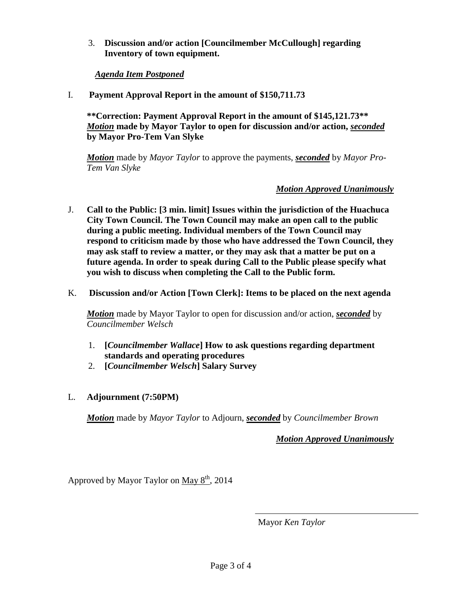3. **Discussion and/or action [Councilmember McCullough] regarding Inventory of town equipment.** 

## *Agenda Item Postponed*

I. **Payment Approval Report in the amount of \$150,711.73**

**\*\*Correction: Payment Approval Report in the amount of \$145,121.73\*\*** *Motion* **made by Mayor Taylor to open for discussion and/or action,** *seconded* **by Mayor Pro-Tem Van Slyke**

*Motion* made by *Mayor Taylor* to approve the payments, *seconded* by *Mayor Pro-Tem Van Slyke*

## *Motion Approved Unanimously*

- J. **Call to the Public: [3 min. limit] Issues within the jurisdiction of the Huachuca City Town Council. The Town Council may make an open call to the public during a public meeting. Individual members of the Town Council may respond to criticism made by those who have addressed the Town Council, they may ask staff to review a matter, or they may ask that a matter be put on a future agenda. In order to speak during Call to the Public please specify what you wish to discuss when completing the Call to the Public form.**
- K. **Discussion and/or Action [Town Clerk]: Items to be placed on the next agenda**

*Motion* made by Mayor Taylor to open for discussion and/or action, *seconded* by *Councilmember Welsch*

- 1. **[***Councilmember Wallace***] How to ask questions regarding department standards and operating procedures**
- 2. **[***Councilmember Welsch***] Salary Survey**
- L. **Adjournment (7:50PM)**

*Motion* made by *Mayor Taylor* to Adjourn, *seconded* by *Councilmember Brown*

*Motion Approved Unanimously*

Approved by Mayor Taylor on May  $8<sup>th</sup>$ , 2014

Mayor *Ken Taylor*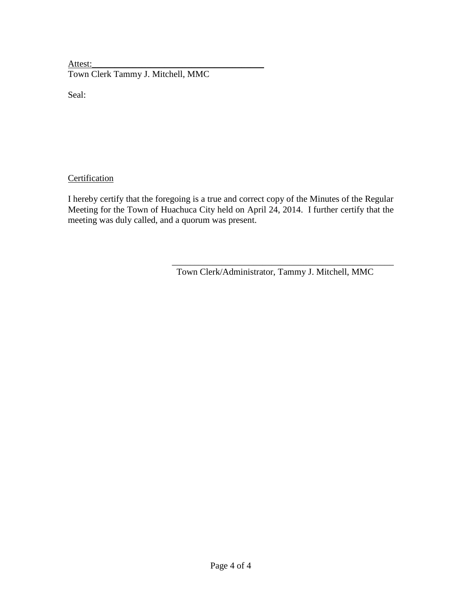Attest: Town Clerk Tammy J. Mitchell, MMC

Seal:

**Certification** 

I hereby certify that the foregoing is a true and correct copy of the Minutes of the Regular Meeting for the Town of Huachuca City held on April 24, 2014. I further certify that the meeting was duly called, and a quorum was present.

Town Clerk/Administrator, Tammy J. Mitchell, MMC

\_\_\_\_\_\_\_\_\_\_\_\_\_\_\_\_\_\_\_\_\_\_\_\_\_\_\_\_\_\_\_\_\_\_\_\_\_\_\_\_\_\_\_\_\_\_\_\_\_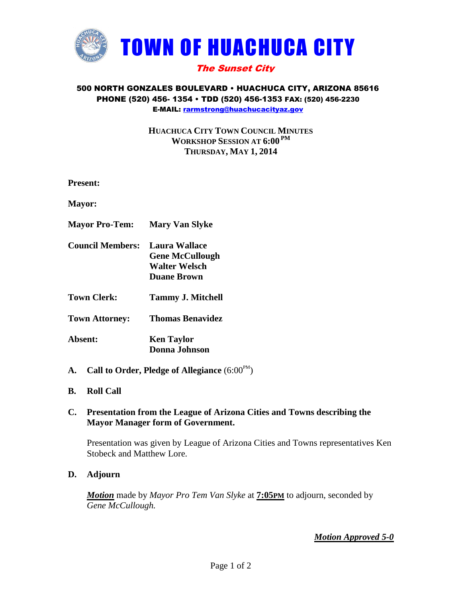

## 500 NORTH GONZALES BOULEVARD • HUACHUCA CITY, ARIZONA 85616 PHONE (520) 456- 1354 • TDD (520) 456-1353 FAX: (520) 456-2230 E-MAIL: [rarmstrong@huachucacityaz.gov](mailto:rarmstrong@huachucacityaz.gov)

# **HUACHUCA CITY TOWN COUNCIL MINUTES WORKSHOP SESSION AT 6:00 PM THURSDAY, MAY 1, 2014**

**Present:**

**Mayor:**

- **Mayor Pro-Tem: Mary Van Slyke**
- **Council Members: Laura Wallace Gene McCullough Walter Welsch Duane Brown**
- **Town Clerk: Tammy J. Mitchell**
- **Town Attorney: Thomas Benavidez**
- **Absent: Ken Taylor Donna Johnson**
- **A.** Call to Order, Pledge of Allegiance  $(6:00^{PM})$
- **B. Roll Call**

## **C. Presentation from the League of Arizona Cities and Towns describing the Mayor Manager form of Government.**

Presentation was given by League of Arizona Cities and Towns representatives Ken Stobeck and Matthew Lore.

## **D. Adjourn**

*Motion* made by *Mayor Pro Tem Van Slyke* at **7:05PM** to adjourn, seconded by *Gene McCullough.*

*Motion Approved 5-0*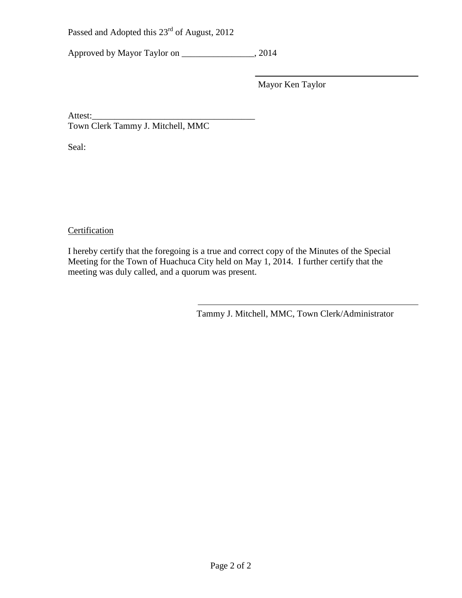Approved by Mayor Taylor on \_\_\_\_\_\_\_\_\_\_\_\_\_\_\_\_, 2014

Mayor Ken Taylor

Attest:\_\_\_\_\_\_\_\_\_\_\_\_\_\_\_\_\_\_\_\_\_\_\_\_\_\_\_\_\_\_\_\_\_\_\_\_ Town Clerk Tammy J. Mitchell, MMC

Seal:

# **Certification**

I hereby certify that the foregoing is a true and correct copy of the Minutes of the Special Meeting for the Town of Huachuca City held on May 1, 2014. I further certify that the meeting was duly called, and a quorum was present.

Tammy J. Mitchell, MMC, Town Clerk/Administrator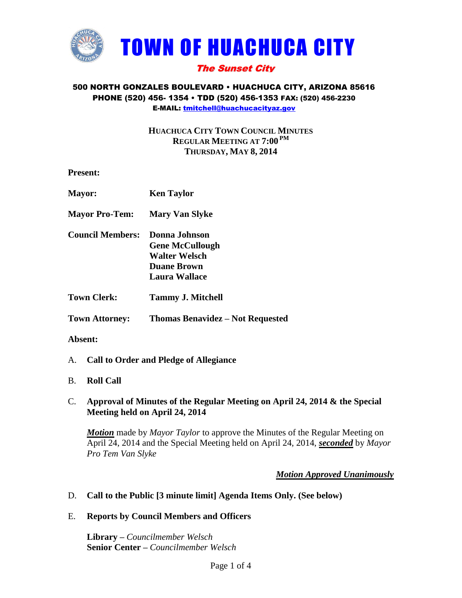

## 500 NORTH GONZALES BOULEVARD • HUACHUCA CITY, ARIZONA 85616 PHONE (520) 456- 1354 • TDD (520) 456-1353 FAX: (520) 456-2230 E-MAIL: [tmitchell@huachucacityaz.gov](mailto:tmitchell@huachucacityaz.gov)

**HUACHUCA CITY TOWN COUNCIL MINUTES REGULAR MEETING AT 7:00 PM THURSDAY, MAY 8, 2014**

**Present:**

| <b>Mayor:</b>           | <b>Ken Taylor</b>                                                                                             |
|-------------------------|---------------------------------------------------------------------------------------------------------------|
| <b>Mayor Pro-Tem:</b>   | <b>Mary Van Slyke</b>                                                                                         |
| <b>Council Members:</b> | Donna Johnson<br><b>Gene McCullough</b><br><b>Walter Welsch</b><br><b>Duane Brown</b><br><b>Laura Wallace</b> |
| Town Clerk:             | <b>Tammy J. Mitchell</b>                                                                                      |
| <b>Town Attorney:</b>   | Thomas Benavidez – Not Requested                                                                              |

## **Absent:**

A. **Call to Order and Pledge of Allegiance**

## B. **Roll Call**

# C. **Approval of Minutes of the Regular Meeting on April 24, 2014 & the Special Meeting held on April 24, 2014**

*Motion* made by *Mayor Taylor* to approve the Minutes of the Regular Meeting on April 24, 2014 and the Special Meeting held on April 24, 2014, *seconded* by *Mayor Pro Tem Van Slyke*

# *Motion Approved Unanimously*

# D. **Call to the Public [3 minute limit] Agenda Items Only. (See below)**

## E. **Reports by Council Members and Officers**

**Library –** *Councilmember Welsch* **Senior Center –** *Councilmember Welsch*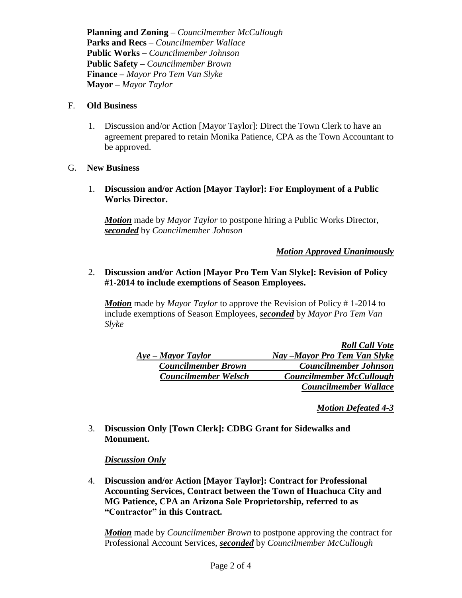**Planning and Zoning –** *Councilmember McCullough* **Parks and Recs** *– Councilmember Wallace* **Public Works –** *Councilmember Johnson* **Public Safety –** *Councilmember Brown* **Finance –** *Mayor Pro Tem Van Slyke* **Mayor –** *Mayor Taylor*

#### F. **Old Business**

1. Discussion and/or Action [Mayor Taylor]: Direct the Town Clerk to have an agreement prepared to retain Monika Patience, CPA as the Town Accountant to be approved.

## G. **New Business**

1. **Discussion and/or Action [Mayor Taylor]: For Employment of a Public Works Director.**

*Motion* made by *Mayor Taylor* to postpone hiring a Public Works Director, *seconded* by *Councilmember Johnson*

## *Motion Approved Unanimously*

## 2. **Discussion and/or Action [Mayor Pro Tem Van Slyke]: Revision of Policy #1-2014 to include exemptions of Season Employees.**

*Motion* made by *Mayor Taylor* to approve the Revision of Policy # 1-2014 to include exemptions of Season Employees, *seconded* by *Mayor Pro Tem Van Slyke*

|                             | <b>Roll Call Vote</b>           |
|-----------------------------|---------------------------------|
| $Aye$ – Mayor Taylor        | Nay –Mayor Pro Tem Van Slyke    |
| <b>Councilmember Brown</b>  | <b>Councilmember Johnson</b>    |
| <b>Councilmember Welsch</b> | <b>Councilmember McCullough</b> |
|                             | <b>Councilmember Wallace</b>    |

*Motion Defeated 4-3*

3. **Discussion Only [Town Clerk]: CDBG Grant for Sidewalks and Monument.**

## *Discussion Only*

4. **Discussion and/or Action [Mayor Taylor]: Contract for Professional Accounting Services, Contract between the Town of Huachuca City and MG Patience, CPA an Arizona Sole Proprietorship, referred to as "Contractor" in this Contract.**

*Motion* made by *Councilmember Brown* to postpone approving the contract for Professional Account Services, *seconded* by *Councilmember McCullough*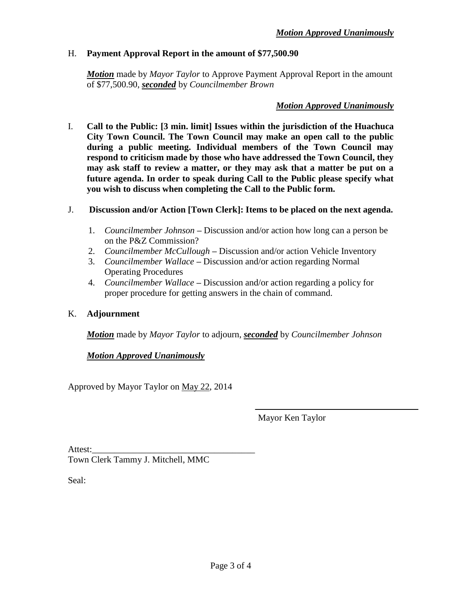## H. **Payment Approval Report in the amount of \$77,500.90**

*Motion* made by *Mayor Taylor* to Approve Payment Approval Report in the amount of \$77,500.90, *seconded* by *Councilmember Brown*

## *Motion Approved Unanimously*

- I. **Call to the Public: [3 min. limit] Issues within the jurisdiction of the Huachuca City Town Council. The Town Council may make an open call to the public during a public meeting. Individual members of the Town Council may respond to criticism made by those who have addressed the Town Council, they may ask staff to review a matter, or they may ask that a matter be put on a future agenda. In order to speak during Call to the Public please specify what you wish to discuss when completing the Call to the Public form.**
- J. **Discussion and/or Action [Town Clerk]: Items to be placed on the next agenda.**
	- 1. *Councilmember Johnson* **–** Discussion and/or action how long can a person be on the P&Z Commission?
	- 2. *Councilmember McCullough* **–** Discussion and/or action Vehicle Inventory
	- 3. *Councilmember Wallace* **–** Discussion and/or action regarding Normal Operating Procedures
	- 4. *Councilmember Wallace* **–** Discussion and/or action regarding a policy for proper procedure for getting answers in the chain of command.

# K. **Adjournment**

*Motion* made by *Mayor Taylor* to adjourn, *seconded* by *Councilmember Johnson*

# *Motion Approved Unanimously*

Approved by Mayor Taylor on May 22, 2014

Mayor Ken Taylor

Attest: Town Clerk Tammy J. Mitchell, MMC

Seal: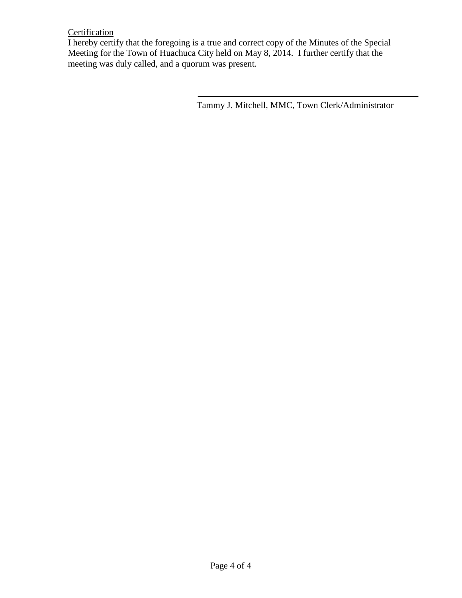# **Certification**

I hereby certify that the foregoing is a true and correct copy of the Minutes of the Special Meeting for the Town of Huachuca City held on May 8, 2014. I further certify that the meeting was duly called, and a quorum was present.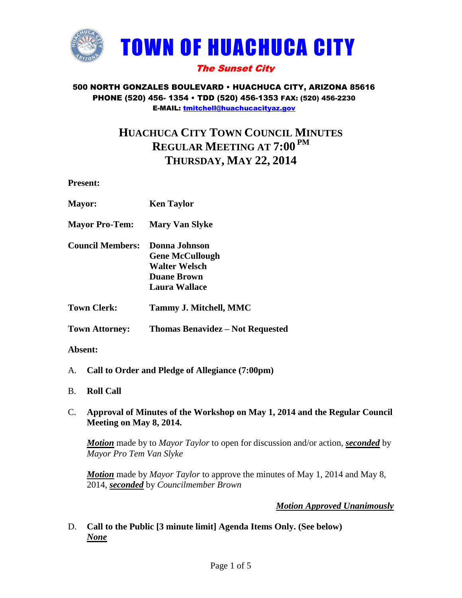

#### 500 NORTH GONZALES BOULEVARD • HUACHUCA CITY, ARIZONA 85616 PHONE (520) 456- 1354 • TDD (520) 456-1353 FAX: (520) 456-2230 E-MAIL: [tmitchell@huachucacityaz.gov](mailto:tmitchell@huachucacityaz.gov)

# **HUACHUCA CITY TOWN COUNCIL MINUTES REGULAR MEETING AT 7:00 PM THURSDAY, MAY 22, 2014**

**Present:**

| <b>Mayor:</b>           | <b>Ken Taylor</b>                                                                                             |
|-------------------------|---------------------------------------------------------------------------------------------------------------|
| <b>Mayor Pro-Tem:</b>   | <b>Mary Van Slyke</b>                                                                                         |
| <b>Council Members:</b> | Donna Johnson<br><b>Gene McCullough</b><br><b>Walter Welsch</b><br><b>Duane Brown</b><br><b>Laura Wallace</b> |
| <b>Town Clerk:</b>      | Tammy J. Mitchell, MMC                                                                                        |
| <b>Town Attorney:</b>   | <b>Thomas Benavidez – Not Requested</b>                                                                       |
| Absent:                 |                                                                                                               |

- A. **Call to Order and Pledge of Allegiance (7:00pm)**
- B. **Roll Call**

### C. **Approval of Minutes of the Workshop on May 1, 2014 and the Regular Council Meeting on May 8, 2014.**

*Motion* made by to *Mayor Taylor* to open for discussion and/or action, *seconded* by *Mayor Pro Tem Van Slyke*

*Motion* made by *Mayor Taylor* to approve the minutes of May 1, 2014 and May 8, 2014, *seconded* by *Councilmember Brown*

# *Motion Approved Unanimously*

D. **Call to the Public [3 minute limit] Agenda Items Only. (See below)** *None*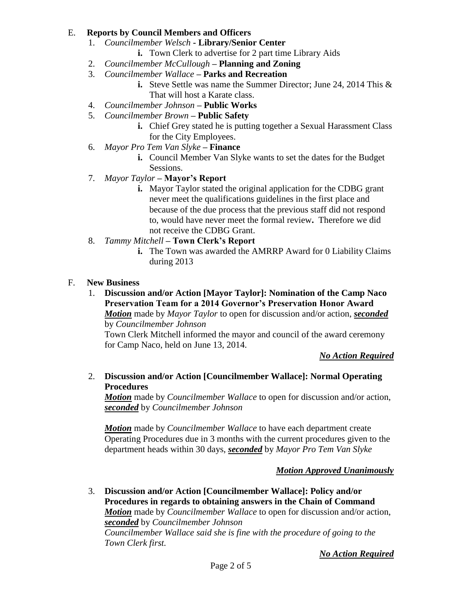## E. **Reports by Council Members and Officers**

- 1. *Councilmember Welsch* **- Library/Senior Center** 
	- **i.** Town Clerk to advertise for 2 part time Library Aids
- 2. *Councilmember McCullough* **– Planning and Zoning**
- 3. *Councilmember Wallace* **– Parks and Recreation**
	- **i.** Steve Settle was name the Summer Director; June 24, 2014 This & That will host a Karate class.
- 4. *Councilmember Johnson* **– Public Works**
- 5. *Councilmember Brown* **– Public Safety**
	- **i.** Chief Grey stated he is putting together a Sexual Harassment Class for the City Employees.
- 6. *Mayor Pro Tem Van Slyke* **– Finance**
	- **i.** Council Member Van Slyke wants to set the dates for the Budget Sessions.
- 7. *Mayor Taylor* **– Mayor's Report**
	- **i.** Mayor Taylor stated the original application for the CDBG grant never meet the qualifications guidelines in the first place and because of the due process that the previous staff did not respond to, would have never meet the formal review**.** Therefore we did not receive the CDBG Grant.
- 8. *Tammy Mitchell* **– Town Clerk's Report**
	- **i.** The Town was awarded the AMRRP Award for 0 Liability Claims during 2013

### F. **New Business**

1. **Discussion and/or Action [Mayor Taylor]: Nomination of the Camp Naco Preservation Team for a 2014 Governor's Preservation Honor Award** *Motion* made by *Mayor Taylor* to open for discussion and/or action, *seconded* by *Councilmember Johnson*

Town Clerk Mitchell informed the mayor and council of the award ceremony for Camp Naco, held on June 13, 2014.

*No Action Required*

2. **Discussion and/or Action [Councilmember Wallace]: Normal Operating Procedures**

*Motion* made by *Councilmember Wallace* to open for discussion and/or action, *seconded* by *Councilmember Johnson*

*Motion* made by *Councilmember Wallace* to have each department create Operating Procedures due in 3 months with the current procedures given to the department heads within 30 days, *seconded* by *Mayor Pro Tem Van Slyke*

## *Motion Approved Unanimously*

3. **Discussion and/or Action [Councilmember Wallace]: Policy and/or Procedures in regards to obtaining answers in the Chain of Command** *Motion* made by *Councilmember Wallace* to open for discussion and/or action, *seconded* by *Councilmember Johnson Councilmember Wallace said she is fine with the procedure of going to the Town Clerk first.*

*No Action Required*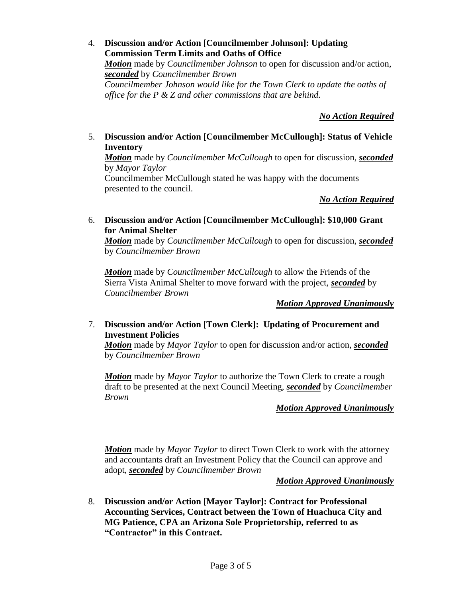4. **Discussion and/or Action [Councilmember Johnson]: Updating Commission Term Limits and Oaths of Office** *Motion* made by *Councilmember Johnson* to open for discussion and/or action, *seconded* by *Councilmember Brown Councilmember Johnson would like for the Town Clerk to update the oaths of office for the P & Z and other commissions that are behind.*

*No Action Required*

5. **Discussion and/or Action [Councilmember McCullough]: Status of Vehicle Inventory**

*Motion* made by *Councilmember McCullough* to open for discussion, *seconded* by *Mayor Taylor*

Councilmember McCullough stated he was happy with the documents presented to the council.

## *No Action Required*

6. **Discussion and/or Action [Councilmember McCullough]: \$10,000 Grant for Animal Shelter**

*Motion* made by *Councilmember McCullough* to open for discussion, *seconded* by *Councilmember Brown*

*Motion* made by *Councilmember McCullough* to allow the Friends of the Sierra Vista Animal Shelter to move forward with the project, *seconded* by *Councilmember Brown*

*Motion Approved Unanimously*

## 7. **Discussion and/or Action [Town Clerk]: Updating of Procurement and Investment Policies**

*Motion* made by *Mayor Taylor* to open for discussion and/or action, *seconded* by *Councilmember Brown*

*Motion* made by *Mayor Taylor* to authorize the Town Clerk to create a rough draft to be presented at the next Council Meeting, *seconded* by *Councilmember Brown*

## *Motion Approved Unanimously*

*Motion* made by *Mayor Taylor* to direct Town Clerk to work with the attorney and accountants draft an Investment Policy that the Council can approve and adopt, *seconded* by *Councilmember Brown*

#### *Motion Approved Unanimously*

8. **Discussion and/or Action [Mayor Taylor]: Contract for Professional Accounting Services, Contract between the Town of Huachuca City and MG Patience, CPA an Arizona Sole Proprietorship, referred to as "Contractor" in this Contract.**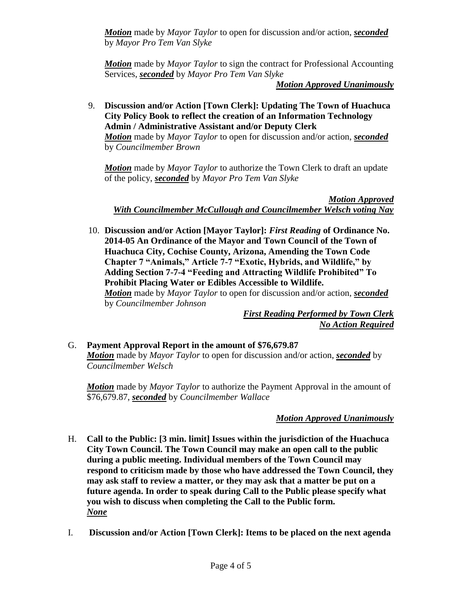*Motion* made by *Mayor Taylor* to open for discussion and/or action, *seconded* by *Mayor Pro Tem Van Slyke*

*Motion* made by *Mayor Taylor* to sign the contract for Professional Accounting Services, *seconded* by *Mayor Pro Tem Van Slyke*

*Motion Approved Unanimously*

9. **Discussion and/or Action [Town Clerk]: Updating The Town of Huachuca City Policy Book to reflect the creation of an Information Technology Admin / Administrative Assistant and/or Deputy Clerk** *Motion* made by *Mayor Taylor* to open for discussion and/or action, *seconded* by *Councilmember Brown*

*Motion* made by *Mayor Taylor* to authorize the Town Clerk to draft an update of the policy, *seconded* by *Mayor Pro Tem Van Slyke*

*Motion Approved With Councilmember McCullough and Councilmember Welsch voting Nay*

10. **Discussion and/or Action [Mayor Taylor]:** *First Reading* **of Ordinance No. 2014-05 An Ordinance of the Mayor and Town Council of the Town of Huachuca City, Cochise County, Arizona, Amending the Town Code Chapter 7 "Animals," Article 7-7 "Exotic, Hybrids, and Wildlife," by Adding Section 7-7-4 "Feeding and Attracting Wildlife Prohibited" To Prohibit Placing Water or Edibles Accessible to Wildlife.** *Motion* made by *Mayor Taylor* to open for discussion and/or action, *seconded* by *Councilmember Johnson*

*First Reading Performed by Town Clerk No Action Required*

# G. **Payment Approval Report in the amount of \$76,679.87** *Motion* made by *Mayor Taylor* to open for discussion and/or action, *seconded* by *Councilmember Welsch*

*Motion* made by *Mayor Taylor* to authorize the Payment Approval in the amount of \$76,679.87, *seconded* by *Councilmember Wallace*

# *Motion Approved Unanimously*

- H. **Call to the Public: [3 min. limit] Issues within the jurisdiction of the Huachuca City Town Council. The Town Council may make an open call to the public during a public meeting. Individual members of the Town Council may respond to criticism made by those who have addressed the Town Council, they may ask staff to review a matter, or they may ask that a matter be put on a future agenda. In order to speak during Call to the Public please specify what you wish to discuss when completing the Call to the Public form.** *None*
- I. **Discussion and/or Action [Town Clerk]: Items to be placed on the next agenda**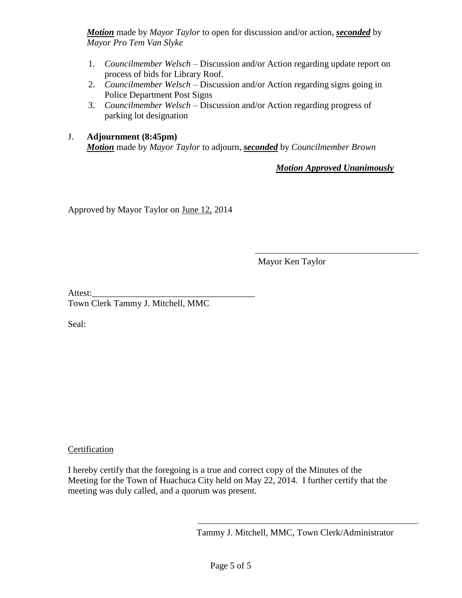*Motion* made by *Mayor Taylor* to open for discussion and/or action, *seconded* by *Mayor Pro Tem Van Slyke*

- 1. *Councilmember Welsch* Discussion and/or Action regarding update report on process of bids for Library Roof.
- 2. *Councilmember Welsch* Discussion and/or Action regarding signs going in Police Department Post Signs
- 3. *Councilmember Welsch* Discussion and/or Action regarding progress of parking lot designation

## J. **Adjournment (8:45pm)** *Motion* made by *Mayor Taylor* to adjourn, *seconded* by *Councilmember Brown*

*Motion Approved Unanimously*

Approved by Mayor Taylor on June 12, 2014

Mayor Ken Taylor

Attest: Town Clerk Tammy J. Mitchell, MMC

Seal:

## Certification

I hereby certify that the foregoing is a true and correct copy of the Minutes of the Meeting for the Town of Huachuca City held on May 22, 2014. I further certify that the meeting was duly called, and a quorum was present.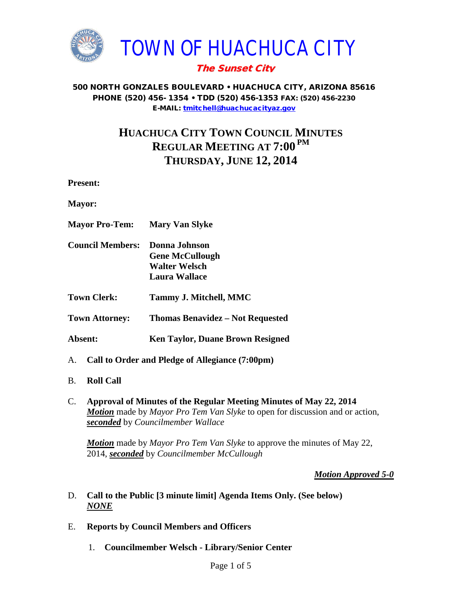

#### 500 NORTH GONZALES BOULEVARD • HUACHUCA CITY, ARIZONA 85616 PHONE (520) 456- 1354 • TDD (520) 456-1353 FAX: (520) 456-2230 E-MAIL: [tmitchell@huachucacityaz.gov](mailto:tmitchell@huachucacityaz.gov)

# **HUACHUCA CITY TOWN COUNCIL MINUTES REGULAR MEETING AT 7:00 PM THURSDAY, JUNE 12, 2014**

**Present:**

**Mayor:**

- **Mayor Pro-Tem: Mary Van Slyke Council Members: Donna Johnson Gene McCullough Walter Welsch Laura Wallace Town Clerk: Tammy J. Mitchell, MMC Town Attorney: Thomas Benavidez – Not Requested Absent: Ken Taylor, Duane Brown Resigned**
- A. **Call to Order and Pledge of Allegiance (7:00pm)**
- B. **Roll Call**
- C. **Approval of Minutes of the Regular Meeting Minutes of May 22, 2014** *Motion* made by *Mayor Pro Tem Van Slyke* to open for discussion and or action, *seconded* by *Councilmember Wallace*

*Motion* made by *Mayor Pro Tem Van Slyke* to approve the minutes of May 22, 2014, *seconded* by *Councilmember McCullough*

*Motion Approved 5-0*

- D. **Call to the Public [3 minute limit] Agenda Items Only. (See below)** *NONE*
- E. **Reports by Council Members and Officers**
	- 1. **Councilmember Welsch - Library/Senior Center**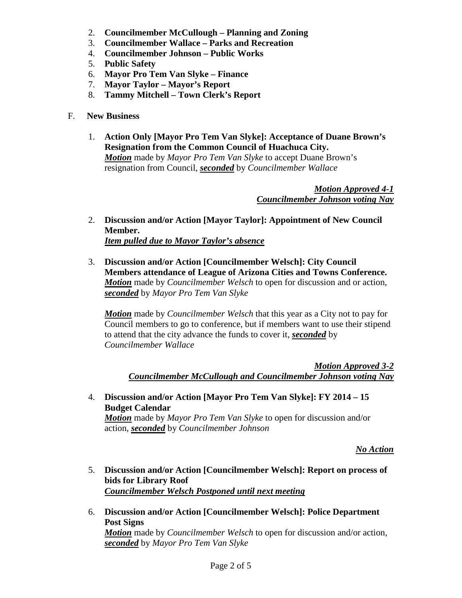- 2. **Councilmember McCullough – Planning and Zoning**
- 3. **Councilmember Wallace – Parks and Recreation**
- 4. **Councilmember Johnson – Public Works**
- 5. **Public Safety**
- 6. **Mayor Pro Tem Van Slyke – Finance**
- 7. **Mayor Taylor – Mayor's Report**
- 8. **Tammy Mitchell – Town Clerk's Report**
- F. **New Business**
	- 1. **Action Only [Mayor Pro Tem Van Slyke]: Acceptance of Duane Brown's Resignation from the Common Council of Huachuca City.** *Motion* made by *Mayor Pro Tem Van Slyke* to accept Duane Brown's resignation from Council, *seconded* by *Councilmember Wallace*

*Motion Approved 4-1 Councilmember Johnson voting Nay*

- 2. **Discussion and/or Action [Mayor Taylor]: Appointment of New Council Member.** *Item pulled due to Mayor Taylor's absence*
- 3. **Discussion and/or Action [Councilmember Welsch]: City Council Members attendance of League of Arizona Cities and Towns Conference.**  *Motion* made by *Councilmember Welsch* to open for discussion and or action, *seconded* by *Mayor Pro Tem Van Slyke*

*Motion* made by *Councilmember Welsch* that this year as a City not to pay for Council members to go to conference, but if members want to use their stipend to attend that the city advance the funds to cover it, *seconded* by *Councilmember Wallace*

*Motion Approved 3-2 Councilmember McCullough and Councilmember Johnson voting Nay*

4. **Discussion and/or Action [Mayor Pro Tem Van Slyke]: FY 2014 – 15 Budget Calendar** *Motion* made by *Mayor Pro Tem Van Slyke* to open for discussion and/or action, *seconded* by *Councilmember Johnson*

*No Action*

- 5. **Discussion and/or Action [Councilmember Welsch]: Report on process of bids for Library Roof** *Councilmember Welsch Postponed until next meeting*
- 6. **Discussion and/or Action [Councilmember Welsch]: Police Department Post Signs** *Motion* made by *Councilmember Welsch* to open for discussion and/or action, *seconded* by *Mayor Pro Tem Van Slyke*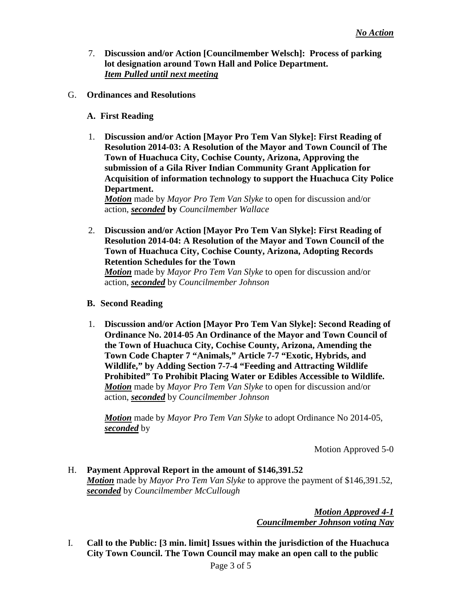- 7. **Discussion and/or Action [Councilmember Welsch]: Process of parking lot designation around Town Hall and Police Department.** *Item Pulled until next meeting*
- G. **Ordinances and Resolutions**
	- **A. First Reading**
	- 1. **Discussion and/or Action [Mayor Pro Tem Van Slyke]: First Reading of Resolution 2014-03: A Resolution of the Mayor and Town Council of The Town of Huachuca City, Cochise County, Arizona, Approving the submission of a Gila River Indian Community Grant Application for Acquisition of information technology to support the Huachuca City Police Department.**

*Motion* made by *Mayor Pro Tem Van Slyke* to open for discussion and/or action, *seconded* **by** *Councilmember Wallace*

2. **Discussion and/or Action [Mayor Pro Tem Van Slyke]: First Reading of Resolution 2014-04: A Resolution of the Mayor and Town Council of the Town of Huachuca City, Cochise County, Arizona, Adopting Records Retention Schedules for the Town**

*Motion* made by *Mayor Pro Tem Van Slyke* to open for discussion and/or action, *seconded* by *Councilmember Johnson*

- **B. Second Reading**
- 1. **Discussion and/or Action [Mayor Pro Tem Van Slyke]: Second Reading of Ordinance No. 2014-05 An Ordinance of the Mayor and Town Council of the Town of Huachuca City, Cochise County, Arizona, Amending the Town Code Chapter 7 "Animals," Article 7-7 "Exotic, Hybrids, and Wildlife," by Adding Section 7-7-4 "Feeding and Attracting Wildlife Prohibited" To Prohibit Placing Water or Edibles Accessible to Wildlife.** *Motion* made by *Mayor Pro Tem Van Slyke* to open for discussion and/or action, *seconded* by *Councilmember Johnson*

*Motion* made by *Mayor Pro Tem Van Slyke* to adopt Ordinance No 2014-05, *seconded* by

Motion Approved 5-0

H. **Payment Approval Report in the amount of \$146,391.52** *Motion* made by *Mayor Pro Tem Van Slyke* to approve the payment of \$146,391.52, *seconded* by *Councilmember McCullough*

> *Motion Approved 4-1 Councilmember Johnson voting Nay*

I. **Call to the Public: [3 min. limit] Issues within the jurisdiction of the Huachuca City Town Council. The Town Council may make an open call to the public**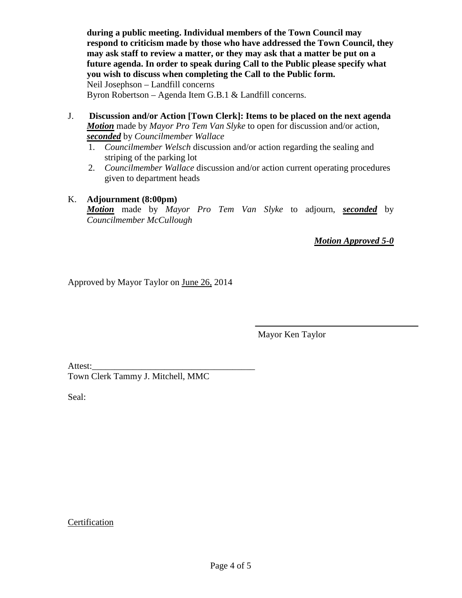**during a public meeting. Individual members of the Town Council may respond to criticism made by those who have addressed the Town Council, they may ask staff to review a matter, or they may ask that a matter be put on a future agenda. In order to speak during Call to the Public please specify what you wish to discuss when completing the Call to the Public form.** Neil Josephson – Landfill concerns

Byron Robertson – Agenda Item G.B.1 & Landfill concerns.

- J. **Discussion and/or Action [Town Clerk]: Items to be placed on the next agenda** *Motion* made by *Mayor Pro Tem Van Slyke* to open for discussion and/or action, *seconded* by *Councilmember Wallace*
	- 1. *Councilmember Welsch* discussion and/or action regarding the sealing and striping of the parking lot
	- 2. *Councilmember Wallace* discussion and/or action current operating procedures given to department heads

#### K. **Adjournment (8:00pm)**

*Motion* made by *Mayor Pro Tem Van Slyke* to adjourn, *seconded* by *Councilmember McCullough*

*Motion Approved 5-0*

Approved by Mayor Taylor on June 26, 2014

Mayor Ken Taylor

Attest:

Town Clerk Tammy J. Mitchell, MMC

Seal:

## Certification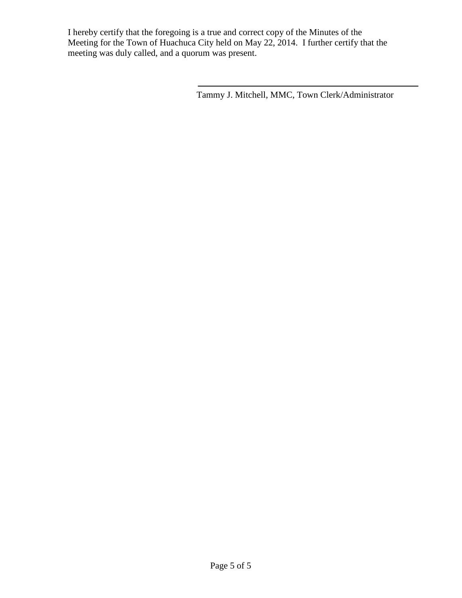I hereby certify that the foregoing is a true and correct copy of the Minutes of the Meeting for the Town of Huachuca City held on May 22, 2014. I further certify that the meeting was duly called, and a quorum was present.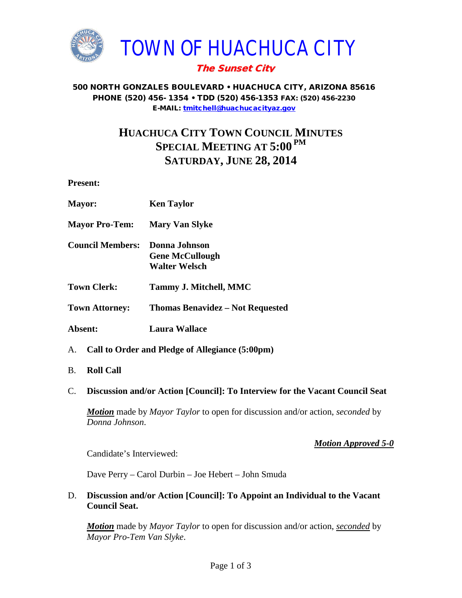

#### 500 NORTH GONZALES BOULEVARD • HUACHUCA CITY, ARIZONA 85616 PHONE (520) 456- 1354 • TDD (520) 456-1353 FAX: (520) 456-2230 E-MAIL: [tmitchell@huachucacityaz.gov](mailto:tmitchell@huachucacityaz.gov)

# **HUACHUCA CITY TOWN COUNCIL MINUTES SPECIAL MEETING AT 5:00 PM SATURDAY, JUNE 28, 2014**

**Present:**

| <b>Mayor:</b>                                         | <b>Ken Taylor</b>                                               |
|-------------------------------------------------------|-----------------------------------------------------------------|
| <b>Mayor Pro-Tem:</b>                                 | <b>Mary Van Slyke</b>                                           |
| <b>Council Members:</b>                               | Donna Johnson<br><b>Gene McCullough</b><br><b>Walter Welsch</b> |
| <b>Town Clerk:</b>                                    | <b>Tammy J. Mitchell, MMC</b>                                   |
| <b>Town Attorney:</b>                                 | <b>Thomas Benavidez - Not Requested</b>                         |
| Absent:                                               | <b>Laura Wallace</b>                                            |
| Call to Order and Pledge of Allegiance (5:00pm)<br>A. |                                                                 |

- B. **Roll Call**
- C. **Discussion and/or Action [Council]: To Interview for the Vacant Council Seat**

*Motion* made by *Mayor Taylor* to open for discussion and/or action, *seconded* by *Donna Johnson*.

*Motion Approved 5-0*

Candidate's Interviewed:

Dave Perry – Carol Durbin – Joe Hebert – John Smuda

D. **Discussion and/or Action [Council]: To Appoint an Individual to the Vacant Council Seat.**

*Motion* made by *Mayor Taylor* to open for discussion and/or action, *seconded* by *Mayor Pro-Tem Van Slyke*.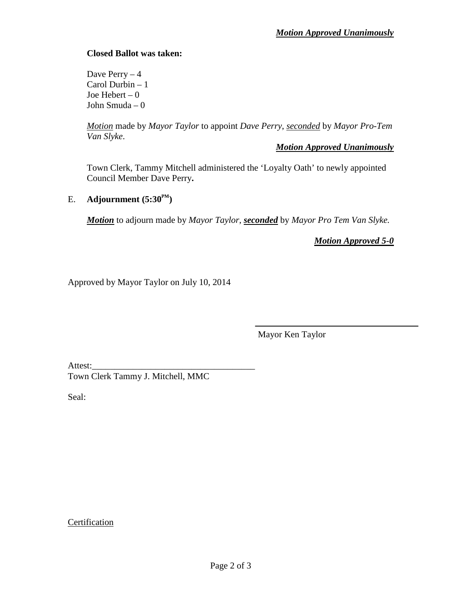### **Closed Ballot was taken:**

Dave Perry  $-4$ Carol Durbin – 1 Joe Hebert – 0 John Smuda – 0

*Motion* made by *Mayor Taylor* to appoint *Dave Perry*, *seconded* by *Mayor Pro-Tem Van Slyke*.

*Motion Approved Unanimously*

Town Clerk, Tammy Mitchell administered the 'Loyalty Oath' to newly appointed Council Member Dave Perry**.**

### E. **Adjournment**  $(5:30^{\text{PM}})$

*Motion* to adjourn made by *Mayor Taylor*, *seconded* by *Mayor Pro Tem Van Slyke.*

*Motion Approved 5-0*

Approved by Mayor Taylor on July 10, 2014

Mayor Ken Taylor

Attest:

Town Clerk Tammy J. Mitchell, MMC

Seal:

#### Certification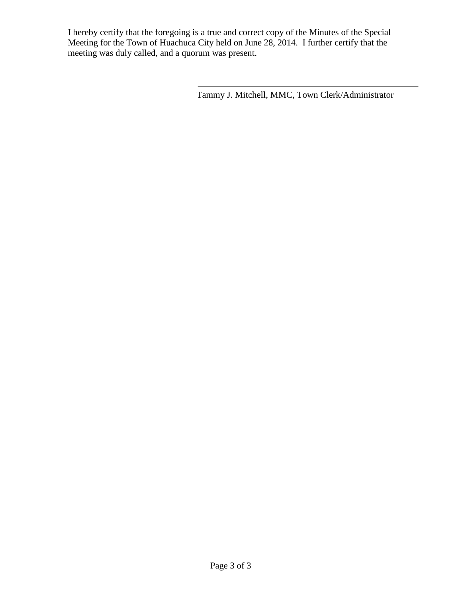I hereby certify that the foregoing is a true and correct copy of the Minutes of the Special Meeting for the Town of Huachuca City held on June 28, 2014. I further certify that the meeting was duly called, and a quorum was present.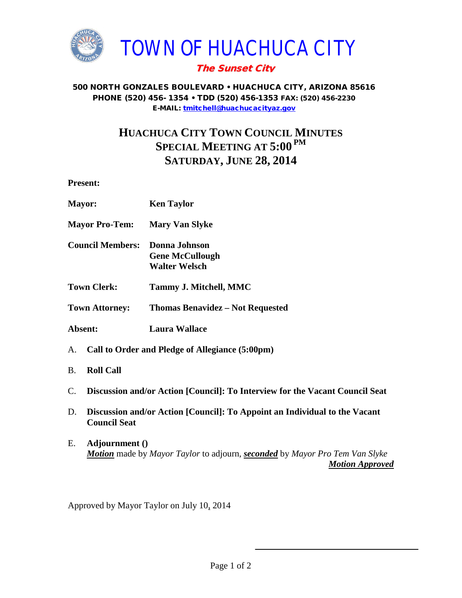

#### 500 NORTH GONZALES BOULEVARD • HUACHUCA CITY, ARIZONA 85616 PHONE (520) 456- 1354 • TDD (520) 456-1353 FAX: (520) 456-2230 E-MAIL: [tmitchell@huachucacityaz.gov](mailto:tmitchell@huachucacityaz.gov)

# **HUACHUCA CITY TOWN COUNCIL MINUTES SPECIAL MEETING AT 5:00 PM SATURDAY, JUNE 28, 2014**

**Present:**

| Mayor:                                                | <b>Ken Taylor</b>                                               |
|-------------------------------------------------------|-----------------------------------------------------------------|
| <b>Mayor Pro-Tem:</b>                                 | <b>Mary Van Slyke</b>                                           |
| <b>Council Members:</b>                               | Donna Johnson<br><b>Gene McCullough</b><br><b>Walter Welsch</b> |
| <b>Town Clerk:</b>                                    | <b>Tammy J. Mitchell, MMC</b>                                   |
| <b>Town Attorney:</b>                                 | <b>Thomas Benavidez – Not Requested</b>                         |
| Absent:                                               | <b>Laura Wallace</b>                                            |
| A.<br>Call to Order and Pledge of Allegiance (5:00pm) |                                                                 |
| <b>B.</b><br><b>Roll Call</b>                         |                                                                 |

- C. **Discussion and/or Action [Council]: To Interview for the Vacant Council Seat**
- D. **Discussion and/or Action [Council]: To Appoint an Individual to the Vacant Council Seat**
- E. **Adjournment ()** *Motion* made by *Mayor Taylor* to adjourn, *seconded* by *Mayor Pro Tem Van Slyke Motion Approved*

Approved by Mayor Taylor on July 10, 2014